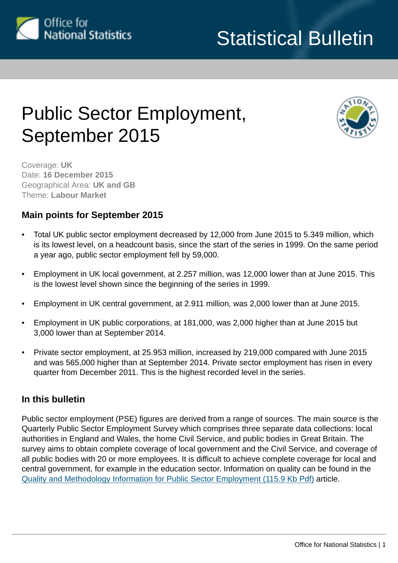

# Public Sector Employment, September 2015



Coverage: **UK** Date: **16 December 2015** Geographical Area: **UK and GB** Theme: **Labour Market**

## **Main points for September 2015**

- Total UK public sector employment decreased by 12,000 from June 2015 to 5.349 million, which is its lowest level, on a headcount basis, since the start of the series in 1999. On the same period a year ago, public sector employment fell by 59,000.
- Employment in UK local government, at 2.257 million, was 12,000 lower than at June 2015. This is the lowest level shown since the beginning of the series in 1999.
- Employment in UK central government, at 2.911 million, was 2,000 lower than at June 2015.
- Employment in UK public corporations, at 181,000, was 2,000 higher than at June 2015 but 3,000 lower than at September 2014.
- Private sector employment, at 25.953 million, increased by 219,000 compared with June 2015 and was 565,000 higher than at September 2014. Private sector employment has risen in every quarter from December 2011. This is the highest recorded level in the series.

## **In this bulletin**

Public sector employment (PSE) figures are derived from a range of sources. The main source is the Quarterly Public Sector Employment Survey which comprises three separate data collections: local authorities in England and Wales, the home Civil Service, and public bodies in Great Britain. The survey aims to obtain complete coverage of local government and the Civil Service, and coverage of all public bodies with 20 or more employees. It is difficult to achieve complete coverage for local and central government, for example in the education sector. Information on quality can be found in the [Quality and Methodology Information for Public Sector Employment \(115.9 Kb Pdf\)](http://www.ons.gov.uk:80/ons/guide-method/method-quality/quality/quality-information/labour-market/quality-and-methodology-information-for-public-sector-employment--pse-.pdf) article.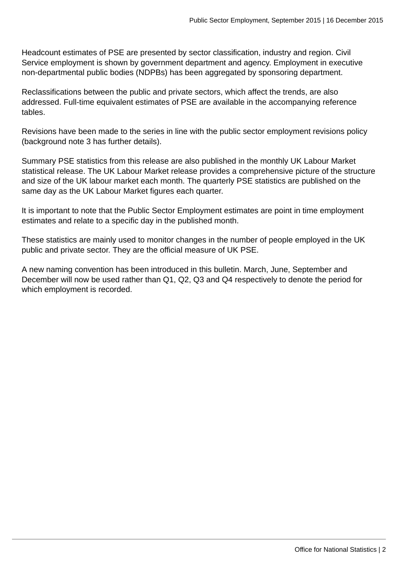Headcount estimates of PSE are presented by sector classification, industry and region. Civil Service employment is shown by government department and agency. Employment in executive non-departmental public bodies (NDPBs) has been aggregated by sponsoring department.

Reclassifications between the public and private sectors, which affect the trends, are also addressed. Full-time equivalent estimates of PSE are available in the accompanying reference tables.

Revisions have been made to the series in line with the public sector employment revisions policy (background note 3 has further details).

Summary PSE statistics from this release are also published in the monthly UK Labour Market statistical release. The UK Labour Market release provides a comprehensive picture of the structure and size of the UK labour market each month. The quarterly PSE statistics are published on the same day as the UK Labour Market figures each quarter.

It is important to note that the Public Sector Employment estimates are point in time employment estimates and relate to a specific day in the published month.

These statistics are mainly used to monitor changes in the number of people employed in the UK public and private sector. They are the official measure of UK PSE.

A new naming convention has been introduced in this bulletin. March, June, September and December will now be used rather than Q1, Q2, Q3 and Q4 respectively to denote the period for which employment is recorded.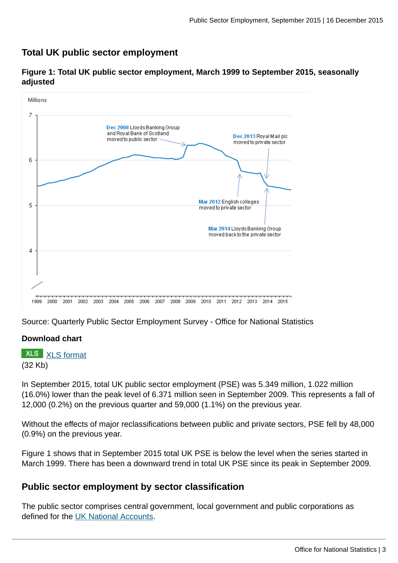## **Total UK public sector employment**



**Figure 1: Total UK public sector employment, March 1999 to September 2015, seasonally adjusted**

Source: Quarterly Public Sector Employment Survey - Office for National Statistics

#### **Download chart**

**XLS** [XLS format](http://www.ons.gov.uk:80/ons/rel/pse/public-sector-employment/q3-2015/chd-fig-1.xls) (32 Kb)

In September 2015, total UK public sector employment (PSE) was 5.349 million, 1.022 million (16.0%) lower than the peak level of 6.371 million seen in September 2009. This represents a fall of 12,000 (0.2%) on the previous quarter and 59,000 (1.1%) on the previous year.

Without the effects of major reclassifications between public and private sectors, PSE fell by 48,000 (0.9%) on the previous year.

Figure 1 shows that in September 2015 total UK PSE is below the level when the series started in March 1999. There has been a downward trend in total UK PSE since its peak in September 2009.

## **Public sector employment by sector classification**

The public sector comprises central government, local government and public corporations as defined for the [UK National Accounts](http://www.ons.gov.uk:80/ons/rel/na-classification/national-accounts-sector-classification/index.html).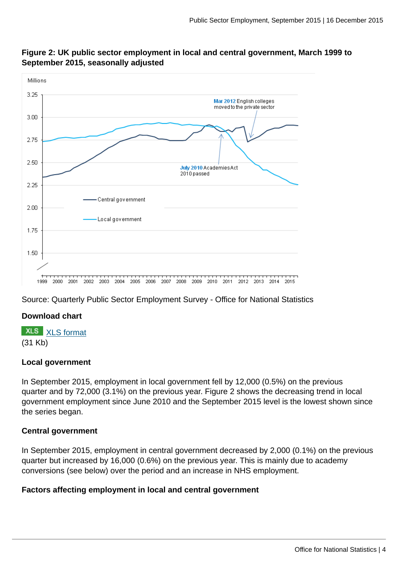

#### **Figure 2: UK public sector employment in local and central government, March 1999 to September 2015, seasonally adjusted**

Source: Quarterly Public Sector Employment Survey - Office for National Statistics

## **Download chart**

**XLS** [XLS format](http://www.ons.gov.uk:80/ons/rel/pse/public-sector-employment/q3-2015/chd-fig-2.xls)

(31 Kb)

#### **Local government**

In September 2015, employment in local government fell by 12,000 (0.5%) on the previous quarter and by 72,000 (3.1%) on the previous year. Figure 2 shows the decreasing trend in local government employment since June 2010 and the September 2015 level is the lowest shown since the series began.

#### **Central government**

In September 2015, employment in central government decreased by 2,000 (0.1%) on the previous quarter but increased by 16,000 (0.6%) on the previous year. This is mainly due to academy conversions (see below) over the period and an increase in NHS employment.

#### **Factors affecting employment in local and central government**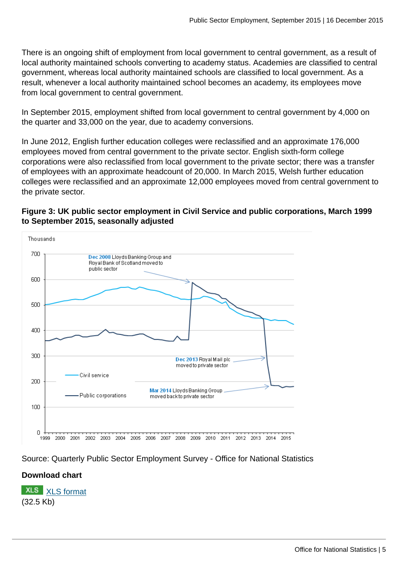There is an ongoing shift of employment from local government to central government, as a result of local authority maintained schools converting to academy status. Academies are classified to central government, whereas local authority maintained schools are classified to local government. As a result, whenever a local authority maintained school becomes an academy, its employees move from local government to central government.

In September 2015, employment shifted from local government to central government by 4,000 on the quarter and 33,000 on the year, due to academy conversions.

In June 2012, English further education colleges were reclassified and an approximate 176,000 employees moved from central government to the private sector. English sixth-form college corporations were also reclassified from local government to the private sector; there was a transfer of employees with an approximate headcount of 20,000. In March 2015, Welsh further education colleges were reclassified and an approximate 12,000 employees moved from central government to the private sector.

#### **Figure 3: UK public sector employment in Civil Service and public corporations, March 1999 to September 2015, seasonally adjusted**



Source: Quarterly Public Sector Employment Survey - Office for National Statistics

## **Download chart**

**XLS** [XLS format](http://www.ons.gov.uk:80/ons/rel/pse/public-sector-employment/q3-2015/chd-fig-3.xls) (32.5 Kb)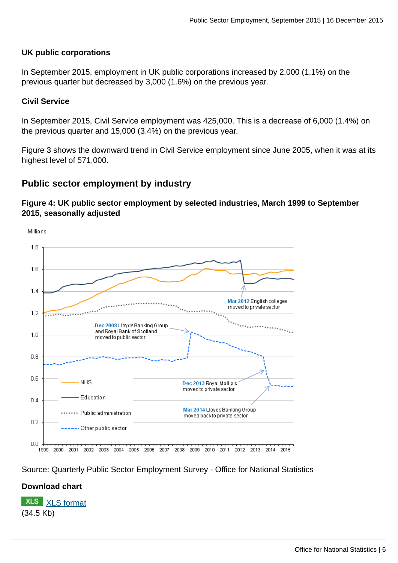#### **UK public corporations**

In September 2015, employment in UK public corporations increased by 2,000 (1.1%) on the previous quarter but decreased by 3,000 (1.6%) on the previous year.

#### **Civil Service**

In September 2015, Civil Service employment was 425,000. This is a decrease of 6,000 (1.4%) on the previous quarter and 15,000 (3.4%) on the previous year.

Figure 3 shows the downward trend in Civil Service employment since June 2005, when it was at its highest level of 571,000.

## **Public sector employment by industry**

#### **Figure 4: UK public sector employment by selected industries, March 1999 to September 2015, seasonally adjusted**



Source: Quarterly Public Sector Employment Survey - Office for National Statistics

## **Download chart**

**XLS** [XLS format](http://www.ons.gov.uk:80/ons/rel/pse/public-sector-employment/q3-2015/chd-fig-4.xls) (34.5 Kb)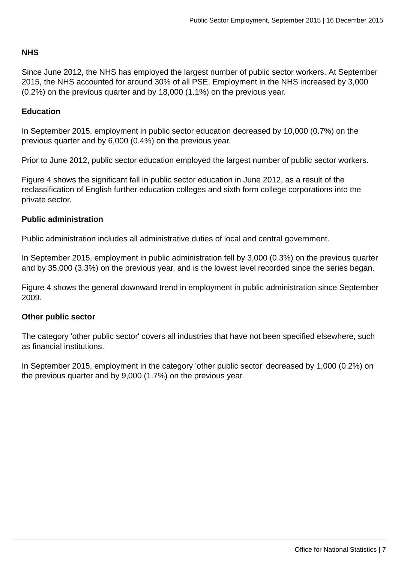#### **NHS**

Since June 2012, the NHS has employed the largest number of public sector workers. At September 2015, the NHS accounted for around 30% of all PSE. Employment in the NHS increased by 3,000 (0.2%) on the previous quarter and by 18,000 (1.1%) on the previous year.

#### **Education**

In September 2015, employment in public sector education decreased by 10,000 (0.7%) on the previous quarter and by 6,000 (0.4%) on the previous year.

Prior to June 2012, public sector education employed the largest number of public sector workers.

Figure 4 shows the significant fall in public sector education in June 2012, as a result of the reclassification of English further education colleges and sixth form college corporations into the private sector.

#### **Public administration**

Public administration includes all administrative duties of local and central government.

In September 2015, employment in public administration fell by 3,000 (0.3%) on the previous quarter and by 35,000 (3.3%) on the previous year, and is the lowest level recorded since the series began.

Figure 4 shows the general downward trend in employment in public administration since September 2009.

#### **Other public sector**

The category 'other public sector' covers all industries that have not been specified elsewhere, such as financial institutions.

In September 2015, employment in the category 'other public sector' decreased by 1,000 (0.2%) on the previous quarter and by 9,000 (1.7%) on the previous year.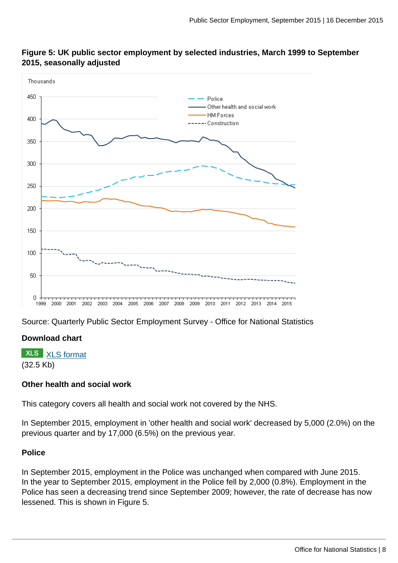

#### **Figure 5: UK public sector employment by selected industries, March 1999 to September 2015, seasonally adjusted**

Source: Quarterly Public Sector Employment Survey - Office for National Statistics

#### **Download chart**

**XLS** [XLS format](http://www.ons.gov.uk:80/ons/rel/pse/public-sector-employment/q3-2015/chd-fig-5.xls) (32.5 Kb)

#### **Other health and social work**

This category covers all health and social work not covered by the NHS.

In September 2015, employment in 'other health and social work' decreased by 5,000 (2.0%) on the previous quarter and by 17,000 (6.5%) on the previous year.

#### **Police**

In September 2015, employment in the Police was unchanged when compared with June 2015. In the year to September 2015, employment in the Police fell by 2,000 (0.8%). Employment in the Police has seen a decreasing trend since September 2009; however, the rate of decrease has now lessened. This is shown in Figure 5.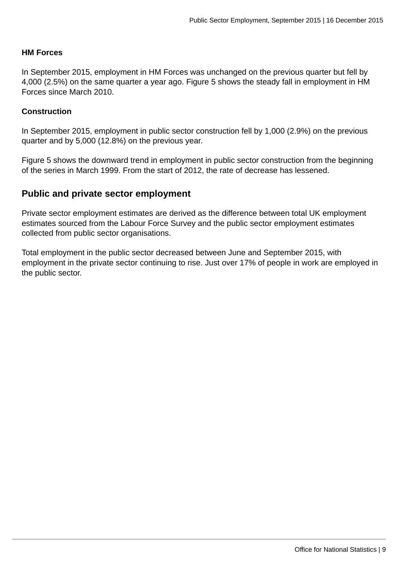#### **HM Forces**

In September 2015, employment in HM Forces was unchanged on the previous quarter but fell by 4,000 (2.5%) on the same quarter a year ago. Figure 5 shows the steady fall in employment in HM Forces since March 2010.

#### **Construction**

In September 2015, employment in public sector construction fell by 1,000 (2.9%) on the previous quarter and by 5,000 (12.8%) on the previous year.

Figure 5 shows the downward trend in employment in public sector construction from the beginning of the series in March 1999. From the start of 2012, the rate of decrease has lessened.

#### **Public and private sector employment**

Private sector employment estimates are derived as the difference between total UK employment estimates sourced from the Labour Force Survey and the public sector employment estimates collected from public sector organisations.

Total employment in the public sector decreased between June and September 2015, with employment in the private sector continuing to rise. Just over 17% of people in work are employed in the public sector.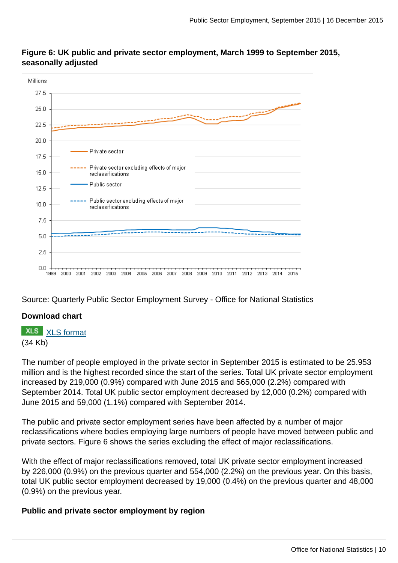#### **Figure 6: UK public and private sector employment, March 1999 to September 2015, seasonally adjusted**



Source: Quarterly Public Sector Employment Survey - Office for National Statistics

#### **Download chart**

**XLS** [XLS format](http://www.ons.gov.uk:80/ons/rel/pse/public-sector-employment/q3-2015/chd-fig-6.xls)

(34 Kb)

The number of people employed in the private sector in September 2015 is estimated to be 25.953 million and is the highest recorded since the start of the series. Total UK private sector employment increased by 219,000 (0.9%) compared with June 2015 and 565,000 (2.2%) compared with September 2014. Total UK public sector employment decreased by 12,000 (0.2%) compared with June 2015 and 59,000 (1.1%) compared with September 2014.

The public and private sector employment series have been affected by a number of major reclassifications where bodies employing large numbers of people have moved between public and private sectors. Figure 6 shows the series excluding the effect of major reclassifications.

With the effect of major reclassifications removed, total UK private sector employment increased by 226,000 (0.9%) on the previous quarter and 554,000 (2.2%) on the previous year. On this basis, total UK public sector employment decreased by 19,000 (0.4%) on the previous quarter and 48,000 (0.9%) on the previous year.

#### **Public and private sector employment by region**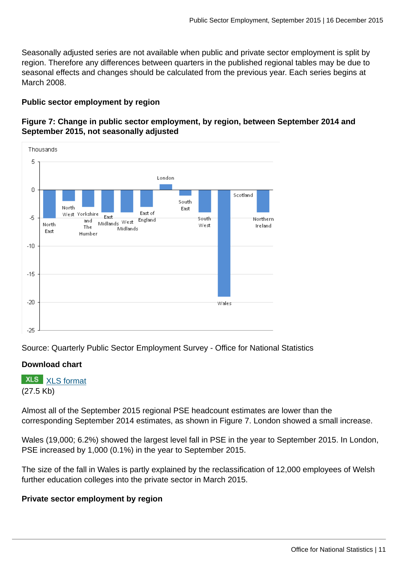Seasonally adjusted series are not available when public and private sector employment is split by region. Therefore any differences between quarters in the published regional tables may be due to seasonal effects and changes should be calculated from the previous year. Each series begins at March 2008.

#### **Public sector employment by region**

#### **Figure 7: Change in public sector employment, by region, between September 2014 and September 2015, not seasonally adjusted**



Source: Quarterly Public Sector Employment Survey - Office for National Statistics

#### **Download chart**

**XLS** [XLS format](http://www.ons.gov.uk:80/ons/rel/pse/public-sector-employment/q3-2015/chd-fig-7.xls) (27.5 Kb)

Almost all of the September 2015 regional PSE headcount estimates are lower than the corresponding September 2014 estimates, as shown in Figure 7. London showed a small increase.

Wales (19,000; 6.2%) showed the largest level fall in PSE in the year to September 2015. In London, PSE increased by 1,000 (0.1%) in the year to September 2015.

The size of the fall in Wales is partly explained by the reclassification of 12,000 employees of Welsh further education colleges into the private sector in March 2015.

#### **Private sector employment by region**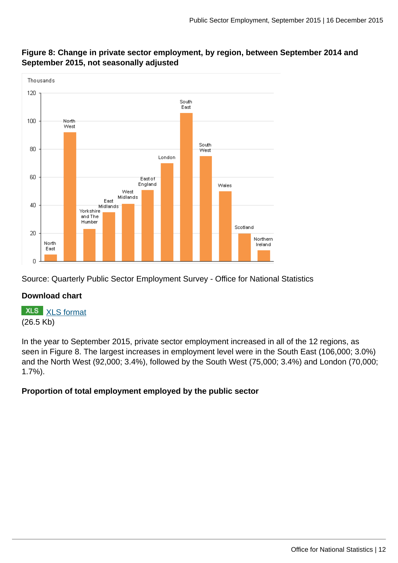

## **Figure 8: Change in private sector employment, by region, between September 2014 and September 2015, not seasonally adjusted**

Source: Quarterly Public Sector Employment Survey - Office for National Statistics

## **Download chart**

**XLS** [XLS format](http://www.ons.gov.uk:80/ons/rel/pse/public-sector-employment/q3-2015/chd-fig-8.xls) (26.5 Kb)

In the year to September 2015, private sector employment increased in all of the 12 regions, as seen in Figure 8. The largest increases in employment level were in the South East (106,000; 3.0%) and the North West (92,000; 3.4%), followed by the South West (75,000; 3.4%) and London (70,000; 1.7%).

## **Proportion of total employment employed by the public sector**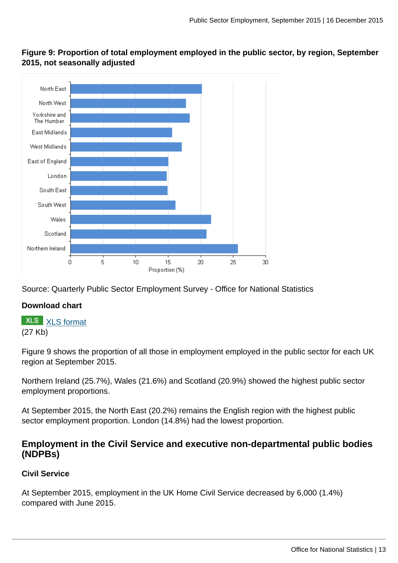

**Figure 9: Proportion of total employment employed in the public sector, by region, September 2015, not seasonally adjusted**

Source: Quarterly Public Sector Employment Survey - Office for National Statistics

#### **Download chart**

**XLS** [XLS format](http://www.ons.gov.uk:80/ons/rel/pse/public-sector-employment/q3-2015/chd-fig-9.xls) (27 Kb)

Figure 9 shows the proportion of all those in employment employed in the public sector for each UK region at September 2015.

Northern Ireland (25.7%), Wales (21.6%) and Scotland (20.9%) showed the highest public sector employment proportions.

At September 2015, the North East (20.2%) remains the English region with the highest public sector employment proportion. London (14.8%) had the lowest proportion.

## **Employment in the Civil Service and executive non-departmental public bodies (NDPBs)**

#### **Civil Service**

At September 2015, employment in the UK Home Civil Service decreased by 6,000 (1.4%) compared with June 2015.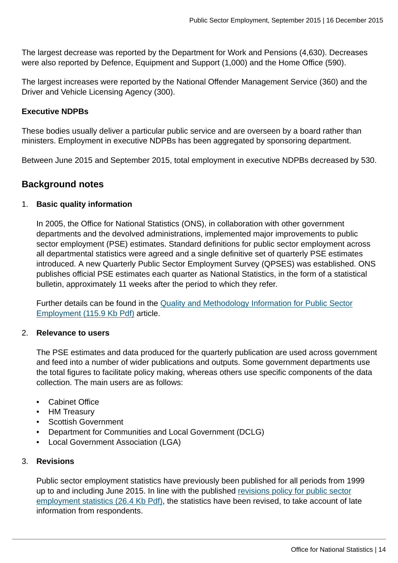The largest decrease was reported by the Department for Work and Pensions (4,630). Decreases were also reported by Defence, Equipment and Support (1,000) and the Home Office (590).

The largest increases were reported by the National Offender Management Service (360) and the Driver and Vehicle Licensing Agency (300).

#### **Executive NDPBs**

These bodies usually deliver a particular public service and are overseen by a board rather than ministers. Employment in executive NDPBs has been aggregated by sponsoring department.

Between June 2015 and September 2015, total employment in executive NDPBs decreased by 530.

## **Background notes**

#### 1. **Basic quality information**

In 2005, the Office for National Statistics (ONS), in collaboration with other government departments and the devolved administrations, implemented major improvements to public sector employment (PSE) estimates. Standard definitions for public sector employment across all departmental statistics were agreed and a single definitive set of quarterly PSE estimates introduced. A new Quarterly Public Sector Employment Survey (QPSES) was established. ONS publishes official PSE estimates each quarter as National Statistics, in the form of a statistical bulletin, approximately 11 weeks after the period to which they refer.

Further details can be found in the [Quality and Methodology Information for Public Sector](http://www.ons.gov.uk:80/ons/guide-method/method-quality/quality/quality-information/labour-market/quality-and-methodology-information-for-public-sector-employment--pse-.pdf) [Employment \(115.9 Kb Pdf\)](http://www.ons.gov.uk:80/ons/guide-method/method-quality/quality/quality-information/labour-market/quality-and-methodology-information-for-public-sector-employment--pse-.pdf) article.

#### 2. **Relevance to users**

The PSE estimates and data produced for the quarterly publication are used across government and feed into a number of wider publications and outputs. Some government departments use the total figures to facilitate policy making, whereas others use specific components of the data collection. The main users are as follows:

- Cabinet Office
- HM Treasury
- Scottish Government
- Department for Communities and Local Government (DCLG)
- Local Government Association (LGA)

#### 3. **Revisions**

Public sector employment statistics have previously been published for all periods from 1999 up to and including June 2015. In line with the published [revisions policy for public sector](http://www.ons.gov.uk:80/ons/rel/pse/public-sector-employment/public-sector-employment/public-sector-employment-statistics-revisions-policy.pdf) [employment statistics \(26.4 Kb Pdf\),](http://www.ons.gov.uk:80/ons/rel/pse/public-sector-employment/public-sector-employment/public-sector-employment-statistics-revisions-policy.pdf) the statistics have been revised, to take account of late information from respondents.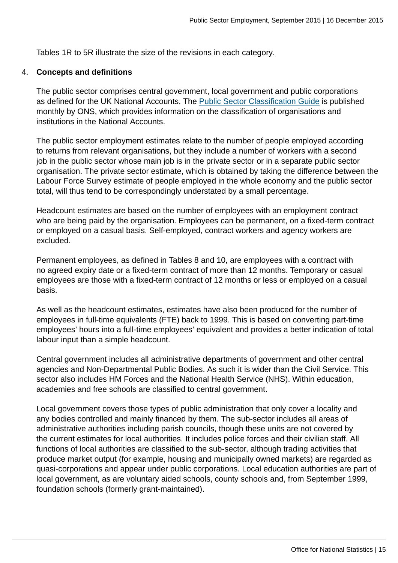Tables 1R to 5R illustrate the size of the revisions in each category.

#### 4. **Concepts and definitions**

The public sector comprises central government, local government and public corporations as defined for the UK National Accounts. The [Public Sector Classification Guide](http://www.ons.gov.uk:80/ons/rel/na-classification/national-accounts-sector-classification/index.html) is published monthly by ONS, which provides information on the classification of organisations and institutions in the National Accounts.

The public sector employment estimates relate to the number of people employed according to returns from relevant organisations, but they include a number of workers with a second job in the public sector whose main job is in the private sector or in a separate public sector organisation. The private sector estimate, which is obtained by taking the difference between the Labour Force Survey estimate of people employed in the whole economy and the public sector total, will thus tend to be correspondingly understated by a small percentage.

Headcount estimates are based on the number of employees with an employment contract who are being paid by the organisation. Employees can be permanent, on a fixed-term contract or employed on a casual basis. Self-employed, contract workers and agency workers are excluded.

Permanent employees, as defined in Tables 8 and 10, are employees with a contract with no agreed expiry date or a fixed-term contract of more than 12 months. Temporary or casual employees are those with a fixed-term contract of 12 months or less or employed on a casual basis.

As well as the headcount estimates, estimates have also been produced for the number of employees in full-time equivalents (FTE) back to 1999. This is based on converting part-time employees' hours into a full-time employees' equivalent and provides a better indication of total labour input than a simple headcount.

Central government includes all administrative departments of government and other central agencies and Non-Departmental Public Bodies. As such it is wider than the Civil Service. This sector also includes HM Forces and the National Health Service (NHS). Within education, academies and free schools are classified to central government.

Local government covers those types of public administration that only cover a locality and any bodies controlled and mainly financed by them. The sub-sector includes all areas of administrative authorities including parish councils, though these units are not covered by the current estimates for local authorities. It includes police forces and their civilian staff. All functions of local authorities are classified to the sub-sector, although trading activities that produce market output (for example, housing and municipally owned markets) are regarded as quasi-corporations and appear under public corporations. Local education authorities are part of local government, as are voluntary aided schools, county schools and, from September 1999, foundation schools (formerly grant-maintained).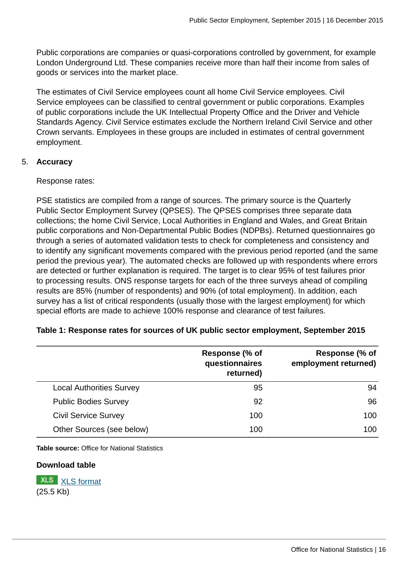Public corporations are companies or quasi-corporations controlled by government, for example London Underground Ltd. These companies receive more than half their income from sales of goods or services into the market place.

The estimates of Civil Service employees count all home Civil Service employees. Civil Service employees can be classified to central government or public corporations. Examples of public corporations include the UK Intellectual Property Office and the Driver and Vehicle Standards Agency. Civil Service estimates exclude the Northern Ireland Civil Service and other Crown servants. Employees in these groups are included in estimates of central government employment.

#### 5. **Accuracy**

#### Response rates:

PSE statistics are compiled from a range of sources. The primary source is the Quarterly Public Sector Employment Survey (QPSES). The QPSES comprises three separate data collections; the home Civil Service, Local Authorities in England and Wales, and Great Britain public corporations and Non-Departmental Public Bodies (NDPBs). Returned questionnaires go through a series of automated validation tests to check for completeness and consistency and to identify any significant movements compared with the previous period reported (and the same period the previous year). The automated checks are followed up with respondents where errors are detected or further explanation is required. The target is to clear 95% of test failures prior to processing results. ONS response targets for each of the three surveys ahead of compiling results are 85% (number of respondents) and 90% (of total employment). In addition, each survey has a list of critical respondents (usually those with the largest employment) for which special efforts are made to achieve 100% response and clearance of test failures.

|                                 | Response (% of<br>questionnaires<br>returned) | Response (% of<br>employment returned) |
|---------------------------------|-----------------------------------------------|----------------------------------------|
| <b>Local Authorities Survey</b> | 95                                            | 94                                     |
| <b>Public Bodies Survey</b>     | 92                                            | 96                                     |
| <b>Civil Service Survey</b>     | 100                                           | 100                                    |
| Other Sources (see below)       | 100                                           | 100                                    |

#### **Table 1: Response rates for sources of UK public sector employment, September 2015**

**Table source:** Office for National Statistics

#### **Download table**

**XLS** [XLS format](http://www.ons.gov.uk:80/ons/rel/pse/public-sector-employment/q3-2015/prt-table1.xls) (25.5 Kb)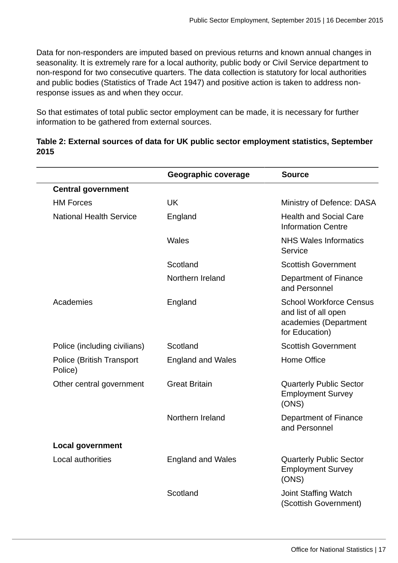Data for non-responders are imputed based on previous returns and known annual changes in seasonality. It is extremely rare for a local authority, public body or Civil Service department to non-respond for two consecutive quarters. The data collection is statutory for local authorities and public bodies (Statistics of Trade Act 1947) and positive action is taken to address nonresponse issues as and when they occur.

So that estimates of total public sector employment can be made, it is necessary for further information to be gathered from external sources.

| Table 2: External sources of data for UK public sector employment statistics, September |  |
|-----------------------------------------------------------------------------------------|--|
| 2015                                                                                    |  |

|                                      | Geographic coverage      | <b>Source</b>                                                                                     |
|--------------------------------------|--------------------------|---------------------------------------------------------------------------------------------------|
| <b>Central government</b>            |                          |                                                                                                   |
| <b>HM Forces</b>                     | <b>UK</b>                | Ministry of Defence: DASA                                                                         |
| <b>National Health Service</b>       | England                  | <b>Health and Social Care</b><br><b>Information Centre</b>                                        |
|                                      | Wales                    | <b>NHS Wales Informatics</b><br>Service                                                           |
|                                      | Scotland                 | <b>Scottish Government</b>                                                                        |
|                                      | Northern Ireland         | Department of Finance<br>and Personnel                                                            |
| Academies                            | England                  | <b>School Workforce Census</b><br>and list of all open<br>academies (Department<br>for Education) |
| Police (including civilians)         | Scotland                 | <b>Scottish Government</b>                                                                        |
| Police (British Transport<br>Police) | <b>England and Wales</b> | Home Office                                                                                       |
| Other central government             | <b>Great Britain</b>     | <b>Quarterly Public Sector</b><br><b>Employment Survey</b><br>(ONS)                               |
|                                      | Northern Ireland         | Department of Finance<br>and Personnel                                                            |
| <b>Local government</b>              |                          |                                                                                                   |
| Local authorities                    | <b>England and Wales</b> | <b>Quarterly Public Sector</b><br><b>Employment Survey</b><br>(ONS)                               |
|                                      | Scotland                 | Joint Staffing Watch<br>(Scottish Government)                                                     |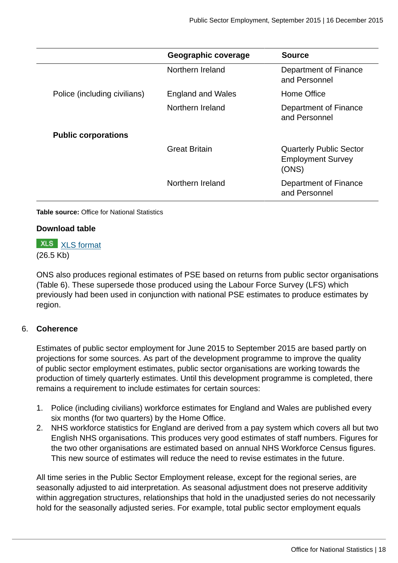|                              | Geographic coverage  | <b>Source</b>                                                       |
|------------------------------|----------------------|---------------------------------------------------------------------|
|                              | Northern Ireland     | Department of Finance<br>and Personnel                              |
| Police (including civilians) | England and Wales    | Home Office                                                         |
|                              | Northern Ireland     | Department of Finance<br>and Personnel                              |
| <b>Public corporations</b>   |                      |                                                                     |
|                              | <b>Great Britain</b> | <b>Quarterly Public Sector</b><br><b>Employment Survey</b><br>(ONS) |
|                              | Northern Ireland     | Department of Finance<br>and Personnel                              |

**Table source:** Office for National Statistics

#### **Download table**

**XLS** [XLS format](http://www.ons.gov.uk:80/ons/rel/pse/public-sector-employment/q3-2015/prt-table-2.xls) (26.5 Kb)

ONS also produces regional estimates of PSE based on returns from public sector organisations (Table 6). These supersede those produced using the Labour Force Survey (LFS) which previously had been used in conjunction with national PSE estimates to produce estimates by region.

#### 6. **Coherence**

Estimates of public sector employment for June 2015 to September 2015 are based partly on projections for some sources. As part of the development programme to improve the quality of public sector employment estimates, public sector organisations are working towards the production of timely quarterly estimates. Until this development programme is completed, there remains a requirement to include estimates for certain sources:

- 1. Police (including civilians) workforce estimates for England and Wales are published every six months (for two quarters) by the Home Office.
- 2. NHS workforce statistics for England are derived from a pay system which covers all but two English NHS organisations. This produces very good estimates of staff numbers. Figures for the two other organisations are estimated based on annual NHS Workforce Census figures. This new source of estimates will reduce the need to revise estimates in the future.

All time series in the Public Sector Employment release, except for the regional series, are seasonally adjusted to aid interpretation. As seasonal adjustment does not preserve additivity within aggregation structures, relationships that hold in the unadjusted series do not necessarily hold for the seasonally adjusted series. For example, total public sector employment equals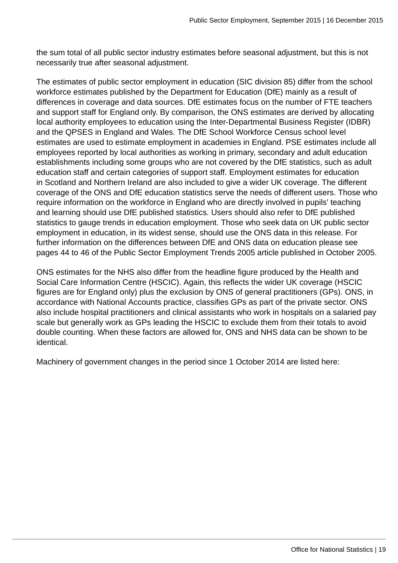the sum total of all public sector industry estimates before seasonal adjustment, but this is not necessarily true after seasonal adjustment.

The estimates of public sector employment in education (SIC division 85) differ from the school workforce estimates published by the Department for Education (DfE) mainly as a result of differences in coverage and data sources. DfE estimates focus on the number of FTE teachers and support staff for England only. By comparison, the ONS estimates are derived by allocating local authority employees to education using the Inter-Departmental Business Register (IDBR) and the QPSES in England and Wales. The DfE School Workforce Census school level estimates are used to estimate employment in academies in England. PSE estimates include all employees reported by local authorities as working in primary, secondary and adult education establishments including some groups who are not covered by the DfE statistics, such as adult education staff and certain categories of support staff. Employment estimates for education in Scotland and Northern Ireland are also included to give a wider UK coverage. The different coverage of the ONS and DfE education statistics serve the needs of different users. Those who require information on the workforce in England who are directly involved in pupils' teaching and learning should use DfE published statistics. Users should also refer to DfE published statistics to gauge trends in education employment. Those who seek data on UK public sector employment in education, in its widest sense, should use the ONS data in this release. For further information on the differences between DfE and ONS data on education please see pages 44 to 46 of the Public Sector Employment Trends 2005 article published in October 2005.

ONS estimates for the NHS also differ from the headline figure produced by the Health and Social Care Information Centre (HSCIC). Again, this reflects the wider UK coverage (HSCIC figures are for England only) plus the exclusion by ONS of general practitioners (GPs). ONS, in accordance with National Accounts practice, classifies GPs as part of the private sector. ONS also include hospital practitioners and clinical assistants who work in hospitals on a salaried pay scale but generally work as GPs leading the HSCIC to exclude them from their totals to avoid double counting. When these factors are allowed for, ONS and NHS data can be shown to be identical.

Machinery of government changes in the period since 1 October 2014 are listed here: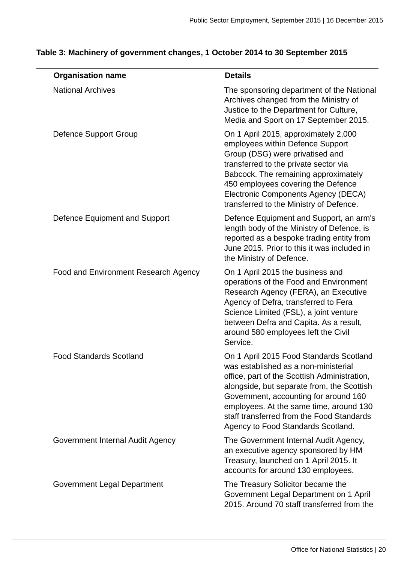| <b>Organisation name</b>             | <b>Details</b>                                                                                                                                                                                                                                                                                                                                       |
|--------------------------------------|------------------------------------------------------------------------------------------------------------------------------------------------------------------------------------------------------------------------------------------------------------------------------------------------------------------------------------------------------|
| <b>National Archives</b>             | The sponsoring department of the National<br>Archives changed from the Ministry of<br>Justice to the Department for Culture,<br>Media and Sport on 17 September 2015.                                                                                                                                                                                |
| <b>Defence Support Group</b>         | On 1 April 2015, approximately 2,000<br>employees within Defence Support<br>Group (DSG) were privatised and<br>transferred to the private sector via<br>Babcock. The remaining approximately<br>450 employees covering the Defence<br>Electronic Components Agency (DECA)<br>transferred to the Ministry of Defence.                                 |
| Defence Equipment and Support        | Defence Equipment and Support, an arm's<br>length body of the Ministry of Defence, is<br>reported as a bespoke trading entity from<br>June 2015. Prior to this it was included in<br>the Ministry of Defence.                                                                                                                                        |
| Food and Environment Research Agency | On 1 April 2015 the business and<br>operations of the Food and Environment<br>Research Agency (FERA), an Executive<br>Agency of Defra, transferred to Fera<br>Science Limited (FSL), a joint venture<br>between Defra and Capita. As a result,<br>around 580 employees left the Civil<br>Service.                                                    |
| <b>Food Standards Scotland</b>       | On 1 April 2015 Food Standards Scotland<br>was established as a non-ministerial<br>office, part of the Scottish Administration,<br>alongside, but separate from, the Scottish<br>Government, accounting for around 160<br>employees. At the same time, around 130<br>staff transferred from the Food Standards<br>Agency to Food Standards Scotland. |
| Government Internal Audit Agency     | The Government Internal Audit Agency,<br>an executive agency sponsored by HM<br>Treasury, launched on 1 April 2015. It<br>accounts for around 130 employees.                                                                                                                                                                                         |
| Government Legal Department          | The Treasury Solicitor became the<br>Government Legal Department on 1 April<br>2015. Around 70 staff transferred from the                                                                                                                                                                                                                            |

## **Table 3: Machinery of government changes, 1 October 2014 to 30 September 2015**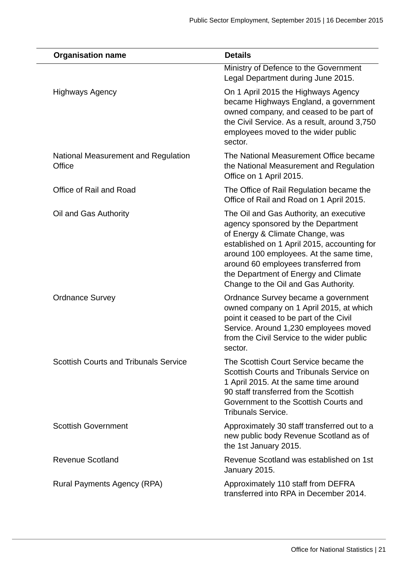|        | <b>Organisation name</b>                     | <b>Details</b>                                                                                                                                                                                                                                                                                                                     |
|--------|----------------------------------------------|------------------------------------------------------------------------------------------------------------------------------------------------------------------------------------------------------------------------------------------------------------------------------------------------------------------------------------|
|        |                                              | Ministry of Defence to the Government<br>Legal Department during June 2015.                                                                                                                                                                                                                                                        |
|        | <b>Highways Agency</b>                       | On 1 April 2015 the Highways Agency<br>became Highways England, a government<br>owned company, and ceased to be part of<br>the Civil Service. As a result, around 3,750<br>employees moved to the wider public<br>sector.                                                                                                          |
| Office | National Measurement and Regulation          | The National Measurement Office became<br>the National Measurement and Regulation<br>Office on 1 April 2015.                                                                                                                                                                                                                       |
|        | Office of Rail and Road                      | The Office of Rail Regulation became the<br>Office of Rail and Road on 1 April 2015.                                                                                                                                                                                                                                               |
|        | Oil and Gas Authority                        | The Oil and Gas Authority, an executive<br>agency sponsored by the Department<br>of Energy & Climate Change, was<br>established on 1 April 2015, accounting for<br>around 100 employees. At the same time,<br>around 60 employees transferred from<br>the Department of Energy and Climate<br>Change to the Oil and Gas Authority. |
|        | <b>Ordnance Survey</b>                       | Ordnance Survey became a government<br>owned company on 1 April 2015, at which<br>point it ceased to be part of the Civil<br>Service. Around 1,230 employees moved<br>from the Civil Service to the wider public<br>sector.                                                                                                        |
|        | <b>Scottish Courts and Tribunals Service</b> | The Scottish Court Service became the<br>Scottish Courts and Tribunals Service on<br>1 April 2015. At the same time around<br>90 staff transferred from the Scottish<br>Government to the Scottish Courts and<br><b>Tribunals Service.</b>                                                                                         |
|        | <b>Scottish Government</b>                   | Approximately 30 staff transferred out to a<br>new public body Revenue Scotland as of<br>the 1st January 2015.                                                                                                                                                                                                                     |
|        | Revenue Scotland                             | Revenue Scotland was established on 1st<br>January 2015.                                                                                                                                                                                                                                                                           |
|        | Rural Payments Agency (RPA)                  | Approximately 110 staff from DEFRA<br>transferred into RPA in December 2014.                                                                                                                                                                                                                                                       |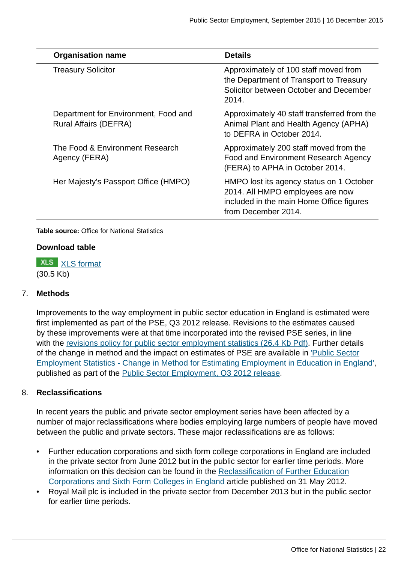| <b>Organisation name</b>                                             | <b>Details</b>                                                                                                                                  |
|----------------------------------------------------------------------|-------------------------------------------------------------------------------------------------------------------------------------------------|
| <b>Treasury Solicitor</b>                                            | Approximately of 100 staff moved from<br>the Department of Transport to Treasury<br>Solicitor between October and December<br>2014.             |
| Department for Environment, Food and<br><b>Rural Affairs (DEFRA)</b> | Approximately 40 staff transferred from the<br>Animal Plant and Health Agency (APHA)<br>to DEFRA in October 2014.                               |
| The Food & Environment Research<br>Agency (FERA)                     | Approximately 200 staff moved from the<br>Food and Environment Research Agency<br>(FERA) to APHA in October 2014.                               |
| Her Majesty's Passport Office (HMPO)                                 | HMPO lost its agency status on 1 October<br>2014. All HMPO employees are now<br>included in the main Home Office figures<br>from December 2014. |

**Table source:** Office for National Statistics

#### **Download table**

**XLS** [XLS format](http://www.ons.gov.uk:80/ons/rel/pse/public-sector-employment/q3-2015/prt-table-3.xls) (30.5 Kb)

#### 7. **Methods**

Improvements to the way employment in public sector education in England is estimated were first implemented as part of the PSE, Q3 2012 release. Revisions to the estimates caused by these improvements were at that time incorporated into the revised PSE series, in line with the [revisions policy for public sector employment statistics \(26.4 Kb Pdf\)](http://www.ons.gov.uk:80/ons/rel/pse/public-sector-employment/public-sector-employment/public-sector-employment-statistics-revisions-policy.pdf). Further details of the change in method and the impact on estimates of PSE are available in ['Public Sector](http://www.ons.gov.uk:80/ons/rel/na-classification/national-accounts-sector-classification/classification-update---may-2012/reclassification-of-further-education-corporations-and-sixth-form-colleges-in-england---article.html) [Employment Statistics - Change in Method for Estimating Employment in Education in England'](http://www.ons.gov.uk:80/ons/rel/na-classification/national-accounts-sector-classification/classification-update---may-2012/reclassification-of-further-education-corporations-and-sixth-form-colleges-in-england---article.html), published as part of the [Public Sector Employment, Q3 2012 release](http://www.ons.gov.uk:80/ons/rel/pse/public-sector-employment/q3-2012/index.html).

#### 8. **Reclassifications**

In recent years the public and private sector employment series have been affected by a number of major reclassifications where bodies employing large numbers of people have moved between the public and private sectors. These major reclassifications are as follows:

- Further education corporations and sixth form college corporations in England are included in the private sector from June 2012 but in the public sector for earlier time periods. More information on this decision can be found in the [Reclassification of Further Education](http://www.ons.gov.uk:80/ons/rel/na-classification/national-accounts-sector-classification/classification-update---may-2012/reclassification-of-further-education-corporations-and-sixth-form-colleges-in-england---article.html) [Corporations and Sixth Form Colleges in England](http://www.ons.gov.uk:80/ons/rel/na-classification/national-accounts-sector-classification/classification-update---may-2012/reclassification-of-further-education-corporations-and-sixth-form-colleges-in-england---article.html) article published on 31 May 2012.
- Royal Mail plc is included in the private sector from December 2013 but in the public sector for earlier time periods.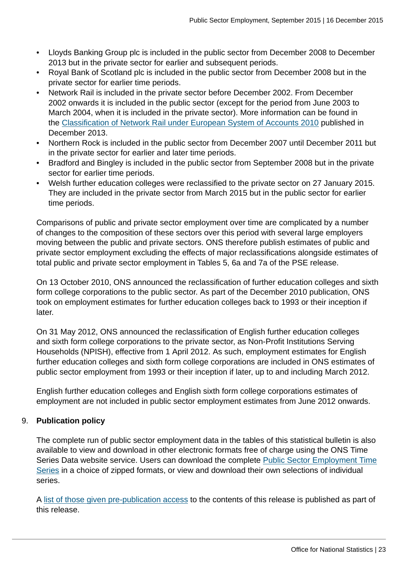- Lloyds Banking Group plc is included in the public sector from December 2008 to December 2013 but in the private sector for earlier and subsequent periods.
- Royal Bank of Scotland plc is included in the public sector from December 2008 but in the private sector for earlier time periods.
- Network Rail is included in the private sector before December 2002. From December 2002 onwards it is included in the public sector (except for the period from June 2003 to March 2004, when it is included in the private sector). More information can be found in the [Classification of Network Rail under European System of Accounts 2010](http://www.ons.gov.uk:80/ons/rel/na-classification/national-accounts-sector-classification/classification-of-network-rail-under-european-system-of-accounts-2010/art--classification-of-network-rail-under-european-system-of-accounts-2010.html) published in December 2013.
- Northern Rock is included in the public sector from December 2007 until December 2011 but in the private sector for earlier and later time periods.
- Bradford and Bingley is included in the public sector from September 2008 but in the private sector for earlier time periods.
- Welsh further education colleges were reclassified to the private sector on 27 January 2015. They are included in the private sector from March 2015 but in the public sector for earlier time periods.

Comparisons of public and private sector employment over time are complicated by a number of changes to the composition of these sectors over this period with several large employers moving between the public and private sectors. ONS therefore publish estimates of public and private sector employment excluding the effects of major reclassifications alongside estimates of total public and private sector employment in Tables 5, 6a and 7a of the PSE release.

On 13 October 2010, ONS announced the reclassification of further education colleges and sixth form college corporations to the public sector. As part of the December 2010 publication, ONS took on employment estimates for further education colleges back to 1993 or their inception if later.

On 31 May 2012, ONS announced the reclassification of English further education colleges and sixth form college corporations to the private sector, as Non-Profit Institutions Serving Households (NPISH), effective from 1 April 2012. As such, employment estimates for English further education colleges and sixth form college corporations are included in ONS estimates of public sector employment from 1993 or their inception if later, up to and including March 2012.

English further education colleges and English sixth form college corporations estimates of employment are not included in public sector employment estimates from June 2012 onwards.

## 9. **Publication policy**

The complete run of public sector employment data in the tables of this statistical bulletin is also available to view and download in other electronic formats free of charge using the ONS Time Series Data website service. Users can download the complete [Public Sector Employment Time](http://www.ons.gov.uk:80/ons/rel/pse/public-sector-employment/q3-2015/tsd-pse.html) [Series](http://www.ons.gov.uk:80/ons/rel/pse/public-sector-employment/q3-2015/tsd-pse.html) in a choice of zipped formats, or view and download their own selections of individual series.

A [list of those given pre-publication access](http://www.ons.gov.uk:80/ons/rel/pse/public-sector-employment/q3-2015/pre-release-access.html) to the contents of this release is published as part of this release.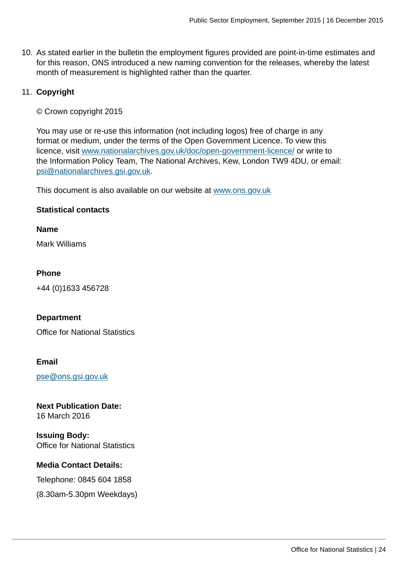10. As stated earlier in the bulletin the employment figures provided are point-in-time estimates and for this reason, ONS introduced a new naming convention for the releases, whereby the latest month of measurement is highlighted rather than the quarter.

#### 11. **Copyright**

© Crown copyright 2015

You may use or re-use this information (not including logos) free of charge in any format or medium, under the terms of the Open Government Licence. To view this licence, visit [www.nationalarchives.gov.uk/doc/open-government-licence/](http://www.nationalarchives.gov.uk/doc/open-government-licence/) or write to the Information Policy Team, The National Archives, Kew, London TW9 4DU, or email: [psi@nationalarchives.gsi.gov.uk](mailto:psi@nationalarchives.gsi.gov.uk).

This document is also available on our website at [www.ons.gov.uk](http://www.ons.gov.uk)

#### **Statistical contacts**

**Name**

Mark Williams

#### **Phone**

+44 (0)1633 456728

#### **Department**

Office for National Statistics

#### **Email**

[pse@ons.gsi.gov.uk](mailto:pse@ons.gsi.gov.uk)

## **Next Publication Date:**

16 March 2016

**Issuing Body:** Office for National Statistics

#### **Media Contact Details:**

Telephone: 0845 604 1858

(8.30am-5.30pm Weekdays)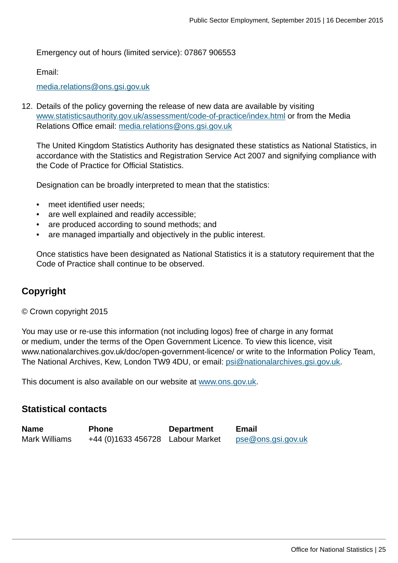Emergency out of hours (limited service): 07867 906553

Email:

[media.relations@ons.gsi.gov.uk](mailto:media.relations@ons.gsi.gov.uk)

12. Details of the policy governing the release of new data are available by visiting [www.statisticsauthority.gov.uk/assessment/code-of-practice/index.html](http://www.statisticsauthority.gov.uk/assessment/code-of-practice/index.html) or from the Media Relations Office email: [media.relations@ons.gsi.gov.uk](mailto:media.relations@ons.gsi.gov.uk)

The United Kingdom Statistics Authority has designated these statistics as National Statistics, in accordance with the Statistics and Registration Service Act 2007 and signifying compliance with the Code of Practice for Official Statistics.

Designation can be broadly interpreted to mean that the statistics:

- meet identified user needs;
- are well explained and readily accessible;
- are produced according to sound methods; and
- are managed impartially and objectively in the public interest.

Once statistics have been designated as National Statistics it is a statutory requirement that the Code of Practice shall continue to be observed.

## **Copyright**

© Crown copyright 2015

You may use or re-use this information (not including logos) free of charge in any format or medium, under the terms of the Open Government Licence. To view this licence, visit www.nationalarchives.gov.uk/doc/open-government-licence/ or write to the Information Policy Team, The National Archives, Kew, London TW9 4DU, or email: [psi@nationalarchives.gsi.gov.uk](mailto:psi@nationalarchives.gsi.gov.uk).

This document is also available on our website at [www.ons.gov.uk.](http://www.ons.gov.uk/)

## **Statistical contacts**

| <b>Name</b>   | <b>Phone</b> | <b>Department</b> | <b>Email</b>              |
|---------------|--------------|-------------------|---------------------------|
| Mark Williams |              |                   | <u>pse@ons.gsi.gov.uk</u> |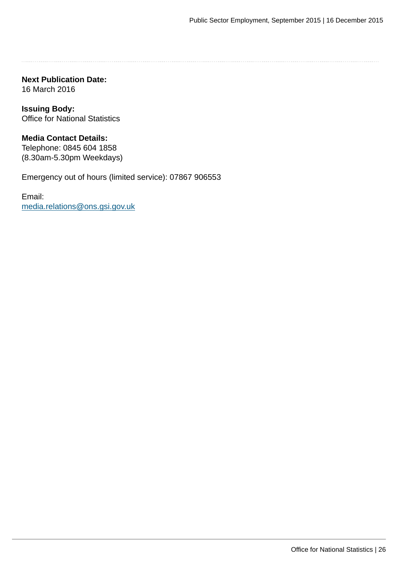**Next Publication Date:** 16 March 2016

**Issuing Body:** Office for National Statistics

**Media Contact Details:** Telephone: 0845 604 1858 (8.30am-5.30pm Weekdays)

Emergency out of hours (limited service): 07867 906553

Email: [media.relations@ons.gsi.gov.uk](mailto:media.relations@ons.gsi.gov.uk)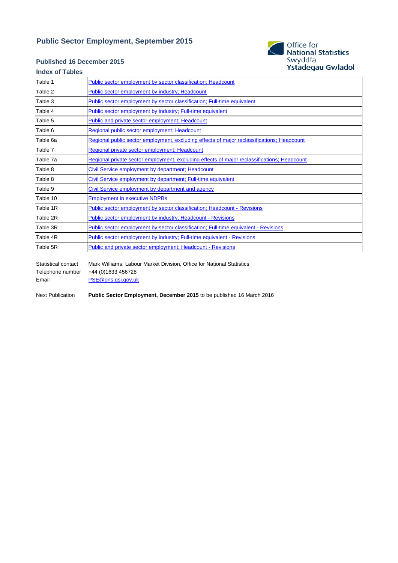#### **Public Sector Employment, September 2015**

#### **Published 16 December 2015**

# Office for<br>National Statistics Swyddfa<br>Swyddfa<br>Ystadegau Gwladol

#### **Index of Tables**

| Table 1  | Public sector employment by sector classification; Headcount                                |
|----------|---------------------------------------------------------------------------------------------|
| Table 2  | Public sector employment by industry; Headcount                                             |
| Table 3  | Public sector employment by sector classification; Full-time equivalent                     |
| Table 4  | Public sector employment by industry; Full-time equivalent                                  |
| Table 5  | Public and private sector employment; Headcount                                             |
| Table 6  | Regional public sector employment; Headcount                                                |
| Table 6a | Regional public sector employment, excluding effects of major reclassifications; Headcount  |
| Table 7  | Regional private sector employment; Headcount                                               |
| Table 7a | Regional private sector employment, excluding effects of major reclassifications; Headcount |
| Table 8  | Civil Service employment by department; Headcount                                           |
| Table 8  | Civil Service employment by department; Full-time equivalent                                |
| Table 9  | Civil Service employment by department and agency                                           |
| Table 10 | <b>Employment in executive NDPBs</b>                                                        |
| Table 1R | Public sector employment by sector classification; Headcount - Revisions                    |
| Table 2R | <b>Public sector employment by industry; Headcount - Revisions</b>                          |
| Table 3R | Public sector employment by sector classification; Full-time equivalent - Revisions         |
| Table 4R | Public sector employment by industry; Full-time equivalent - Revisions                      |
| Table 5R | Public and private sector employment; Headcount - Revisions                                 |
|          |                                                                                             |

Statistical contact Mark Williams, Labour Market Division, Office for National Statistics Telephone number +44 (0)1633 456728 Email [PSE@ons.gsi.gov.uk](mailto:PSE@ons.gsi.gov.uk)

Next Publication **Public Sector Employment, December 2015** to be published 16 March 2016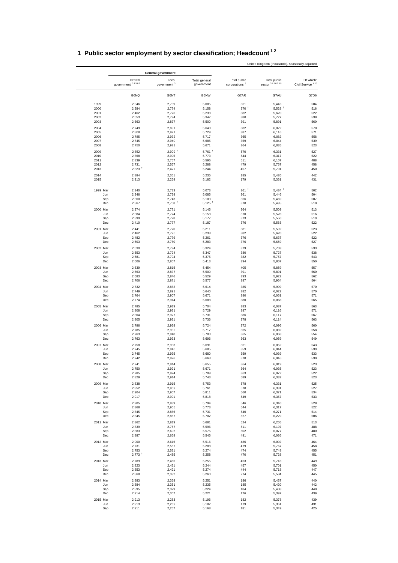|                 |                             | <b>General government</b>        |                             |                                                  |                                       |                                           |
|-----------------|-----------------------------|----------------------------------|-----------------------------|--------------------------------------------------|---------------------------------------|-------------------------------------------|
|                 | Central<br>government 34567 | Local<br>government <sup>3</sup> | Total general<br>government | <b>Total public</b><br>corporations <sup>8</sup> | <b>Total public</b><br>sector 3456789 | Of which:<br>Civil Service <sup>410</sup> |
|                 | G6NQ                        | G6NT                             | G6NW                        | G7AR                                             | G7AU                                  | G7D6                                      |
| 1999            | 2,346                       | 2,739                            | 5,085                       | 361                                              | 5,446                                 | 504                                       |
| 2000            | 2,384                       | 2,774                            | 5,158                       | 370 +                                            | $5,528$ <sup>+</sup>                  | 516                                       |
| 2001<br>2002    | 2,462                       | 2,776                            | 5,238                       | 382                                              | 5,620                                 | 522                                       |
| 2003            | 2,553<br>2,663              | 2,794<br>2,837                   | 5,347<br>5,500              | 380<br>391                                       | 5,727<br>5,891                        | 538<br>560                                |
| 2004            | 2,749                       | 2,891                            | 5,640                       | 382                                              | 6,022                                 | 570                                       |
| 2005            | 2,808                       | 2,921                            | 5,729                       | 387                                              | 6,116                                 | 571                                       |
| 2006            | 2,785                       | 2,932                            | 5,717                       | 365                                              | 6,082                                 | 558                                       |
| 2007<br>2008    | 2,745<br>2,750              | 2,940<br>2,921                   | 5,685<br>5,671              | 359<br>364                                       | 6,044<br>6,035                        | 539<br>523                                |
| 2009            | 2,852                       | $2,909$ <sup>+</sup>             | $5,761$ <sup>+</sup>        | 570                                              | 6,331                                 | 527                                       |
| 2010            | 2,868                       | 2,905                            | 5,773                       | 544                                              | 6,317                                 | 522                                       |
| 2011<br>2012    | 2,839<br>2,731              | 2,757                            | 5,596<br>5,288              | 511<br>479                                       | 6,107<br>5,767                        | 488<br>458                                |
| 2013            | $2,823$ <sup>+</sup>        | 2,557<br>2,421                   | 5,244                       | 457                                              | 5,701                                 | 450                                       |
| 2014            | 2,884                       | 2,351                            | 5,235                       | 185                                              | 5,420                                 | 442                                       |
| 2015            | 2,913                       | 2,269                            | 5,182                       | 179                                              | 5,361                                 | 431                                       |
| 1999 Mar        | 2,340                       | 2,733                            | 5,073                       | $361$ <sup>+</sup>                               | $5,434$ <sup>+</sup>                  | 502                                       |
| Jun<br>Sep      | 2,346<br>2,360              | 2,739<br>2,743                   | 5,085<br>5,103              | 361<br>366                                       | 5,446<br>5,469                        | 504<br>507                                |
| Dec             | 2,367                       | $2,758$ <sup>+</sup>             | $5,125$ <sup>+</sup>        | 370                                              | 5,495                                 | 510                                       |
| 2000 Mar        | 2,374                       | 2,771                            | 5,145                       | 364                                              | 5,509                                 | 513                                       |
| Jun<br>Sep      | 2,384<br>2,399              | 2,774<br>2,778                   | 5,158<br>5,177              | 370<br>373                                       | 5,528<br>5,550                        | 516<br>519                                |
| Dec             | 2,410                       | 2,777                            | 5,187                       | 376                                              | 5,563                                 | 522                                       |
| 2001 Mar        | 2,441                       | 2,770                            | 5,211                       | 381                                              | 5,592                                 | 523                                       |
| Jun             | 2,462                       | 2,776                            | 5,238                       | 382                                              | 5,620                                 | 522                                       |
| Sep<br>Dec      | 2,482<br>2,503              | 2,779<br>2,780                   | 5,261<br>5,283              | 376<br>376                                       | 5,637<br>5,659                        | 522<br>527                                |
| 2002 Mar        |                             |                                  |                             |                                                  |                                       |                                           |
| Jun             | 2,530<br>2,553              | 2,794<br>2,794                   | 5,324<br>5,347              | 379<br>380                                       | 5,703<br>5,727                        | 533<br>538                                |
| Sep             | 2,581                       | 2,794                            | 5,375                       | 382                                              | 5,757                                 | 543                                       |
| Dec             | 2,606                       | 2,807                            | 5,413                       | 394                                              | 5,807                                 | 550                                       |
| 2003 Mar        | 2,639                       | 2,815<br>2,837                   | 5,454<br>5,500              | 405<br>391                                       | 5,859<br>5,891                        | 557<br>560                                |
| Jun<br>Sep      | 2,663<br>2,683              | 2,846                            | 5,529                       | 393                                              | 5,922                                 | 562                                       |
| Dec             | 2,706                       | 2,871                            | 5,577                       | 387                                              | 5,964                                 | 564                                       |
| 2004 Mar        | 2,732                       | 2,882                            | 5,614                       | 385                                              | 5,999                                 | 570                                       |
| Jun             | 2,749<br>2,764              | 2,891<br>2,907                   | 5,640<br>5,671              | 382<br>380                                       | 6,022<br>6,051                        | 570<br>571                                |
| Sep<br>Dec      | 2,774                       | 2,914                            | 5,688                       | 380                                              | 6,068                                 | 565                                       |
| 2005 Mar        | 2,785                       | 2,919                            | 5,704                       | 383                                              | 6,087                                 | 563                                       |
| Jun             | 2,808                       | 2,921                            | 5,729                       | 387                                              | 6,116                                 | 571                                       |
| Sep<br>Dec      | 2,804<br>2,805              | 2,927<br>2,931                   | 5,731<br>5,736              | 386<br>378                                       | 6,117<br>6,114                        | 567<br>563                                |
| 2006 Mar        | 2,796                       | 2,928                            | 5,724                       | 372                                              | 6,096                                 | 560                                       |
| Jun             | 2,785                       | 2,932                            | 5,717                       | 365                                              | 6,082                                 | 558                                       |
| Sep             | 2,763                       | 2,940                            | 5,703                       | 365                                              | 6,068                                 | 554                                       |
| Dec             | 2,763                       | 2,933                            | 5,696                       | 363                                              | 6,059                                 | 549                                       |
| 2007 Mar<br>Jun | 2,758<br>2,745              | 2,933<br>2,940                   | 5,691<br>5,685              | 361<br>359                                       | 6,052<br>6,044                        | 543<br>539                                |
| Sep             | 2,745                       | 2,935                            | 5,680                       | 359                                              | 6,039                                 | 533                                       |
| Dec             | 2,742                       | 2,926                            | 5,668                       | 378                                              | 6,046                                 | 530                                       |
| 2008 Mar        | 2,741                       | 2,914                            | 5,655                       | 364                                              | 6,019                                 | 523                                       |
| Jun<br>Sep      | 2,750<br>2,785              | 2,921<br>2,924                   | 5,671<br>5,709              | 364<br>363                                       | 6,035<br>6,072                        | 523<br>522                                |
| Dec             | 2,829                       | 2,914                            | 5,743                       | 589                                              | 6,332                                 | 523                                       |
| 2009 Mar        | 2,838                       | 2,915                            | 5,753                       | 578                                              | 6,331                                 | 525                                       |
| Jun             | 2,852                       | 2,909                            | 5,761                       | 570                                              | 6,331                                 | 527                                       |
| Sep<br>Dec      | 2,904<br>2,917              | 2,907<br>2,901                   | 5,811<br>5,818              | 560<br>549                                       | 6,371<br>6,367                        | 534<br>533                                |
| 2010 Mar        | 2,905                       | 2,889                            | 5,794                       | 546                                              | 6,340                                 | 528                                       |
| Jun             | 2,868                       | 2,905                            | 5,773                       | 544                                              | 6,317                                 | 522                                       |
| Sep             | 2,845                       | 2,886                            | 5,731                       | 540                                              | 6,271                                 | 514                                       |
| Dec             | 2,845                       | 2,857                            | 5,702                       | 527                                              | 6,229                                 | 506                                       |
| 2011 Mar<br>Jun | 2,862<br>2,839              | 2,819<br>2,757                   | 5,681<br>5,596              | 524<br>511                                       | 6,205<br>6,107                        | 513<br>488                                |
| Sep             | 2,883                       | 2,692                            | 5,575                       | 502                                              | 6,077                                 | 480                                       |
| Dec             | 2,887                       | 2,658                            | 5,545                       | 491                                              | 6,036                                 | 471                                       |
| 2012 Mar        | 2,900                       | 2,616                            | 5,516                       | 486                                              | 6,002                                 | 464                                       |
| Jun<br>Sep      | 2,731<br>2,753              | 2,557<br>2,521                   | 5,288<br>5,274              | 479<br>474                                       | 5,767<br>5,748                        | 458<br>455                                |
| Dec             | $2,773$ <sup>†</sup>        | 2,485                            | 5,258                       | 470                                              | 5,728                                 | 451                                       |
| 2013 Mar        | 2,789                       | 2,466                            | 5,255                       | 463                                              | 5,718                                 | 449                                       |
| Jun             | 2,823                       | 2,421                            | 5,244                       | 457                                              | 5,701                                 | 450                                       |
| Sep<br>Dec      | 2,853<br>2,868              | 2,421<br>2,392                   | 5,274<br>5,260              | 444<br>274                                       | 5,718<br>5,534                        | 447<br>445                                |
|                 |                             |                                  |                             |                                                  |                                       | 440                                       |
| 2014 Mar<br>Jun | 2,883<br>2,884              | 2,368<br>2,351                   | 5,251<br>5,235              | 186<br>185                                       | 5,437<br>5,420                        | 442                                       |
| Sep             | 2,895                       | 2,329                            | 5,224                       | 184                                              | 5,408                                 | 440                                       |
| Dec             | 2,914                       | 2,307                            | 5,221                       | 176                                              | 5,397                                 | 439                                       |
| 2015 Mar        | 2,913                       | 2,283                            | 5,196                       | 182                                              | 5,378                                 | 439                                       |
| Jun<br>Sep      | 2,913<br>2,911              | 2,269<br>2,257                   | 5,182<br>5,168              | 179<br>181                                       | 5,361<br>5,349                        | 431<br>425                                |

## **1 Public sector employment by sector classification; Headcount 1 2**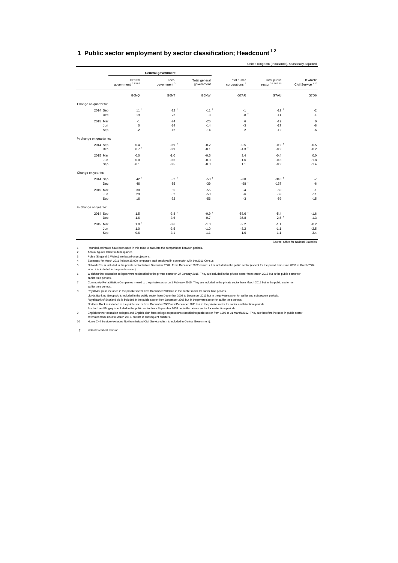#### <span id="page-28-0"></span>**1 Public sector employment by sector classification; Headcount 1 2**

|                         |                             |                           |                             |                                           | United Kingdom (thousands), seasonally adjusted |                                           |
|-------------------------|-----------------------------|---------------------------|-----------------------------|-------------------------------------------|-------------------------------------------------|-------------------------------------------|
|                         |                             | <b>General government</b> |                             |                                           |                                                 |                                           |
|                         | Central<br>government 34567 | Local<br>government $3$   | Total general<br>government | Total public<br>corporations <sup>8</sup> | Total public<br>sector 3456789                  | Of which:<br>Civil Service <sup>410</sup> |
|                         | G6NQ                        | G6NT                      | G6NW                        | G7AR                                      | G7AU                                            | G7D6                                      |
| Change on quarter to:   |                             |                           |                             |                                           |                                                 |                                           |
| 2014 Sep                | 11 <sup>†</sup>             | $-22$ <sup>+</sup>        | $-11$ <sup>+</sup>          | $-1$                                      | $-12$ <sup>+</sup>                              | $-2$                                      |
| Dec                     | 19                          | $-22$                     | $-3$                        | $-8$ <sup>+</sup>                         | $-11$                                           | $-1$                                      |
| 2015 Mar                | $-1$                        | $-24$                     | $-25$                       | 6                                         | $-19$                                           | $\pmb{0}$                                 |
| Jun                     | $\mathbf 0$                 | $-14$                     | $-14$                       | $-3$                                      | $-17$                                           | $-8$                                      |
| Sep                     | $\cdot 2$                   | $-12$                     | $-14$                       | $\overline{2}$                            | $-12$                                           | $-6$                                      |
| % change on quarter to: |                             |                           |                             |                                           |                                                 |                                           |
| 2014 Sep                | 0.4                         | $-0.9+$                   | $-0.2$                      | $-0.5$                                    | $-0.2$ <sup>+</sup>                             | $-0.5$                                    |
| Dec                     | $0.7$ <sup>+</sup>          | $-0.9$                    | $-0.1$                      | $-4.3$ <sup>+</sup>                       | $-0.2$                                          | $-0.2$                                    |
| 2015 Mar                | 0.0                         | $-1.0$                    | $-0.5$                      | 3.4                                       | $-0.4$                                          | 0.0                                       |
| Jun                     | 0.0                         | $-0.6$                    | $-0.3$                      | $-1.6$                                    | $-0.3$                                          | $-1.8$                                    |
| Sep                     | $-0.1$                      | $-0.5$                    | $-0.3$                      | 1.1                                       | $-0.2$                                          | $-1.4$                                    |
| Change on year to:      |                             |                           |                             |                                           |                                                 |                                           |
| 2014 Sep                | $42^+$                      | $-92$ <sup>+</sup>        | $-50$ <sup>+</sup>          | $-260$                                    | $-310$ <sup>+</sup>                             | $-7$                                      |
| Dec                     | 46                          | $-85$                     | $-39$                       | $-98$ <sup>+</sup>                        | $-137$                                          | $-6$                                      |
| 2015 Mar                | 30                          | $-85$                     | $-55$                       | $-4$                                      | $-59$                                           | $-1$                                      |
| Jun                     | 29                          | $-82$                     | $-53$                       | $-6$                                      | $-59$                                           | $-11$                                     |
| Sep                     | 16                          | $-72$                     | $-56$                       | $-3$                                      | $-59$                                           | $-15$                                     |
| % change on year to:    |                             |                           |                             |                                           |                                                 |                                           |
| 2014 Sep                | 1.5                         | $-3.8$ <sup>+</sup>       | $-0.9+$                     | $-58.6$ <sup>+</sup>                      | $-5.4$                                          | $-1.6$                                    |
| Dec                     | 1.6                         | $-3.6$                    | $-0.7$                      | $-35.8$                                   | $-2.5$ <sup>+</sup>                             | $-1.3$                                    |
| 2015 Mar                | $1.0$ <sup>+</sup>          | $-3.6$                    | $-1.0$                      | $-2.2$                                    | $-1.1$                                          | $-0.2$                                    |
| Jun                     | 1.0                         | $-3.5$                    | $-1.0$                      | $-3.2$                                    | $-1.1$                                          | $-2.5$                                    |
| Sep                     | 0.6                         | $-3.1$                    | $-1.1$                      | $-1.6$                                    | $-1.1$                                          | $-3.4$                                    |

Source: Office for National Statistics

1 Rounded estimates have been used in this table to calculate the comparisons between periods.

2 Annual figures relate to June quarter.<br>3 Police (England & Wales) are based<br>4 Fstimates for March 2011 include 15.

3 Police (England & Wales) are based on projections.<br>4 Estimates for March 2011 include 15,000 temporary staff employed in connection with the 2011 Census.<br>5 Network Rail is included in the private sector before December 2 when it is included in the private sector).<br>6 Welsh further education colleges were reclassified to the private sector on 27 January 2015. They are included in the private sector from March 2015 but in the public sector fo

earlier time periods.<br>Community Rehabilitation Companies moved to the private sector on 1 February 2015. They are included in the private sector form March 2015 but in the public sector for

community Rehabilitation Companies moved to the private sector on 1 February 2015. They are included in the private sector from March 2015 but in the public sector for Royal Mail plc is included in the private sector from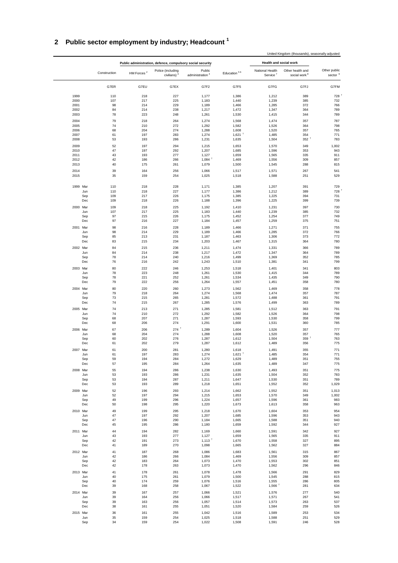## **2 Public sector employment by industry; Headcount <sup>1</sup>**

|              |              |                                                            |                                              |                                       |                               |                                         | United Kingdom (thousands), seasonally adjusted |                                     |
|--------------|--------------|------------------------------------------------------------|----------------------------------------------|---------------------------------------|-------------------------------|-----------------------------------------|-------------------------------------------------|-------------------------------------|
|              |              | Public administration, defence, compulsory social security |                                              |                                       |                               | Health and social work                  |                                                 |                                     |
|              | Construction | HM Forces <sup>2</sup>                                     | Police (including<br>civilians) <sup>3</sup> | Public<br>administration <sup>4</sup> | Education <sup>56</sup>       | National Health<br>Service <sup>7</sup> | Other health and<br>social work <sup>8</sup>    | Other public<br>sector <sup>9</sup> |
|              | G7ER         | G7EU                                                       | G7EX                                         | G7F2                                  | G7F5                          | G7FG                                    | G7FJ                                            | G7FM                                |
| 1999         | 110          | 218                                                        | 227                                          | 1,177                                 | 1,386                         | 1,212                                   | 389                                             | 728                                 |
| 2000         | 107          | 217                                                        | 225                                          | 1,183                                 | 1,440                         | 1,239                                   | 385                                             | 732                                 |
| 2001         | 98           | 214                                                        | 229                                          | 1,189                                 | 1,466                         | 1,285                                   | 372                                             | 766                                 |
| 2002         | 84           | 214                                                        | 238                                          | 1,217                                 | 1,472                         | 1,347                                   | 364                                             | 789                                 |
| 2003         | 78           | 223                                                        | 248                                          | 1,261                                 | 1,530                         | 1,415                                   | 344                                             | 789                                 |
| 2004         | 79           | 218                                                        | 264                                          | 1,274                                 | 1,568                         | 1,474                                   | 357                                             | 787                                 |
| 2005<br>2006 | 74<br>68     | 210<br>204                                                 | 272<br>274                                   | 1,292                                 | 1,582<br>1,608                | 1,526                                   | 364<br>357                                      | 798<br>765                          |
| 2007         | 61           | 197                                                        | 283                                          | 1,288<br>1,274                        | $1,621$ <sup>†</sup>          | 1,520<br>1,485                          | 354                                             | 771                                 |
| 2008         | 53           | 193                                                        | 286                                          | 1,231                                 | 1,635                         | 1,504                                   | $352^{\frac{1}{2}}$                             | 783                                 |
| 2009         | 52           | 197                                                        | 294                                          | 1,215                                 | 1,653                         | 1,570                                   | 349                                             | 1,002                               |
| 2010         | 47           | 197                                                        | 292                                          | 1,207                                 | 1,685                         | 1,596                                   | 353                                             | 943                                 |
| 2011         | 43           | 193                                                        | 277                                          | 1,127                                 | 1,659                         | 1,565                                   | 335                                             | 911                                 |
| 2012         | 42           | 186                                                        | 266                                          | $1,084$ <sup>+</sup>                  | 1,469                         | 1,556                                   | 309                                             | 857                                 |
| 2013         | 40           | 175                                                        | 261                                          | 1,079                                 | 1,500                         | 1,545                                   | 288                                             | 815                                 |
| 2014<br>2015 | 39<br>35     | 164<br>159                                                 | 256<br>254                                   | 1,066<br>1,025                        | 1,517<br>1,518                | 1,571<br>1,588                          | 267<br>251                                      | 541<br>529                          |
| 1999 Mar     | 110          | 218                                                        | 228                                          | 1,171                                 | 1,385                         | 1,207                                   | 391                                             | 729                                 |
| Jun          | 110          | 218                                                        | 227                                          | 1,177                                 | 1,386                         | 1,212                                   | 389                                             | 728                                 |
| Sep          | 109          | 217                                                        | 226                                          | 1,175                                 | 1,385                         | 1,225                                   | 394                                             | 731                                 |
| Dec          | 109          | 218                                                        | 226                                          | 1,188                                 | 1,396                         | 1,225                                   | 399                                             | 739                                 |
| 2000 Mar     | 109          | 218                                                        | 225                                          | 1,192                                 | 1,410                         | 1,231                                   | 397                                             | 730                                 |
| Jun          | 107          | 217                                                        | 225                                          | 1,183                                 | 1,440                         | 1,239                                   | 385                                             | 732                                 |
| Sep          | 97           | 215                                                        | 226                                          | 1,175                                 | 1,452                         | 1,254                                   | 377                                             | 749                                 |
| Dec          | 97           | 216                                                        | 227                                          | 1,184                                 | 1,457                         | 1,259                                   | 375                                             | 751                                 |
| 2001 Mar     | 98           | 216                                                        | 228                                          | 1,189                                 | 1,466                         | 1,271                                   | 371                                             | 755                                 |
| Jun<br>Sep   | 98<br>85     | 214<br>213                                                 | 229<br>231                                   | 1,189<br>1,187                        | 1,466<br>1,463                | 1,285<br>1,306                          | 372<br>373                                      | 766<br>772                          |
| Dec          | 83           | 215                                                        | 234                                          | 1,203                                 | 1,467                         | 1,315                                   | 364                                             | 780                                 |
| 2002 Mar     | 84           | 215                                                        | 236                                          | 1,211                                 | 1,474                         | 1,331                                   | 366                                             | 789                                 |
| Jun          | 84           | 214                                                        | 238                                          | 1,217                                 | 1,472                         | 1,347                                   | 364                                             | 789                                 |
| Sep          | 78           | 214                                                        | 240                                          | 1,216                                 | 1,499                         | 1,369                                   | 352                                             | 785                                 |
| Dec          | 76           | 216                                                        | 242                                          | 1,243                                 | 1,510                         | 1,381                                   | 341                                             | 799                                 |
| 2003 Mar     | 80           | 222                                                        | 246                                          | 1,253                                 | 1,518                         | 1,401                                   | 341                                             | 803                                 |
| Jun          | 78           | 223                                                        | 248                                          | 1,261                                 | 1,530                         | 1,415                                   | 344                                             | 789                                 |
| Sep          | 78           | 221                                                        | 252                                          | 1,261                                 | 1,534                         | 1,435                                   | 349                                             | 790                                 |
| Dec          | 79           | 222                                                        | 256                                          | 1,264                                 | 1,557                         | 1,451                                   | 358                                             | 780                                 |
| 2004 Mar     | 80           | 220                                                        | 260                                          | 1,273                                 | 1,562                         | 1,469                                   | 358                                             | 778                                 |
| Jun<br>Sep   | 79<br>73     | 218<br>215                                                 | 264<br>265                                   | 1,274<br>1,281                        | 1,568<br>1,572                | 1,474<br>1,488                          | 357<br>361                                      | 787<br>791                          |
| Dec          | 74           | 215                                                        | 267                                          | 1,285                                 | 1,576                         | 1,499                                   | 363                                             | 789                                 |
| 2005 Mar     | 74           | 213                                                        | 271                                          | 1,285                                 | 1,581                         | 1,512                                   | 363                                             | 791                                 |
| Jun          | 74           | 210                                                        | 272                                          | 1,292                                 | 1,582                         | 1,526                                   | 364                                             | 798                                 |
| Sep          | 68           | 207                                                        | 271                                          | 1,287                                 | 1,593                         | 1,530                                   | 358                                             | 799                                 |
| Dec          | 68           | 206                                                        | 274                                          | 1,291                                 | 1,600                         | 1,531                                   | 360                                             | 785                                 |
| 2006 Mar     | 67           | 206                                                        | $274$ <sup>+</sup>                           | 1,289                                 | 1,604                         | 1,526                                   | 357                                             | 777                                 |
| Jun          | 68           | 204                                                        | 274                                          | 1,288                                 | 1,608                         | 1,520                                   | 357                                             | 765                                 |
| Sep          | 60           | 202                                                        | 276                                          | 1,287                                 | 1,612                         | 1,504                                   | 359 <sup>1</sup>                                | 763                                 |
| Dec          | 61           | 202                                                        | 279                                          | 1,287                                 | 1,612                         | 1,489                                   | 356                                             | 775                                 |
| 2007 Mar     | 61           | 200                                                        | 281                                          | 1,280                                 | 1,618                         | 1,491                                   | 355                                             | 771                                 |
| Jun<br>Sep   | 61<br>59     | 197<br>194                                                 | 283<br>284                                   | 1,274<br>1,272                        | $1,621$ <sup>+</sup><br>1,629 | 1,485<br>1,489                          | 354<br>351                                      | 771<br>755                          |
| Dec          | 57           | 195                                                        | 284                                          | 1,264                                 | 1,635                         | 1,489                                   | 347                                             | 775                                 |
| 2008 Mar     | 55           | 194                                                        | 286                                          | 1,238                                 | 1,630                         | 1,493                                   | 351                                             | 775                                 |
| Jun          | 53           | 193                                                        | 286                                          | 1,231                                 | 1,635                         | 1,504                                   | 352                                             | 783                                 |
| Sep          | 53           | 194                                                        | 287                                          | 1,211                                 | 1,647                         | 1,530                                   | 351                                             | 789                                 |
| Dec          | 53           | 193                                                        | 289                                          | 1,218                                 | 1,651                         | 1,552                                   | 352                                             | 1,029                               |
| 2009 Mar     | 52           | 196                                                        | 293                                          | 1,214                                 | 1,662                         | 1,552                                   | 351                                             | 1,013                               |
| Jun          | 52           | 197                                                        | 294                                          | 1,215                                 | 1,653                         | 1,570                                   | 349                                             | 1,002                               |
| Sep<br>Dec   | 49<br>50     | 199<br>198                                                 | 296<br>295                                   | 1,224<br>1,220                        | 1,657                         | 1,596                                   | 361<br>358                                      | 983<br>963                          |
|              |              |                                                            |                                              |                                       | 1,673                         | 1,613                                   |                                                 |                                     |
| 2010 Mar     | 49           | 199                                                        | 295                                          | 1,218                                 | 1,670                         | 1,604                                   | 353                                             | 954                                 |
| Jun<br>Sep   | 47<br>47     | 197<br>196                                                 | 292<br>290                                   | 1,207<br>1,184                        | 1,685<br>1,665                | 1,596<br>1,588                          | 353<br>351                                      | 943<br>940                          |
| Dec          | 45           | 195                                                        | 286                                          | 1,180                                 | 1,659                         | 1,592                                   | 344                                             | 927                                 |
| 2011 Mar     | 44           | 194                                                        | 282                                          | 1,169                                 | 1,660                         | 1,591                                   | 342                                             | 927                                 |
| Jun          | 43           | 193                                                        | 277                                          | 1,127                                 | 1,659                         | 1,565                                   | 335                                             | 911                                 |
| Sep          | 42           | 191                                                        | 273                                          | $1,113$ <sup>T</sup>                  | 1,670                         | 1,558                                   | 327                                             | 895                                 |
| $_{\rm Dec}$ | 41           | 189                                                        | 270                                          | 1,098                                 | 1,665                         | 1,562                                   | 327                                             | 884                                 |
| 2012 Mar     | 41           | 187                                                        | 268                                          | 1,086                                 | 1,683                         | 1,561                                   | 315                                             | 867                                 |
| Jun          | 42           | 186                                                        | 266                                          | 1,084                                 | 1,469                         | 1,556                                   | 309                                             | 857                                 |
| Sep          | 42           | 183                                                        | 264                                          | 1,073                                 | 1,470                         | 1,553                                   | 302                                             | 851                                 |
| Dec          | 42           | 178                                                        | 263                                          | 1,073                                 | 1,470                         | 1,562                                   | 296                                             | 846                                 |
| 2013 Mar     | 41           | 178                                                        | 261                                          | 1,078                                 | 1,478                         | 1,566                                   | 291                                             | 829                                 |
| Jun          | 40           | 175                                                        | 261                                          | 1,079                                 | 1,500                         | 1,545                                   | 288                                             | 815                                 |
| Sep<br>Dec   | 40<br>39     | 174<br>168                                                 | 259<br>258                                   | 1,076<br>1,067                        | 1,516<br>1,522                | 1,555<br>$1,566$ <sup>+</sup>           | 286<br>281                                      | 805<br>634                          |
|              |              |                                                            |                                              |                                       |                               |                                         |                                                 |                                     |
| 2014 Mar     | 39<br>39     | 167<br>164                                                 | 257<br>256                                   | 1,066<br>1,066                        | 1,521<br>1,517                | 1,576                                   | 277<br>267                                      | 540<br>541                          |
| Jun<br>Sep   | 39           | 163                                                        | 256                                          | 1,057                                 | 1,514                         | 1,571<br>1,573                          | 263                                             | 537                                 |
| Dec          | 38           | 161                                                        | 255                                          | 1,051                                 | 1,520                         | 1,584                                   | 259                                             | 526                                 |
| 2015 Mar     | 36           | 161                                                        | 255                                          | 1,042                                 | 1,516                         | 1,589                                   | 253                                             | 534                                 |
| Jun          | 35           | 159                                                        | 254                                          | 1,025                                 | 1,518                         | 1,588                                   | 251                                             | 529                                 |
| Sep          | 34           | 159                                                        | 254                                          | 1,022                                 | 1,508                         | 1,591                                   | 246                                             | 528                                 |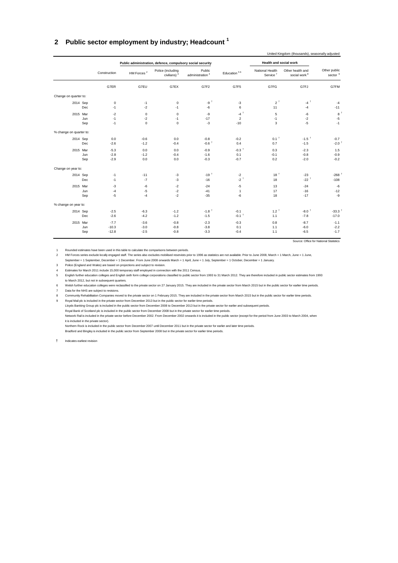#### <span id="page-30-0"></span>**2 Public sector employment by industry; Headcount <sup>1</sup>**

|                         |     |              |                        | Public administration, defence, compulsory social security |                                       |                         | Health and social work                  |                                              |                            |
|-------------------------|-----|--------------|------------------------|------------------------------------------------------------|---------------------------------------|-------------------------|-----------------------------------------|----------------------------------------------|----------------------------|
|                         |     | Construction | HM Forces <sup>2</sup> | Police (including<br>civilians) <sup>3</sup>               | Public<br>administration <sup>4</sup> | Education <sup>56</sup> | National Health<br>Service <sup>7</sup> | Other health and<br>social work <sup>8</sup> | Other public<br>sector $9$ |
|                         |     | G7ER         | G7EU                   | G7EX                                                       | G7F2                                  | G7F5                    | G7FG                                    | G7FJ                                         | G7FM                       |
| Change on quarter to:   |     |              |                        |                                                            |                                       |                         |                                         |                                              |                            |
| 2014 Sep                |     | $\mathbf 0$  | $-1$                   | $\mathsf 0$                                                | $-9$ <sup>t</sup>                     | $-3$                    | $2^{\dagger}$                           | $-4$ <sup>+</sup>                            | $-4$                       |
|                         | Dec | $-1$         | $-2$                   | $-1$                                                       | $-6$                                  | 6                       | 11                                      | $-4$                                         | $-11$                      |
| 2015 Mar                |     | $-2$         | $\mathbf 0$            | $\mathbf 0$                                                | -9                                    | $-4$ <sup>+</sup>       | 5                                       | $-6$                                         | 8 <sup>1</sup>             |
|                         | Jun | $-1$         | $-2$                   | $-1$                                                       | $-17$                                 | $\overline{2}$          | $-1$                                    | $-2$                                         | $-5$                       |
|                         | Sep | $-1$         | $\Omega$               | $\mathbf 0$                                                | $-3$                                  | $-10$                   | 3                                       | $-5$                                         | $-1$                       |
| % change on quarter to: |     |              |                        |                                                            |                                       |                         |                                         |                                              |                            |
| 2014 Sep                |     | 0.0          | $-0.6$                 | 0.0                                                        | $-0.8$                                | $-0.2$                  | $0.1$ <sup>t</sup>                      | $-1.5$ <sup>+</sup>                          | $-0.7$                     |
|                         | Dec | $-2.6$       | $-1.2$                 | $-0.4$                                                     | $-0.6$ <sup>+</sup>                   | 0.4                     | 0.7                                     | $-1.5$                                       | $-2.0$ <sup>+</sup>        |
| 2015 Mar                |     | $-5.3$       | 0.0                    | 0.0                                                        | $-0.9$                                | $-0.3$ <sup>+</sup>     | 0.3                                     | $-2.3$                                       | 1.5                        |
|                         | Jun | $-2.8$       | $-1.2$                 | $-0.4$                                                     | $-1.6$                                | 0.1                     | $-0.1$                                  | $-0.8$                                       | $-0.9$                     |
|                         | Sep | $-2.9$       | 0.0                    | 0.0                                                        | $-0.3$                                | $-0.7$                  | 0.2                                     | $-2.0$                                       | $-0.2$                     |
| Change on year to:      |     |              |                        |                                                            |                                       |                         |                                         |                                              |                            |
| 2014 Sep                |     | $-1$         | $-11$                  | $-3$                                                       | $-19†$                                | $-2$                    | 18 <sup>†</sup>                         | $-23$                                        | $-268$                     |
|                         | Dec | $-1$         | $-7$                   | $-3$                                                       | $-16$                                 | $-2$ <sup>+</sup>       | 18                                      | $-22$ <sup>+</sup>                           | $-108$                     |
| 2015 Mar                |     | $-3$         | $-6$                   | $-2$                                                       | $-24$                                 | $-5$                    | 13                                      | $-24$                                        | $\textbf{-6}$              |
|                         | Jun | $-4$         | $-5$                   | $-2$                                                       | $-41$                                 | $\mathbf{1}$            | 17                                      | $-16$                                        | $-12$                      |
|                         | Sep | $-5$         | $-4$                   | $-2$                                                       | $-35$                                 | $-6$                    | 18                                      | $-17$                                        | $-9$                       |
| % change on year to:    |     |              |                        |                                                            |                                       |                         |                                         |                                              |                            |
| 2014 Sep                |     | $-2.5$       | $-6.3$                 | $-1.2$                                                     | $-1.8$ <sup>+</sup>                   | $-0.1$                  | $1.2^{\text{t}}$                        | $-8.0$ <sup>+</sup>                          | $-33.3$ <sup>+</sup>       |
|                         | Dec | $-2.6$       | $-4.2$                 | $-1.2$                                                     | $-1.5$                                | $-0.1$ <sup>+</sup>     | 1.1                                     | $-7.8$                                       | $-17.0$                    |
| 2015 Mar                |     | $-7.7$       | $-3.6$                 | $-0.8$                                                     | $-2.3$                                | $-0.3$                  | 0.8                                     | $-8.7$                                       | $-1.1$                     |
|                         | Jun | $-10.3$      | $-3.0$                 | $-0.8$                                                     | $-3.8$                                | 0.1                     | 1.1                                     | $-6.0$                                       | $-2.2$                     |
|                         | Sep | $-12.8$      | $-2.5$                 | $-0.8$                                                     | $-3.3$                                | $-0.4$                  | 1.1                                     | $-6.5$                                       | $-1.7$                     |

Source: Office for National Statistics

1 Rounded estimates have been used in this table to calculate the comparisons between periods.

2 HM Forces series exclude locally engaged staff. The series also excludes mobilised reservists prior to 1996 as statistics are not available. Prior to June 2008, March = 1 March, June = 1 June,

September = 1 September, December = 1 December. From June 2008 onwards March = 1 April, June = 1 July, September = 1 October, December = 1 January.

3 Police (England and Wales) are based on projections and subject to revision.

4 Estimates for March 2011 include 15,000 temporary staff employed in connection with the 2011 Census.

5 English further education colleges and English sixth form college corporations classified to public sector from 1993 to 31 March 2012. They are therefore included in public sector estimates from 1993 to March 2012, but not in subsequent quarters.

6 Welsh further education colleges were reclassified to the private sector on 27 January 2015. They are included in the private sector from March 2015 but in the public sector for earlier time periods. Data for the NHS are subject to revisions.

8 Community Rehabilitation Companies moved to the private sector on 1 February 2015. They are included in the private sector from March 2015 but in the public sector for earlier time periods.

9 Royal Mail plc is included in the private sector from December 2013 but in the public sector for earlier time periods.

Lloyds Banking Group plc is included in the public sector from December 2008 to December 2013 but in the private sector for earlier and subsequent periods.<br>Royal Bank of Scotland plc is included in the public sector from D

Network Rail is included in the private sector before December 2002. From December 2002 onwards it is included in the public sector (except for the period from June 2003 to March 2004, when it is included in the private sector).

Northern Rock is included in the public sector from December 2007 until December 2011 but in the private sector for earlier and later time periods. Bradford and Bingley is included in the public sector from September 2008 but in the private sector for earlier time periods.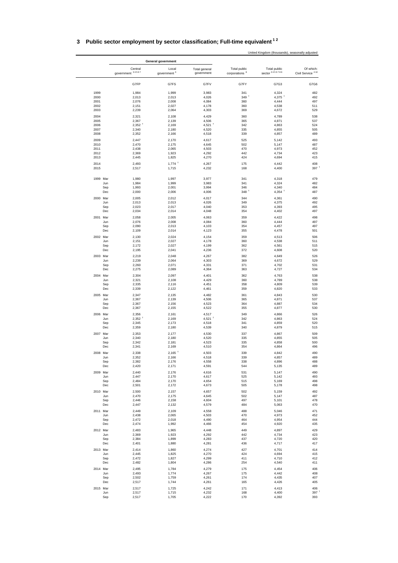| 3 Public sector employment by sector classification; Full-time equivalent <sup>12</sup> |                      |
|-----------------------------------------------------------------------------------------|----------------------|
|                                                                                         | United Kingdom (thou |

|                 |                               | General government               |                               |                                           |                                |                                           |
|-----------------|-------------------------------|----------------------------------|-------------------------------|-------------------------------------------|--------------------------------|-------------------------------------------|
|                 | Central<br>government 34567   | Local<br>government <sup>3</sup> | Total general<br>government   | Total public<br>corporations <sup>8</sup> | Total public<br>sector 3456789 | Of which:<br>Civil Service <sup>410</sup> |
|                 | G7FP                          | G7FS                             | G7FV                          | G7FY                                      | G7G3                           | G7G6                                      |
| 1999            | 1,984                         | 1,999                            | 3,983                         | 341                                       | 4,324                          | 482                                       |
| 2000            | 2,013                         | 2,013                            | 4,026                         | 349 <sup>†</sup>                          | $4,375$ <sup>+</sup>           | 492                                       |
| 2001            | 2,076                         | 2,008                            | 4,084                         | 360                                       | 4,444                          | 497                                       |
| 2002            | 2,151                         | 2,027                            | 4,178                         | 360                                       | 4,538                          | 511                                       |
| 2003            | 2,239                         | 2,064                            | 4,303                         | 369                                       | 4,672                          | 529                                       |
| 2004            | 2,321                         | 2,108                            | 4,429                         | 360                                       | 4,789                          | 538                                       |
| 2005            | 2,367                         | 2,139                            | 4,506                         | 365                                       | 4,871                          | 537                                       |
| 2006<br>2007    | $2,352$ <sup>+</sup><br>2,340 | 2,169<br>2,180                   | $4,521$ <sup>+</sup><br>4,520 | 342<br>335                                | 4,863<br>4,855                 | 524<br>505                                |
| 2008            | 2,352                         | 2,166                            | 4,518                         | 339                                       | 4,857                          | 489                                       |
| 2009            | 2,447                         | 2,170                            | 4,617                         | 525                                       | 5,142                          | 493                                       |
| 2010            | 2,470                         | 2,175                            | 4,645                         | 502                                       | 5,147                          | 487                                       |
| 2011            | 2,438                         | 2,065                            | 4,503                         | 470                                       | 4,973                          | 452                                       |
| 2012            | 2,369                         | 1,923                            | 4,292                         | 442                                       | 4,734                          | 423                                       |
| 2013            | 2,445                         | 1,825                            | 4,270                         | 424                                       | 4,694                          | 415                                       |
| 2014<br>2015    | 2,493<br>2,517                | $1,774$ <sup>+</sup><br>1,715    | 4,267<br>4,232                | 175<br>168                                | 4,442<br>4,400                 | 408<br>397 <sup>1</sup>                   |
|                 |                               |                                  |                               |                                           |                                |                                           |
| 1999 Mar<br>Jun | 1,980<br>1,984                | 1,997<br>1,999                   | 3,977<br>3,983                | 341<br>341                                | 4,318<br>4,324                 | 479<br>482                                |
| Sep             | 1,993                         | 2,001                            | 3,994                         | 346                                       | 4,340                          | 484                                       |
| Dec             | 2,000                         | 2,006                            | 4,006                         | $348$ <sup>+</sup>                        | 4,354 $†$                      | 487                                       |
| 2000 Mar        | 2,005                         | 2,012                            | 4,017                         | 344                                       | 4,361                          | 490                                       |
| Jun             | 2,013                         | 2,013                            | 4,026                         | 349                                       | 4,375                          | 492                                       |
| Sep             | 2,023                         | 2,017                            | 4,040                         | 353                                       | 4,393                          | 495                                       |
| Dec             | 2,034                         | 2,014                            | 4,048                         | 354                                       | 4,402                          | 497                                       |
| 2001 Mar        | 2,058                         | 2,005                            | 4,063                         | 359                                       | 4,422                          | 498                                       |
| Jun             | 2,076                         | 2,008                            | 4,084                         | 360                                       | 4,444                          | 497                                       |
| Sep             | 2,090                         | 2,013                            | 4,103                         | 354                                       | 4,457                          | 497                                       |
| Dec             | 2,109                         | 2,014                            | 4,123                         | 355                                       | 4,478                          | 501                                       |
| 2002 Mar        | 2,130                         | 2,024                            | 4,154                         | 359                                       | 4,513                          | 506                                       |
| Jun             | 2,151                         | 2,027                            | 4,178                         | 360                                       | 4,538                          | 511<br>515                                |
| Sep<br>Dec      | 2,172<br>2,195                | 2,027<br>2,041                   | 4,199<br>4,236                | 362<br>372                                | 4,561<br>4,608                 | 520                                       |
|                 |                               |                                  | 4,267                         |                                           |                                |                                           |
| 2003 Mar<br>Jun | 2,219<br>2,239                | 2,048<br>2,064                   | 4,303                         | 382<br>369                                | 4,649<br>4,672                 | 526<br>529                                |
| Sep             | 2,260                         | 2,071                            | 4,331                         | 371                                       | 4,702                          | 531                                       |
| Dec             | 2,275                         | 2,089                            | 4,364                         | 363                                       | 4,727                          | 534                                       |
| 2004 Mar        | 2,304                         | 2,097                            | 4,401                         | 362                                       | 4,763                          | 538                                       |
| Jun             | 2,321                         | 2,108                            | 4,429                         | 360                                       | 4,789                          | 538                                       |
| Sep             | 2,335                         | 2,116                            | 4,451                         | 358                                       | 4,809                          | 539                                       |
| Dec             | 2,339                         | 2,122                            | 4,461                         | 359                                       | 4,820                          | 533                                       |
| 2005 Mar        | 2,347                         | 2,135                            | 4,482                         | 361                                       | 4,843                          | 530                                       |
| Jun             | 2,367                         | 2,139                            | 4,506                         | 365                                       | 4,871                          | 537                                       |
| Sep<br>Dec      | 2,367<br>2,367                | 2,156<br>2,155                   | 4,523                         | 364<br>355                                | 4,887                          | 534<br>530                                |
|                 |                               |                                  | 4,522                         |                                           | 4,877                          |                                           |
| 2006 Mar<br>Jun | 2,356<br>$2,352$ <sup>+</sup> | 2,161<br>2,169                   | 4,517<br>$4,521$ <sup>+</sup> | 349<br>342                                | 4,866<br>4,863                 | 526<br>524                                |
| Sep             | 2,345                         | 2,173                            | 4,518                         | 341                                       | 4,859                          | 520                                       |
| Dec             | 2,359                         | 2,180                            | 4,539                         | 340                                       | 4,879                          | 515                                       |
| 2007 Mar        | 2,353                         | 2,177                            | 4,530                         | 337                                       | 4,867                          | 509                                       |
| Jun             | 2,340                         | 2,180                            | 4,520                         | 335                                       | 4,855                          | 505                                       |
| Sep             | 2,342                         | 2,181                            | 4,523                         | 335                                       | 4,858                          | 500                                       |
| Dec             | 2,341                         | 2,169                            | 4,510                         | 354                                       | 4,864                          | 496                                       |
| 2008 Mar        | 2,338                         | $2,165$ <sup>+</sup>             | 4,503                         | 339                                       | 4,842                          | 490                                       |
| Jun             | 2,352                         | 2,166                            | 4,518                         | 339                                       | 4,857                          | 489                                       |
| Sep             | 2,382                         | 2,176                            | 4,558                         | 338                                       | 4,896                          | 488                                       |
| Dec             | 2,420                         | 2,171                            | 4,591                         | 544                                       | 5,135                          | 489                                       |
| 2009 Mar        | 2,440                         | 2,176                            | 4,616                         | 531                                       | 5,147                          | 490                                       |
| Jun<br>Sep      | 2,447<br>2,484                | 2,170<br>2,170                   | 4,617<br>4,654                | 525<br>515                                | 5,142<br>5,169                 | 493<br>498                                |
| Dec             | 2,501                         | 2,172                            | 4,673                         | 505                                       | 5,178                          | 498                                       |
|                 | 2,500                         |                                  | 4,657                         | 502                                       |                                | 492                                       |
| 2010 Mar<br>Jun | 2,470                         | 2,157<br>2,175                   | 4,645                         | 502                                       | 5,159<br>5,147                 | 487                                       |
| Sep             | 2,446                         | 2,158                            | 4,604                         | 497                                       | 5,101                          | 478                                       |
| Dec             | 2,447                         | 2,132                            | 4,579                         | 484                                       | 5,063                          | 470                                       |
| 2011 Mar        | 2,449                         | 2,109                            | 4,558                         | 488                                       | 5,046                          | 471                                       |
| Jun             | 2,438                         | 2,065                            | 4,503                         | 470                                       | 4,973                          | 452                                       |
| Sep             | 2,472                         | 2,018                            | 4,490                         | 464                                       | 4,954                          | 444                                       |
| Dec             | 2,474                         | 1,992                            | 4,466                         | 454                                       | 4,920                          | 435                                       |
| 2012 Mar        | 2,483                         | 1,965                            | 4,448                         | 449                                       | 4,897                          | 429                                       |
| Jun             | 2,369                         | 1,923                            | 4,292                         | 442                                       | 4,734                          | 423                                       |
| Sep<br>Dec      | 2,384                         | 1,899                            | 4,283                         | 437<br>436                                | 4,720                          | 420<br>417                                |
|                 | 2,401                         | 1,880                            | 4,281                         |                                           | 4,717                          |                                           |
| 2013 Mar        | 2,414                         | 1,860                            | 4,274                         | 427                                       | 4,701                          | 414                                       |
| Jun<br>Sep      | 2,445<br>2,472                | 1,825<br>1,827                   | 4,270<br>4,299                | 424<br>411                                | 4,694<br>4,710                 | 415<br>412                                |
| Dec             | 2,482                         | 1,804                            | 4,286                         | 254                                       | 4,540                          | 411                                       |
|                 |                               |                                  |                               |                                           | 4,454                          | 406                                       |
| 2014 Mar<br>Jun | 2,495<br>2,493                | 1,784<br>1,774                   | 4,279<br>4,267                | 175<br>175                                | 4,442                          | 408                                       |
| Sep             | 2,502                         | 1,759                            | 4,261                         | 174                                       | 4,435                          | 407                                       |
| Dec             | 2,517                         | 1,744                            | 4,261                         | 165                                       | 4,426                          | 405                                       |
| 2015 Mar        | 2,517                         | 1,725                            | 4,242                         | 171                                       | 4,413                          | 406                                       |
| Jun             | 2,517                         | 1,715                            | 4,232                         | 168                                       | 4,400                          | 397 $†$                                   |
|                 | 2,517<br>Sep                  | 1,705                            | 4,222                         | 170                                       | 4,392                          | 393                                       |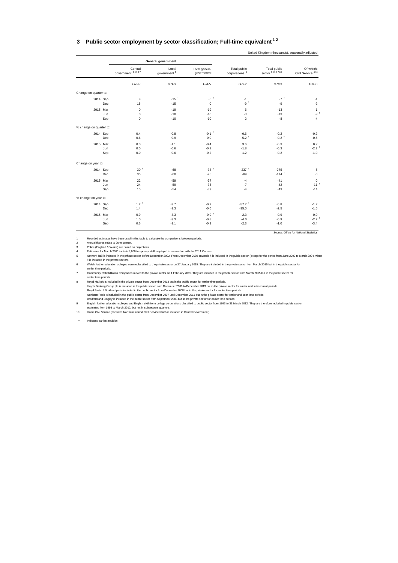#### <span id="page-32-0"></span>**3 Public sector employment by sector classification; Full-time equivalent 1 2**

|                         |     |                             | <b>General government</b>        |                             |                                           |                                |                                           |
|-------------------------|-----|-----------------------------|----------------------------------|-----------------------------|-------------------------------------------|--------------------------------|-------------------------------------------|
|                         |     | Central<br>government 34567 | Local<br>government <sup>3</sup> | Total general<br>government | Total public<br>corporations <sup>8</sup> | Total public<br>sector 3456789 | Of which:<br>Civil Service <sup>410</sup> |
|                         |     | G7FP                        | G7FS                             | G7FV                        | G7FY                                      | G7G3                           | G7G6                                      |
| Change on quarter to:   |     |                             |                                  |                             |                                           |                                |                                           |
| 2014 Sep                |     | 9                           | $-15$ <sup>+</sup>               | $-6$ <sup>+</sup>           | $-1$                                      | $-7$ <sup>+</sup>              | $-1$                                      |
|                         | Dec | 15                          | $-15$                            | $\mathbf 0$                 | $-9$ <sup>+</sup>                         | -9                             | $-2$                                      |
| 2015 Mar                |     | $\mathbf 0$                 | $-19$                            | $-19$                       | 6                                         | $-13$                          | $\mathbf{1}$                              |
|                         | Jun | $\mathbf 0$                 | $-10$                            | $-10$                       | $-3$                                      | $-13$                          | $-91$                                     |
|                         | Sep | $\mathbf 0$                 | $-10$                            | $-10$                       | $\overline{c}$                            | $-8$                           | $-4$                                      |
| % change on quarter to: |     |                             |                                  |                             |                                           |                                |                                           |
| 2014 Sep                |     | 0.4                         | $-0.8$ <sup>+</sup>              | $-0.1$ <sup>+</sup>         | $-0.6$                                    | $-0.2$                         | $-0.2$                                    |
|                         | Dec | 0.6                         | $-0.9$                           | 0.0                         | $-5.2$ <sup>+</sup>                       | $-0.2$ <sup>+</sup>            | $-0.5$                                    |
| 2015 Mar                |     | 0.0                         | $-1.1$                           | $-0.4$                      | 3.6                                       | $-0.3$                         | 0.2                                       |
|                         | Jun | 0.0                         | $-0.6$                           | $-0.2$                      | $-1.8$                                    | $-0.3$                         | $-2.2$ <sup>+</sup>                       |
|                         | Sep | 0.0                         | $-0.6$                           | $-0.2$                      | $1.2$                                     | $-0.2$                         | $-1.0$                                    |
| Change on year to:      |     |                             |                                  |                             |                                           |                                |                                           |
| 2014 Sep                |     | 30 <sup>†</sup>             | $-68$                            | $-38$ <sup>+</sup>          | $-237$ <sup>+</sup>                       | $-275$                         | $-5$                                      |
|                         | Dec | 35                          | $-60†$                           | $-25$                       | $-89$                                     | $-114$ <sup>+</sup>            | $-6$                                      |
| 2015 Mar                |     | 22                          | $-59$                            | $-37$                       | $-4$                                      | $-41$                          | $\mathsf 0$                               |
|                         | Jun | 24                          | $-59$                            | $-35$                       | $-7$                                      | $-42$                          | $-111$                                    |
|                         | Sep | 15                          | $-54$                            | $-39$                       | $-4$                                      | $-43$                          | $-14$                                     |
| % change on year to:    |     |                             |                                  |                             |                                           |                                |                                           |
| 2014 Sep                |     | $1.2^{\dagger}$             | $-3.7$                           | $-0.9$                      | $-57.7$ <sup>+</sup>                      | $-5.8$                         | $-1.2$                                    |
|                         | Dec | 1.4                         | $-3.3$ <sup>+</sup>              | $-0.6$                      | $-35.0$                                   | $-2.5$                         | $-1.5$                                    |
| 2015 Mar                |     | 0.9                         | $-3.3$                           | $-0.9+$                     | $-2.3$                                    | $-0.9$                         | 0.0                                       |
|                         | Jun | 1.0                         | $-3.3$                           | $-0.8$                      | $-4.0$                                    | $-0.9$                         | $-2.7$ <sup>+</sup>                       |
|                         | Sep | 0.6                         | $-3.1$                           | $-0.9$                      | $-2.3$                                    | $-1.0$                         | $-3.4$                                    |
|                         |     |                             |                                  |                             |                                           |                                | Source: Office for National Statistics    |

United Kingdom (thousands), seasonally adjusted

1 Rounded estimates have been used in this table to calculate the comparisons between periods.<br>2 Annual figures relate to June quarter.<br>4 Estimates for March 2011 include 8,000 temporary staff employed in connection with t it is included in the private sector).

6 Welsh further education colleges were reclassified to the private sector on 27 January 2015. They are included in the private sector from March 2015 but in the public sector for earlier time periods.

7 Community Rehabilitation Companies moved to the private sector on 1 February 2015. They are included in the private sector from March 2015 but in the public sector for earlier time periods.

8 Royal Mail plc is included in the private sector from December 2013 but in the public sector for earlier time periods. Lloyds Banking Group plc is included in the public sector from December 2008 to December 2013 but in the private sector for earlier and subsequent periods<br>Royal Bank of Scotland plc is included in the public sector from De

Bradford and Bingley is included in the public sector from September 2008 but in the private sector for earlier time periods.<br>English further education colleges and English sixth form college corporations classified to pub

estimates from 1993 to March 2012, but not in subsequent quarters. 10 Home Civil Service (excludes Northern Ireland Civil Service which is included in Central Government).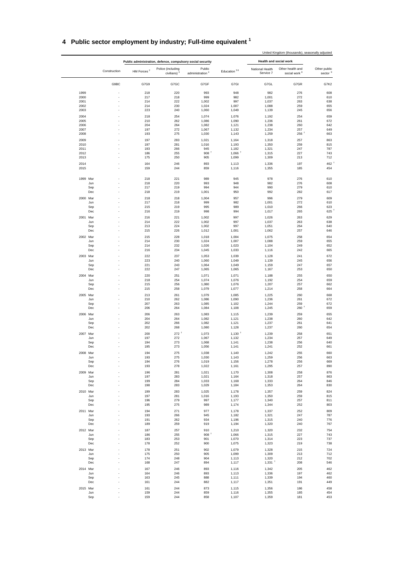|  | 4 Public sector employment by industry; Full-time equivalent ' |  |  |  |  |
|--|----------------------------------------------------------------|--|--|--|--|
|--|----------------------------------------------------------------|--|--|--|--|

|              |              |                                                            |                                 |                                       |                      |                              | United Kingdom (thousands), seasonally adjusted |                                     |
|--------------|--------------|------------------------------------------------------------|---------------------------------|---------------------------------------|----------------------|------------------------------|-------------------------------------------------|-------------------------------------|
|              |              | Public administration, defence, compulsory social security |                                 |                                       |                      |                              | Health and social work                          |                                     |
|              | Construction | HM Forces <sup>2</sup>                                     | Police (including<br>civilians) | Public<br>administration <sup>4</sup> | Education $56$       | National Health<br>Service 7 | Other health and<br>social work <sup>8</sup>    | Other public<br>sector <sup>9</sup> |
|              | G9BC         | G7G9                                                       | G7GC                            | G7GF                                  | G7GI                 | G7GL                         | G7GR                                            | G7K2                                |
| 1999         |              | 218                                                        | 220                             | 993                                   | 948                  | 982                          | 276                                             | 608                                 |
| 2000         |              | 217                                                        | 218                             | 999                                   | 982                  | 1,001                        | 272                                             | 610                                 |
| 2001         |              | 214                                                        | 222                             | 1,002                                 | 997                  | 1,037                        | 263                                             | 638                                 |
| 2002         |              | 214                                                        | 230                             | 1,024                                 | 1,007                | 1,088                        | 259                                             | 655                                 |
| 2003         |              | 223                                                        | 240                             | 1,060                                 | 1,049                | 1,139                        | 245                                             | 656                                 |
| 2004         |              | 218                                                        | 254                             | 1,074                                 | 1,076                | 1,192                        | 254                                             | 659                                 |
| 2005         |              | 210                                                        | 262                             | 1,086                                 | 1,090                | 1,236                        | 261                                             | 672                                 |
| 2006<br>2007 |              | 204<br>197                                                 | 264<br>272                      | 1,082                                 | 1,121                | 1,238                        | 260<br>257                                      | 642<br>649                          |
| 2008         |              | 193                                                        | 275                             | 1,067<br>1,030                        | 1,132<br>1,143       | 1,234<br>1,259               | $256$ <sup>+</sup>                              | 663                                 |
| 2009         |              | 197                                                        | 283                             |                                       |                      |                              |                                                 | 863                                 |
| 2010         |              | 197                                                        | 281                             | 1,021<br>1,016                        | 1,164<br>1,193       | 1,318<br>1,350               | 257<br>259                                      | 815                                 |
| 2011         |              | 193                                                        | 266                             | 945                                   | 1,182                | 1,321                        | 247                                             | 787                                 |
| 2012         |              | 186                                                        | 255                             | 908                                   | $1,066$ <sup>+</sup> | 1,315                        | 227                                             | 743                                 |
| 2013         |              | 175                                                        | 250                             | 905                                   | 1,099                | 1,309                        | 213                                             | 712                                 |
| 2014         |              | 164                                                        | 246                             | 893                                   | 1,113                | 1,336                        | 197                                             | 462                                 |
| 2015         |              | 159                                                        | 244                             | 859                                   | 1,116                | 1,355                        | 185                                             | 454                                 |
| 1999 Mar     |              | 218                                                        | 221                             | 989                                   | 945                  | 978                          | 276                                             | 610                                 |
|              | Jun          | 218                                                        | 220                             | 993                                   | 948                  | 982                          | 276                                             | 608<br>610                          |
|              | Sep<br>Dec   | 217<br>218                                                 | 219<br>219                      | 994<br>1,001                          | 944<br>950           | 990<br>992                   | 279<br>282                                      | 617                                 |
| 2000 Mar     |              | 218                                                        | 218                             | 1,004                                 | 957                  | 996                          | 279                                             | 609                                 |
|              | Jun          | 217                                                        | 218                             | 999                                   | 982                  | 1,001                        | 272                                             | 610                                 |
|              | Sep          | 215                                                        | 219                             | 995                                   | 989                  | 1,010                        | 266                                             | 623                                 |
|              | Dec          | 216                                                        | 219                             | 998                                   | 994                  | 1,017                        | 265                                             | 625                                 |
| 2001 Mar     |              | 216                                                        | 221                             | 1,002                                 | 997                  | 1,026                        | 263                                             | 629                                 |
|              | Jun          | 214                                                        | 222                             | 1,002                                 | 997                  | 1,037                        | 263                                             | 638                                 |
|              | Sep          | 213                                                        | 224                             | 1,002                                 | 997                  | 1,051                        | 264                                             | 640                                 |
|              | Dec          | 215                                                        | 226                             | 1,012                                 | 1,001                | 1,062                        | 257                                             | 646                                 |
| 2002 Mar     |              | 215                                                        | 228                             | 1,018                                 | 1,004                | 1,075                        | 258                                             | 654                                 |
|              | Jun<br>Sep   | 214<br>214                                                 | 230<br>232                      | 1,024<br>1,026                        | 1,007<br>1,023       | 1,088<br>1,104               | 259<br>249                                      | 655<br>652                          |
|              | Dec          | 216                                                        | 234                             | 1,045                                 | 1,033                | 1,116                        | 242                                             | 665                                 |
| 2003 Mar     |              | 222                                                        | 237                             | 1,053                                 | 1,039                | 1,128                        | 241                                             | 672                                 |
|              | Jun          | 223                                                        | 240                             | 1,060                                 | 1,049                | 1,139                        | 245                                             | 656                                 |
|              | Sep          | 221                                                        | 243                             | 1,064                                 | 1,049                | 1,159                        | 247                                             | 657                                 |
|              | Dec          | 222                                                        | 247                             | 1,065                                 | 1,065                | 1,167                        | 253                                             | 650                                 |
| 2004 Mar     |              | 220                                                        | 251                             | 1,071                                 | 1,071                | 1,188                        | 255                                             | 650                                 |
|              | Jun          | 218                                                        | 254                             | 1,074                                 | 1,076                | 1,192                        | 254                                             | 659                                 |
|              | Sep          | 215                                                        | 256                             | 1,080                                 | 1,076                | 1,207                        | 257                                             | 662                                 |
|              | Dec          | 215                                                        | 258                             | 1,079                                 | 1,077                | 1,214                        | 258                                             | 664                                 |
| 2005 Mar     |              | 213                                                        | 261                             | 1,079                                 | 1,085                | 1,225                        | 260                                             | 668                                 |
|              | Jun<br>Sep   | 210<br>207                                                 | 262<br>263                      | 1,086<br>1,085                        | 1,090<br>1,102       | 1,236<br>1,244               | 261<br>259                                      | 672<br>672                          |
|              | Dec          | 206                                                        | 264                             | 1,084                                 | 1,108                | 1,245                        | $260$ <sup>+</sup>                              | 659                                 |
| 2006 Mar     |              | 206                                                        | 263                             | 1,083                                 | 1,115                | 1,239                        | 259                                             | 655                                 |
|              | Jun          | 204                                                        | 264                             | 1,082                                 | 1,121                | 1,238                        | 260                                             | 642                                 |
|              | Sep          | 202                                                        | 266                             | 1,082                                 | 1,121                | 1,237                        | 261                                             | 641                                 |
|              | Dec          | 202                                                        | 268                             | 1,080                                 | 1,128                | 1,237                        | 260                                             | 654                                 |
| 2007 Mar     |              | 200                                                        | $272$ <sup>+</sup>              | 1,073                                 | $1,130$ <sup>+</sup> | 1,239                        | 258                                             | 651                                 |
|              | Jun          | 197                                                        | 272                             | 1,067                                 | 1,132                | 1,234                        | 257                                             | 649                                 |
|              | Sep<br>Dec   | 194<br>195                                                 | 273<br>273                      | 1,068<br>1,056                        | 1,141<br>1,141       | 1,238<br>1,241               | 256<br>252                                      | 640<br>661                          |
|              |              |                                                            |                                 |                                       |                      |                              |                                                 |                                     |
| 2008 Mar     | Jun          | 194<br>193                                                 | 275<br>275                      | 1,038<br>1,030                        | 1,140<br>1,143       | 1,242<br>1,259               | 255<br>256                                      | 660<br>663                          |
|              | Sep          | 194                                                        | 276                             | 1,019                                 | 1,156                | 1,278                        | 256                                             | 669                                 |
|              | Dec          | 193                                                        | 278                             | 1,022                                 | 1,161                | 1,295                        | 257                                             | 890                                 |
| 2009 Mar     |              | 196                                                        | 281                             | 1,021                                 | 1,170                | 1,308                        | 258                                             | 876                                 |
|              | Jun          | 197                                                        | 283                             | 1,021                                 | 1,164                | 1,318                        | 257                                             | 863                                 |
|              | Sep          | 199                                                        | 284                             | 1,033                                 | 1,168                | 1,333                        | 264                                             | 846                                 |
|              | Dec          | 198                                                        | 283                             | 1,029                                 | 1,184                | 1,353                        | 264                                             | 830                                 |
| 2010 Mar     |              | 199                                                        | 283                             | 1,025                                 | 1,178                | 1,357                        | 259                                             | 824                                 |
|              | Jun<br>Sep   | 197<br>196                                                 | 281<br>279                      | 1,016<br>997                          | 1,193                | 1,350<br>1,340               | 259<br>257                                      | 815<br>811                          |
|              | Dec          | 195                                                        | 275                             | 989                                   | 1,177<br>1,174       | 1,344                        | 252                                             | 803                                 |
| 2011 Mar     |              | 194                                                        | 271                             | 977                                   | 1,178                | 1,337                        | 252                                             | 809                                 |
|              | Jun          | 193                                                        | 266                             | 945                                   | 1,182                | 1,321                        | 247                                             | 787                                 |
|              | Sep          | 191                                                        | 262                             | 934                                   | 1,196                | 1,315                        | 240                                             | 776                                 |
|              | Dec<br>í,    | 189                                                        | 259                             | 919                                   | 1,194                | 1,320                        | 240                                             | 767                                 |
| 2012 Mar     |              | 187                                                        | 257                             | 910                                   | 1,210                | 1,320                        | 232                                             | 754                                 |
|              | Jun          | 186                                                        | 255                             | 908 <sup>†</sup>                      | 1,066                | 1,315                        | 227                                             | 743                                 |
|              | Sep          | 183                                                        | 253                             | 901                                   | 1,070                | 1,314                        | 223                                             | 737                                 |
|              | Dec          | 178                                                        | 252                             | 900                                   | 1,075                | 1,323                        | 219                                             | 738                                 |
| 2013 Mar     |              | 178                                                        | 251<br>250                      | 902<br>905                            | 1,079                | 1,328<br>1,309               | 215                                             | 724<br>712                          |
|              | Jun<br>Sep   | 175<br>174                                                 | 248                             | 904                                   | 1,099<br>1,113       | 1,320                        | 213<br>212                                      | 702                                 |
|              | Dec          | 168                                                        | 247                             | 894                                   | 1,117                | $1,331$ <sup>+</sup>         | 208                                             | 546                                 |
| 2014 Mar     |              | 167                                                        | 246                             | 893                                   | 1,116                | 1,342                        | 205                                             | 462                                 |
|              | Jun          | 164                                                        | 246                             | 893                                   | 1,113                | 1,336                        | 197                                             | 462                                 |
|              | Sep          | 163                                                        | 245                             | 888                                   | 1,111                | 1,339                        | 194                                             | 460                                 |
|              | Dec          | 161                                                        | 244                             | 882                                   | 1,117                | 1,351                        | 191                                             | 449                                 |
| 2015 Mar     |              | 161                                                        | 244                             | 873                                   | 1,115                | 1,356                        | 186                                             | 458                                 |
|              | Jun          | 159                                                        | 244                             | 859                                   | 1,116                | 1,355                        | 185                                             | 454                                 |
|              | Sep          | 159                                                        | 244                             | 858                                   | 1,107                | 1,359                        | 181                                             | 453                                 |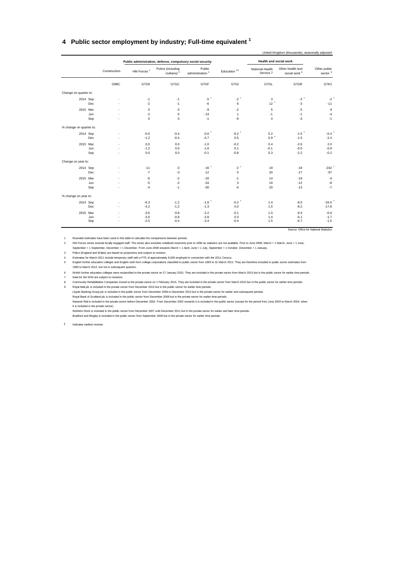#### <span id="page-34-0"></span>**4 Public sector employment by industry; Full-time equivalent <sup>1</sup>**

|                         |              |                        | Public administration, defence, compulsory social security |                                       |                     | Health and social work       |                                              |                            |
|-------------------------|--------------|------------------------|------------------------------------------------------------|---------------------------------------|---------------------|------------------------------|----------------------------------------------|----------------------------|
|                         | Construction | HM Forces <sup>2</sup> | Police (including<br>civilians) <sup>3</sup>               | Public<br>administration <sup>4</sup> | Education 56        | National Health<br>Service 7 | Other health and<br>social work <sup>8</sup> | Other public<br>sector $9$ |
|                         | G9BC         | G7G9                   | G7GC                                                       | G7GF                                  | G7GI                | G7GL                         | G7GR                                         | G7K2                       |
| Change on quarter to:   |              |                        |                                                            |                                       |                     |                              |                                              |                            |
| 2014 Sep                |              | $-1$                   | $-1$                                                       | $-5$ <sup>+</sup>                     | $-2$ <sup>+</sup>   | 3                            | $-3$ <sup>+</sup>                            | $-21$                      |
|                         | Dec          | $-2$                   | $-1$                                                       | -6                                    | 6                   | 12 <sup>†</sup>              | $-3$                                         | $-11$                      |
| 2015 Mar                |              | $\mathbf 0$            | 0                                                          | -9                                    | $-2$                | 5                            | $-5$                                         | $\mathsf g$                |
|                         | Jun          | $-2$                   | 0                                                          | $-14$                                 | $\mathbf{1}$        | $-1$                         | $-1$                                         | $-4$                       |
|                         | Sep          | $\mathbf 0$            | 0                                                          | $-1$                                  | -9                  | $\overline{4}$               | $-4$                                         | $-1$                       |
| % change on quarter to: |              |                        |                                                            |                                       |                     |                              |                                              |                            |
| 2014 Sep                |              | $-0.6$                 | $-0.4$                                                     | $-0.6$ <sup>+</sup>                   | $-0.2$ <sup>+</sup> | 0.2                          | $-1.5$ <sup>+</sup>                          | $-0.4$                     |
|                         | Dec          | $-1.2$                 | $-0.4$                                                     | $-0.7$                                | 0.5                 | 0.9 <sup>†</sup>             | $-1.5$                                       | $-2.4$                     |
| 2015 Mar                |              | 0.0                    | 0.0                                                        | $-1.0$                                | $-0.2$              | 0.4                          | $-2.6$                                       | 2.0                        |
|                         | Jun          | $-1.2$                 | 0.0                                                        | $-1.6$                                | 0.1                 | $-0.1$                       | $-0.5$                                       | $-0.9$                     |
|                         | Sep          | 0.0                    | 0.0                                                        | $-0.1$                                | $-0.8$              | 0.3                          | $-2.2$                                       | $-0.2$                     |
| Change on year to:      |              |                        |                                                            |                                       |                     |                              |                                              |                            |
| 2014 Sep                |              | $-11$                  | $-3$                                                       | $-16$ <sup>+</sup>                    | $-2$ <sup>+</sup>   | 19                           | $-18$                                        | $-242$                     |
|                         | Dec          | $-7$                   | $-3$                                                       | $-12$                                 | $\mathsf 0$         | 20                           | $-17$                                        | $-97$                      |
| 2015 Mar                |              | $-6$                   | $-2$                                                       | $-20$                                 | $-1$                | 14                           | $-19$                                        | $-4$                       |
|                         | Jun          | $-5$                   | $-2$                                                       | $-34$                                 | 3                   | 19                           | $-12$                                        | $^{\circ}8$                |
|                         | Sep          | $-4$                   | $-1$                                                       | $-30$                                 | $-4$                | 20                           | $-13$                                        | $-7$                       |
| % change on year to:    |              |                        |                                                            |                                       |                     |                              |                                              |                            |
| 2014 Sep                |              | $-6.3$                 | $-1.2$                                                     | $-1.8$ <sup>+</sup>                   | $-0.2$ <sup>+</sup> | 1.4                          | $-8.5$                                       | $-34.5$ <sup>1</sup>       |
|                         | Dec          | $-4.2$                 | $-1.2$                                                     | $-1.3$                                | 0.0                 | 1.5                          | $-8.2$                                       | $-17.8$                    |
| 2015 Mar                |              | $-3.6$                 | $-0.8$                                                     | $-2.2$                                | $-0.1$              | 1.0                          | $-9.3$                                       | $-0.9$                     |
|                         | Jun          | $-3.0$                 | $-0.8$                                                     | $-3.8$                                | 0.3                 | 1.4                          | $-6.1$                                       | $-1.7$                     |
|                         | Sep          | $-2.5$                 | $-0.4$                                                     | $-3.4$                                | $-0.4$              | 1.5                          | $-6.7$                                       | $-1.5$                     |

Source: Office for National Statistics

1 Rounded estimates have been used in this table to calculate the comparisons between periods.

2 HM Forces series exclude locally engaged staff. The series also excludes mobilised reservists prior to 1996 as statistics are not available. Prior to June 2008, March = 1 March, June = 1 June,<br>September = 1 September, D

3 Police (England and Wales) are based on projections and subject to revision.

4 Estimates for March 2011 include temporary staff with a FTE of approximately 8,000 employed in connection with the 2011 Census.

5 English further education colleges and English sixth form college corporations classified to public sector from 1993 to 31 March 2012. They are therefore included in public sector estimates from 1993 to March 2012, but not in subsequent quarters.

6 Welsh further education colleges were reclassified to the private sector on 27 January 2015. They are included in the private sector from March 2015 but in the public sector for earlier time periods. 7 Data for the NHS are subject to revisions.

8 Community Rehabilitation Companies moved to the private sector on 1 February 2015. They are included in the private sector from March 2015 but in the public sector for earlier time periods

9 Royal Mail plc is included in the private sector from December 2013 but in the public sector for earlier time periods.

Lloyds Banking Group plc is included in the public sector from December 2008 to December 2013 but in the private sector for earlier and subsequent periods. Royal Bank of Scotland plc is included in the public sector from December 2008 but in the private sector for earlier time periods.

Network Rail is included in the private sector before December 2002. From December 2002 onwards it is included in the public sector (except for the period from June 2003 to March 2004, when it is included in the private sector).

Northern Rock is included in the public sector from December 2007 until December 2011 but in the private sector for earlier and later time periods.

Bradford and Bingley is included in the public sector from September 2008 but in the private sector for earlier time periods.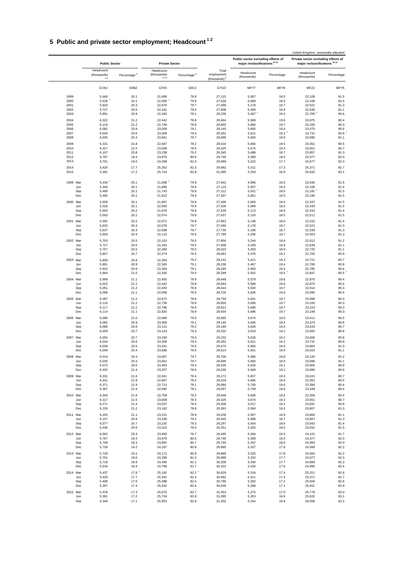## **5 Public and private sector employment; Headcount 1 2**

|              |              |                                |                         |                                 |                         |                                                 |                                                                               |                     | United Kingdom, seasonally adjusted                                            |              |  |
|--------------|--------------|--------------------------------|-------------------------|---------------------------------|-------------------------|-------------------------------------------------|-------------------------------------------------------------------------------|---------------------|--------------------------------------------------------------------------------|--------------|--|
|              |              | <b>Public Sector</b>           |                         | <b>Private Sector</b>           |                         |                                                 | Public sector excluding effects of<br>major reclassifications <sup>1011</sup> |                     | Private sector excluding effects of<br>major reclassifications <sup>1011</sup> |              |  |
|              |              | Headcount<br>(thousands)<br>34 | Percentage <sup>5</sup> | Headcount<br>(thousands)<br>678 | Percentage <sup>9</sup> | Total<br>employment<br>(thousands) <sup>9</sup> | Headcount<br>(thousands)                                                      | Percentage          | Headcount<br>(thousands)                                                       | Percentage   |  |
|              |              | G7AU                           | G9BZ                    | G7K5                            | G9C2                    | G7GO                                            | MFY7                                                                          | MFY9                | MFZ2                                                                           | MFY5         |  |
| 1999         |              | 5,446                          | 20.1                    | 21,669                          | 79.9                    | 27,115                                          | 5,007                                                                         | 18.5                | 22,108                                                                         | 81.5         |  |
| 2000         |              | 5,528                          | 20.1                    | $22,000$ <sup>+</sup>           | 79.9                    | 27,528                                          | 5,089                                                                         | 18.5                | 22,439                                                                         | 81.5         |  |
| 2001         |              | 5,620                          | 20.3                    | 22,079                          | 79.7                    | 27,699                                          | 5,178                                                                         | 18.7                | 22,521                                                                         | 81.3         |  |
| 2002<br>2003 |              | 5,727<br>5,891                 | 20.5<br>20.9            | 22,181<br>22,345                | 79.5<br>79.1            | 27,908<br>28,236                                | 5,269<br>$5,467$ <sup>+</sup>                                                 | 18.9<br>19.4        | 22,639<br>$22,769$ <sup>+</sup>                                                | 81.1<br>80.6 |  |
|              |              |                                |                         |                                 |                         |                                                 |                                                                               |                     |                                                                                |              |  |
| 2004<br>2005 |              | 6,022<br>6,116                 | 21.2<br>21.2            | 22,442<br>22,739                | 78.8<br>78.8            | 28,464<br>28,855                                | 5,589<br>5,690                                                                | 19.6<br>19.7        | 22,875<br>23,165                                                               | 80.4<br>80.3 |  |
| 2006         |              | 6,082                          | 20.9                    | 23,058                          | 79.1                    | 29,140                                          | 5,665                                                                         | 19.4                | 23,475                                                                         | 80.6         |  |
| 2007         |              | 6,044                          | 20.6                    | 23,308                          | 79.4                    | 29,352                                          | 5,621                                                                         | 19.2                | 23,731                                                                         | 80.8         |  |
| 2008         |              | 6,035                          | 20.3                    | 23,661                          | 79.7                    | 29,696                                          | 5,600                                                                         | 18.9                | 24,096                                                                         | 81.1         |  |
| 2009         |              | 6,331                          | 21.8                    | 22,687                          | 78.2                    | 29,018                                          | 5,666                                                                         | 19.5                | 23,352                                                                         | 80.5         |  |
| 2010         |              | 6,317                          | 21.5                    | 23,008                          | 78.5                    | 29,325                                          | 5,674                                                                         | 19.3                | 23,651                                                                         | 80.7         |  |
| 2011<br>2012 |              | 6,107<br>5,767                 | 20.8<br>19.4            | 23,238<br>23,979                | 79.2<br>80.6            | 29,345<br>29,746                                | 5,488<br>5,369                                                                | 18.7<br>18.0        | 23,857<br>24,377                                                               | 81.3<br>82.0 |  |
| 2013         |              | 5,701                          | 19.0                    | 24,298                          | 81.0                    | 29,999                                          | 5,322                                                                         | 17.7                | 24,677                                                                         | 82.3         |  |
|              |              |                                |                         |                                 |                         |                                                 |                                                                               |                     |                                                                                |              |  |
| 2014<br>2015 |              | 5,420<br>5,361                 | 17.7<br>17.2            | 25,262<br>25,734                | 82.3<br>82.8            | 30,682<br>31,095                                | 5,311<br>5,263                                                                | 17.3<br>16.9        | 25,371<br>25,832                                                               | 82.7<br>83.1 |  |
| 1999 Mar     |              | $5,434$ <sup>+</sup>           | 20.1                    | $21,608$ <sup>+</sup>           | 79.9                    | 27,042                                          | 4,996                                                                         | 18.5                | 22,046                                                                         | 81.5         |  |
|              | Jun          | 5,446                          | 20.1                    | 21,669                          | 79.9                    | 27,115                                          | 5,007                                                                         | 18.5                | 22,108                                                                         | 81.5         |  |
|              | Sep<br>Dec   | 5,469<br>5,495                 | 20.1<br>20.1            | 21,743<br>21,812                | 79.9<br>79.9            | 27,212<br>27,307                                | $5,031$ <sup>+</sup><br>5,061                                                 | 18.5<br>18.5        | $22,181$ <sup>1</sup><br>22,246                                                | 81.5<br>81.5 |  |
|              |              | 5,509                          | 20.1                    |                                 | 79.9                    |                                                 | 5,069                                                                         |                     |                                                                                | 81.5         |  |
| 2000 Mar     | Jun          | 5,528                          | 20.1                    | 21,897<br>22,000                | 79.9                    | 27,406<br>27,528                                | 5,089                                                                         | 18.5<br>18.5        | 22,337<br>22,439                                                               | 81.5         |  |
|              | Sep          | 5,550                          | 20.2                    | 21,978                          | 79.8                    | 27,528                                          | 5,113                                                                         | 18.6                | 22,415                                                                         | 81.4         |  |
|              | Dec          | 5,563                          | 20.1                    | 22,074                          | 79.9                    | 27,637                                          | 5,126                                                                         | 18.5                | 22,511                                                                         | 81.5         |  |
| 2001 Mar     |              | 5,592                          | 20.2                    | 22,071                          | 79.8                    | 27,663                                          | 5,148                                                                         | 18.6                | 22,515                                                                         | 81.4         |  |
|              | Jun          | 5,620                          | 20.3                    | 22,079                          | 79.7                    | 27,699                                          | 5,178                                                                         | 18.7                | 22,521                                                                         | 81.3         |  |
|              | Sep          | 5,637                          | 20.3                    | 22,098                          | 79.7                    | 27,735                                          | 5,196                                                                         | 18.7                | 22,539                                                                         | 81.3         |  |
|              | $_{\rm Dec}$ | 5,659                          | 20.4                    | 22,110                          | 79.6                    | 27,769                                          | 5,206                                                                         | 18.7                | 22,563                                                                         | 81.3         |  |
| 2002 Mar     |              | 5,703                          | 20.5                    | 22,153                          | 79.5                    | 27,856                                          | 5,244                                                                         | 18.8                | 22,612                                                                         | 81.2         |  |
|              | Jun          | 5,727                          | 20.5                    | 22,181                          | 79.5                    | 27,908                                          | 5,269                                                                         | 18.9                | 22,639                                                                         | 81.1         |  |
|              | Sep<br>Dec   | 5,757<br>5,807                 | 20.5<br>20.7            | 22,266<br>22,274                | 79.5<br>79.3            | 28,023<br>28,081                                | 5,303<br>5,376                                                                | 18.9<br>19.1        | 22,720<br>22,705                                                               | 81.1<br>80.9 |  |
|              |              |                                |                         |                                 |                         |                                                 |                                                                               |                     |                                                                                |              |  |
| 2003 Mar     | Jun          | 5,859<br>5,891                 | 20.8<br>20.9            | 22,283<br>22,345                | 79.2<br>79.1            | 28,142<br>28,236                                | 5,421<br>5,467                                                                | 19.3<br>19.4        | 22,721<br>22,769                                                               | 80.7<br>80.6 |  |
|              | Sep          | 5,922                          | 20.9                    | 22,363                          | 79.1                    | 28,285                                          | 5,500                                                                         | 19.4                | 22,785                                                                         | 80.6         |  |
|              | Dec          | 5,964                          | 21.0                    | 22,435                          | 79.0                    | 28,399                                          | 5,552                                                                         | $19.5$ <sup>1</sup> | 22,847                                                                         | 80.5         |  |
| 2004 Mar     |              | 5,999                          | 21.1                    | 22,450                          | 78.9                    | 28,449                                          | 5,579                                                                         | 19.6                | 22,870                                                                         | 80.4         |  |
|              | Jun          | 6,022                          | 21.2                    | 22,442                          | 78.8                    | 28,464                                          | 5,589                                                                         | 19.6                | 22,875                                                                         | 80.4         |  |
|              | Sep          | 6,051                          | 21.2                    | 22,493                          | 78.8                    | 28,544                                          | 5,630                                                                         | 19.7                | 22,914                                                                         | 80.3         |  |
|              | Dec          | 6,068                          | 21.1                    | 22,658                          | 78.9                    | 28,726                                          | 5,636                                                                         | 19.6                | 23,090                                                                         | 80.4         |  |
| 2005 Mar     |              | 6,087                          | 21.2                    | 22,672                          | 78.8                    | 28,759                                          | 5,661                                                                         | 19.7                | 23,098                                                                         | 80.3         |  |
|              | Jun          | 6,116                          | 21.2<br>21.2            | 22,739                          | 78.8                    | 28,855                                          | 5,690                                                                         | 19.7                | 23,165                                                                         | 80.3         |  |
|              | Sep<br>Dec   | 6,117<br>6,114                 | 21.1                    | 22,796<br>22,820                | 78.8<br>78.9            | 28,913<br>28,934                                | 5,690<br>5,686                                                                | 19.7<br>19.7        | 23,223<br>23,248                                                               | 80.3<br>80.3 |  |
| 2006 Mar     |              | 6,096                          | 21.0                    | 22,989                          | 79.0                    | 29,085                                          | 5,674                                                                         | 19.5                | 23,411                                                                         | 80.5         |  |
|              | Jun          | 6,082                          | 20.9                    | 23,058                          | 79.1                    | 29,140                                          | 5,665                                                                         | 19.4                | 23,475                                                                         | 80.6         |  |
|              | Sep          | 6,068                          | 20.8                    | 23,121                          | 79.2                    | 29,189                                          | 5,646                                                                         | 19.3                | 23,543                                                                         | 80.7         |  |
|              | Dec          | 6,059                          | 20.7                    | 23,143                          | 79.3                    | 29,202                                          | 5,619                                                                         | 19.2                | 23,583                                                                         | 80.8         |  |
| 2007 Mar     |              | 6,052                          | 20.7                    | 23,180                          | 79.3                    | 29,232                                          | 5,626                                                                         | 19.2                | 23,606                                                                         | 80.8         |  |
|              | Jun          | 6,044                          | 20.6                    | 23,308                          | 79.4                    | 29,352                                          | 5,621                                                                         | 19.2                | 23,731                                                                         | 80.8         |  |
|              | Sep          | 6,039                          | 20.5                    | 23,431                          | 79.5                    | 29,470                                          | 5,606                                                                         | 19.0                | 23,864                                                                         | 81.0         |  |
|              | Dec          | 6,046                          | 20.4                    | 23,568                          | 79.6                    | 29,614                                          | 5,591                                                                         | 18.9                | 24,023                                                                         | 81.1         |  |
| 2008 Mar     |              | 6,019                          | 20.3                    | 23,687                          | 79.7                    | 29,706                                          | 5,586                                                                         | 18.8                | 24,120                                                                         | 81.2         |  |
|              | Jun<br>Sep   | 6,035<br>6,072                 | 20.3<br>20.6            | 23,661<br>23,463                | 79.7<br>79.4            | 29,696<br>29,535                                | 5,600<br>5,630                                                                | 18.9<br>19.1        | 24,096<br>23,905                                                               | 81.1<br>80.9 |  |
|              | Dec          | 6,332                          | 21.4                    | 23,207                          | 78.6                    | 29,539                                          | 5,649                                                                         | 19.1                | 23,890                                                                         | 80.9         |  |
| 2009 Mar     |              | 6,331                          | 21.6                    | 22,941                          | 78.4                    | 29,272                                          | 5,657                                                                         | 19.3                | 23,615                                                                         | 80.7         |  |
|              | Jun          | 6,331                          | 21.8                    | 22,687                          | 78.2                    | 29,018                                          | 5,666                                                                         | 19.5                | 23,352                                                                         | 80.5         |  |
|              | Sep          | 6,371                          | 21.9                    | 22,713                          | 78.1                    | 29,084                                          | 5,700                                                                         | 19.6                | 23,384                                                                         | 80.4         |  |
|              | Dec          | 6,367                          | 21.9                    | 22,690                          | 78.1                    | 29,057                                          | 5,709                                                                         | 19.6                | 23,348                                                                         | 80.4         |  |
| 2010 Mar     |              | 6,340                          | 21.8                    | 22,708                          | 78.2                    | 29,048                                          | 5,690                                                                         | 19.6                | 23,358                                                                         | 80.4         |  |
|              | Jun          | 6,317                          | 21.5                    | 23,008                          | 78.5                    | 29,325                                          | 5,674                                                                         | 19.3                | 23,651                                                                         | 80.7         |  |
|              | Sep<br>Dec   | 6,271<br>6,229                 | 21.4<br>21.2            | 23,037<br>23,162                | 78.6<br>78.8            | 29,308<br>29,391                                | 5,617<br>5,584                                                                | 19.2<br>19.0        | 23,691<br>23,807                                                               | 80.8<br>81.0 |  |
|              |              |                                |                         |                                 |                         |                                                 |                                                                               |                     |                                                                                |              |  |
| 2011 Mar     | Jun          | 6,205<br>6,107                 | 21.1<br>20.8            | 23,231<br>23,238                | 78.9<br>79.2            | 29,436<br>29,345                                | 5,567<br>5,488                                                                | 18.9<br>18.7        | 23,869<br>23,857                                                               | 81.1<br>81.3 |  |
|              | Sep          | 6,077                          | 20.7                    | 23,220                          | 79.3                    | 29,297                                          | 5,454                                                                         | 18.6                | 23,843                                                                         | 81.4         |  |
|              | Dec          | 6,036                          | 20.6                    | 23,315                          | 79.4                    | 29,351                                          | 5,420                                                                         | 18.5                | 23,931                                                                         | 81.5         |  |
| 2012 Mar     |              | 6,002                          | 20.3                    | 23,493                          | 79.7                    | 29,495                                          | 5,394                                                                         | 18.3                | 24,101                                                                         | 81.7         |  |
|              | Jun          | 5,767                          | 19.4                    | 23,979                          | 80.6                    | 29,746                                          | 5,369                                                                         | 18.0                | 24,377                                                                         | 82.0         |  |
|              | Sep          | 5,748                          | 19.3                    | 23,992                          | 80.7                    | 29,740                                          | 5,347                                                                         | 18.0                | 24,393                                                                         | 82.0         |  |
|              | Dec          | 5,728                          | 19.2                    | 24,167                          | 80.8                    | 29,895                                          | 5,327                                                                         | 17.8                | 24,568                                                                         | 82.2         |  |
| 2013 Mar     |              | 5,718                          | 19.1                    | 24,171                          | 80.9                    | 29,889                                          | 5,325                                                                         | 17.8                | 24,564                                                                         | 82.2         |  |
|              | Jun          | 5,701                          | 19.0                    | 24,298                          | 81.0                    | 29,999                                          | 5,322                                                                         | 17.7                | 24,677                                                                         | 82.3         |  |
|              | Sep          | 5,718                          | 18.9                    | 24,490                          | 81.1                    | 30,208                                          | 5,340                                                                         | 17.7                | 24,868                                                                         | 82.3         |  |
|              | Dec          | 5,534                          | 18.3                    | 24,788                          | 81.7                    | 30,322                                          | 5,326                                                                         | 17.6                | 24,996                                                                         | 82.4         |  |
| 2014 Mar     |              | 5,437                          | $17.8$ <sup>+</sup>     | 25,192                          | $82.2$ <sup>+</sup>     | 30,629                                          | 5,318                                                                         | 17.4                | 25,311                                                                         | 82.6         |  |
|              | Jun<br>Sep   | 5,420<br>5,408                 | 17.7<br>17.6            | 25,262<br>25,388                | 82.3<br>82.4            | 30,682<br>30,796                                | 5,311<br>5,292                                                                | 17.3<br>17.2        | 25,371<br>25,504                                                               | 82.7<br>82.8 |  |
|              | Dec          | 5,397                          | 17.4                    | 25,542                          | 82.6                    | 30,939                                          | 5,288                                                                         | 17.1                | 25,651                                                                         | 82.9         |  |
| 2015 Mar     |              | 5,378                          | 17.3                    | 25,675                          | 82.7                    | 31,053                                          | 5,275                                                                         | 17.0                | 25,778                                                                         | 83.0         |  |
|              | Jun          | 5,361                          | 17.2                    | 25,734                          | 82.8                    | 31,095                                          | 5,263                                                                         | 16.9                | 25,832                                                                         | 83.1         |  |
|              | Sep          | 5,349                          | 17.1                    | 25,953                          | 82.9                    | 31,302                                          | 5,244                                                                         | 16.8                | 26,058                                                                         | 83.2         |  |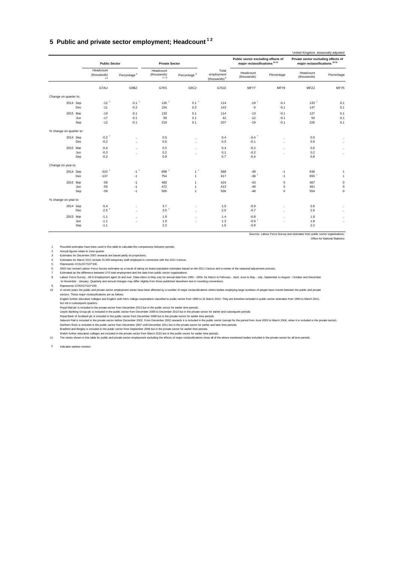#### <span id="page-36-0"></span>**5 Public and private sector employment; Headcount 1 2**

|                         |                                |                         |                                 |                         |                                                 |                                                                               |                      | United Kingdom, seasonally adjusted                                            |              |
|-------------------------|--------------------------------|-------------------------|---------------------------------|-------------------------|-------------------------------------------------|-------------------------------------------------------------------------------|----------------------|--------------------------------------------------------------------------------|--------------|
|                         | <b>Public Sector</b>           |                         | <b>Private Sector</b>           |                         |                                                 | Public sector excluding effects of<br>major reclassifications <sup>1011</sup> |                      | Private sector excluding effects of<br>major reclassifications <sup>1011</sup> |              |
|                         | Headcount<br>(thousands)<br>34 | Percentage <sup>5</sup> | Headcount<br>(thousands)<br>678 | Percentage <sup>9</sup> | Total<br>employment<br>(thousands) <sup>9</sup> | Headcount<br>(thousands)                                                      | Percentage           | Headcount<br>(thousands)                                                       | Percentage   |
|                         | G7AU                           | G9BZ                    | G7K5                            | G9C2                    | G7GO                                            | MFY7                                                                          | MFY9                 | MFZ2                                                                           | MFY5         |
| Change on quarter to:   |                                |                         |                                 |                         |                                                 |                                                                               |                      |                                                                                |              |
| 2014 Sep                | $-12$ <sup>+</sup>             | $-0.1$ <sup>+</sup>     | $126$ <sup>+</sup>              | $0.1$ <sup>+</sup>      | 114                                             | $-19†$                                                                        | $-0.1$               | $133$ <sup>+</sup>                                                             | 0.1          |
|                         | Dec<br>$-11$                   | $-0.2$                  | 154                             | 0.2                     | 143                                             | $-4$                                                                          | $-0.1$               | 147                                                                            | 0.1          |
| 2015 Mar                | $-19$                          | $-0.1$                  | 133                             | 0.1                     | 114                                             | $-13$                                                                         | $-0.1$               | 127                                                                            | 0.1          |
|                         | $-17$<br>Jun                   | $-0.1$                  | 59                              | 0.1                     | 42                                              | $-12$                                                                         | $-0.1$               | 54                                                                             | 0.1          |
|                         | $-12$<br>Sep                   | $-0.1$                  | 219                             | 0.1                     | 207                                             | $-19$                                                                         | $-0.1$               | 226                                                                            | 0.1          |
| % change on quarter to: |                                |                         |                                 |                         |                                                 |                                                                               |                      |                                                                                |              |
| 2014 Sep                | $-0.2$ <sup>+</sup>            | $\ddotsc$               | 0.5                             | $\ddotsc$               | 0.4                                             | $-0.4$ <sup>+</sup>                                                           | $\ddotsc$            | 0.5                                                                            | $\ldots$     |
|                         | $-0.2$<br>Dec                  | $\ddotsc$               | 0.6                             | $\ddotsc$               | 0.5                                             | $-0.1$                                                                        | $\ddotsc$            | 0.6                                                                            | $\cdots$     |
| 2015 Mar                | $-0.4$                         | $\ldots$                | 0.5                             | $\ddotsc$               | 0.4                                             | $-0.2$                                                                        | $\ddotsc$            | 0.5                                                                            | $\sim$       |
|                         | Jun<br>$-0.3$                  | $\ddot{\phantom{a}}$    | 0.2                             | $\ddotsc$               | 0.1                                             | $-0.2$                                                                        | $\ddot{\phantom{a}}$ | 0.2                                                                            | $\ldots$     |
|                         | $-0.2$<br>Sep                  |                         | 0.9                             |                         | 0.7                                             | $-0.4$                                                                        |                      | 0.9                                                                            |              |
| Change on year to:      |                                |                         |                                 |                         |                                                 |                                                                               |                      |                                                                                |              |
| 2014 Sep                | $-310$ <sup>+</sup>            | $-1$ <sup>+</sup>       | 898 +                           | 1 <sup>†</sup>          | 588                                             | $-48$                                                                         | $-1$                 | 636                                                                            | $\mathbf{1}$ |
|                         | $-137$<br>Dec                  | $-1$                    | 754                             | $\mathbf{1}$            | 617                                             | $-38$ <sup>+</sup>                                                            | $-1$                 | 655 +                                                                          | $\mathbf{1}$ |
| 2015 Mar                | $-59$                          | $-1$                    | 483                             | $\mathbf{1}$            | 424                                             | $-43$                                                                         | $\mathbf 0$          | 467                                                                            | $\pmb{0}$    |
|                         | $-59$<br>Jun                   | $-1$                    | 472                             | $\mathbf{1}$            | 413                                             | $-48$                                                                         | 0                    | 461                                                                            | $\mathbf 0$  |
|                         | $-59$<br>Sep                   | $-1$                    | 565                             | $\mathbf{1}$            | 506                                             | $-48$                                                                         | $\mathbf 0$          | 554                                                                            | $\mathbf 0$  |
| % change on year to:    |                                |                         |                                 |                         |                                                 |                                                                               |                      |                                                                                |              |
| 2014 Sep                | $-5.4$                         | $\ddotsc$               | 3.7                             | $\ddotsc$               | 1.9                                             | $-0.9$                                                                        | $\ddotsc$            | 2.6                                                                            | $\cdots$     |
|                         | $-2.5$ <sup>+</sup><br>Dec     | $\ddotsc$               | 3.0 <sup>†</sup>                | $\ddotsc$               | 2.0                                             | $-0.7$                                                                        | $\ddotsc$            | 2.6                                                                            | $\sim$       |
| 2015 Mar                | $-1.1$                         | $\ddot{\phantom{a}}$    | 1.9                             | $\ddotsc$               | 1.4                                             | $-0.8$                                                                        | $\ddot{\phantom{a}}$ | 1.8                                                                            | $\ldots$     |
|                         | Jun<br>$-1.1$                  | $\ddot{\phantom{a}}$    | 1.9                             | $\ddotsc$               | 1.3                                             | $-0.9+$                                                                       | $\ddot{\phantom{a}}$ | 1.8                                                                            | $\ldots$     |
|                         | $-1.1$<br>Sep                  |                         | 2.2                             |                         | 1.6                                             | $-0.9$                                                                        |                      | 2.2                                                                            |              |
|                         |                                |                         |                                 |                         |                                                 |                                                                               |                      |                                                                                |              |

Sources: Labour Force Survey and estimates from public sector organisations; Office for National Statistics

1 Rounded estimates have been used in this table to calculate the comparisons between periods.

2 Annual figures relate to June quarter.<br>3 Estimates for December 2007 onwards are based partly on projections.<br>4 Estimates for March 2011 include 15,000 temporary staff employed in connection wi

Represents G7AU/G7GO\*100.<br>The State revised Labour Force Survey estimates as a result of taking on board population estimates based on the 2011 Census and a review of the seasonal adjustment process.<br>The State revised Labo

In recent years the public and private sector employment series have been affected by a number of major reclassifications where bodies employing large numbers of people have moved between the public and private<br>sectors. Th

but not in subsequent quarters.<br>Royal Mail pci is included in the private sector from December 2013 but in the public sector for earlier time periods.<br>Lloyds Banking Group pic is included in the public sector from December

Bradford and Bingley is included in the public sector from September 2008 but in the private sector for earlier time periods.<br>Welsh further education colleges are included in the private sector from March 2015 but in the p

The series shown in this table for public and private sector employment excluding the effects of major reclassifications show all of the above mentioned bodies included in the private sector for all time periods.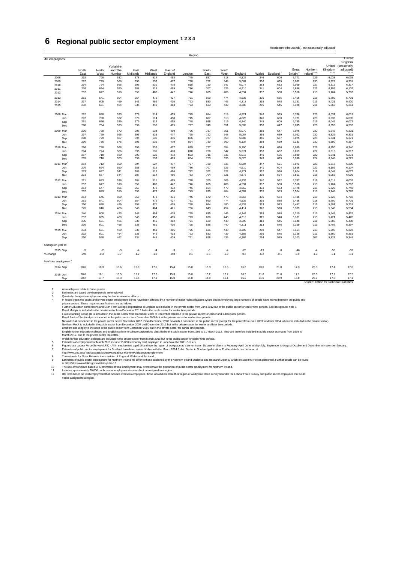## <span id="page-37-0"></span>**6 Regional public sector employment 1 2 3 4**

|                                    |               |               |                   |                  |                  |                    | Region         |               |               |         |        |                       |                               |                                        |                  |                                         |
|------------------------------------|---------------|---------------|-------------------|------------------|------------------|--------------------|----------------|---------------|---------------|---------|--------|-----------------------|-------------------------------|----------------------------------------|------------------|-----------------------------------------|
| All employees                      |               |               | Yorkshire         |                  |                  |                    |                |               |               |         |        |                       |                               |                                        |                  | United<br>Kingdom<br>United (seasonally |
|                                    | North<br>East | North<br>West | and The<br>Humber | East<br>Midlands | West<br>Midlands | East of<br>England | London         | South<br>East | South<br>West | England | Wales  | Scotland <sup>7</sup> | Great<br>Britain <sup>8</sup> | Northern<br>Ireland <sup>910</sup>     | Kingdom<br>11 12 | adjusted)<br>11 12                      |
| 2008                               | 292           | 700           | 532               | 378              | 514              | 458                | 745            | 687           | 518           | 4,825   | 346    | 600                   | 5,771                         | 223                                    | 6,033            | 6,035                                   |
| 2009                               | 297           | 729           | 566               | 395              | 533              | 477                | 798            | 722           | 548           | 5,067   | 356    | 639                   | 6,062                         | 230                                    | 6,329            | 6,331                                   |
| 2010                               | 294           | 724           | 566               | 395              | 531              | 478                | 818            | 720           | 547           | 5,074   | 353    | 632                   | 6,059                         | 227                                    | 6,315            | 6,317                                   |
| 2011                               | 276           | 694           | 550               | 388              | 515              | 469                | 786            | 707           | 525           | 4,910   | 341    | 604                   | 5,856                         | 222                                    | 6,106            | 6,107                                   |
| 2012                               | 257           | 647           | 510               | 359              | 482              | 442                | 746            | 665           | 486           | 4,594   | 337    | 588                   | 5,518                         | 218                                    | 5,764            | 5,767                                   |
|                                    |               |               |                   |                  |                  |                    |                |               |               |         |        |                       |                               |                                        |                  |                                         |
| 2013                               | 251           | 641           | 504               | 354              | 472              | 427                | 751            | 660           | 474           | 4,535   | 335    | 585                   | 5,456                         | 218                                    | 5.700            | 5,701                                   |
| 2014                               | 237           | 605           | 469               | 343              | 452              | 415                | 723            | 630           | 443           | 4,318   | 315    | 548                   | 5,181                         | 213                                    | 5,421            | 5,420                                   |
| 2015                               | 232           | 601           | 464               | 335              | 449              | 413                | 723            | 633           | 439           | 4,288   | 295    | 545                   | 5,128                         | 211                                    | 5,360            | 5,361                                   |
| 2008 Mar                           | 292           | 698           | 533               | 378              | 514              | 459                | 745            | 684           | 519           | 4,821   | 346    | 599                   | 5,766                         | 225                                    | 6,031            | 6,019                                   |
| Jun                                | 292           | 700           | 532               | 378              | 514              | 458                | 745            | 687           | 518           | 4,825   | 346    | 600                   | 5,771                         | 223                                    | 6,033            | 6,035                                   |
| Sep                                | 291           | 696           | 539               | 379              | 514              | 455                | 748            | 698           | 519           | 4,840   | 345    | 600                   | 5,785                         | 219                                    | 6,042            | 6,072                                   |
| Dec                                | 298           | 734           | 573               | 396              | 536              | 465                | 797            | 740           | 551           | 5,089   | 358    | 647                   | 6,095                         | 228                                    | 6,355            | 6,332                                   |
| 2009 Mar                           | 296           | 730           | 572               | 396              | 534              | 459                | 796            | 737           | 551           | 5,070   | 358    | 647                   | 6,076                         | 230                                    | 6,343            | 6,331                                   |
| Jun                                | 297           | 729           | 566               | 395              | 533              | 477                | 798            | 722           | 548           | 5,067   | 356    | 639                   | 6,062                         | 230                                    | 6,329            | 6,331                                   |
| Sep                                | 298           | 729           | 567               | 394              | 535              | 476                | 806            | 727           | 550           | 5,082   | 356    | 637                   | 6,075                         | 228                                    | 6,341            | 6,371                                   |
| Dec                                | 296           | 736           | 576               | 396              | 536              | 479                | 824            | 730           | 560           | 5,134   | 358    | 639                   | 6,131                         | 230                                    | 6,390            | 6,367                                   |
| 2010 Mar                           | 296           | 728           | 568               | 399              | 532              | 477                | 819            | 727           | 554           | 5,100   | 354    | 636                   | 6,089                         | 229                                    | 6,350            | 6,340                                   |
|                                    | 294           | 724           |                   | 395              |                  | 478                | 818            | 720           | 547           | 5,074   | 353    |                       |                               | 227                                    |                  |                                         |
| Jun                                |               |               | 566               |                  | 531              |                    |                |               |               |         |        | 632                   | 6,059                         |                                        | 6,315            | 6,317                                   |
| Sep                                | 287           | 718           | 560               | 393              | 529              | 472                | 803            | 715           | 536           | 5,015   | 349    | 625                   | 5,989                         | 222                                    | 6,241            | 6,271                                   |
| Dec                                | 285           | 716           | 553               | 396              | 533              | 479                | 804            | 723           | 536           | 5,025   | 349    | 625                   | 5,998                         | 224                                    | 6,248            | 6,229                                   |
| 2011 Mar <sup>5</sup>              | 284           | 712           | 559               | 394              | 527              | 477                | 797            | 720           | 535           | 5,004   | 347    | 621                   | 5,971                         | 223                                    | 6,217            | 6,205                                   |
| Jun                                | 276           | 694           | 550               | 388              | 515              | 469                | 786            | 707           | 525           | 4,910   | 341    | 604                   | 5,856                         | 222                                    | 6.106            | 6,107                                   |
| Sep                                | 273           | 687           | 541               | 386              | 512              | 466                | 782            | 702           | 522           | 4,871   | 337    | 596                   | 5,804                         | 218                                    | 6,048            | 6,077                                   |
| Dec                                | 273           | 687           | 544               | 387              | 514              | 466                | 783            | 704           | 521           | 4,878   | 339    | 594                   | 5,811                         | 218                                    | 6,055            | 6,036                                   |
| 2012 Mar                           | 271           | 683           | 536               | 384              | 511              | 465                | 778            | 700           | 509           | 4,835   | 340    | 592                   | 5.767                         | 219                                    | 6.014            | 6,002                                   |
| Jun                                | 257           | 647           | 510               | 359              | 482              | 442                | 746            | 665           | 486           | 4,594   | 337    | 588                   | 5,518                         | 218                                    | 5,764            | 5,767                                   |
| Sep                                | 254           | 647           | 506               | 357              | 478              | 432                | 745            | 664           | 479           | 4,562   | 333    | 583                   | 5,478                         | 215                                    | 5,720            | 5,748                                   |
| Dec                                | 257           | 649           | 510               | 359              | 479              | 430                | 749            | 670           | 484           | 4,587   | 335    | 583                   | 5,504                         | 218                                    | 5,748            | 5,728                                   |
| 2013 Mar                           | 254           | 646           | 509               | 358              | 473              | 431                | 746            | 672           | 478           | 4,566   | 335    | 584                   | 5.486                         | 218                                    | 5,728            | 5,718                                   |
| Jun                                | 251           | 641           | 504               | 354              | 472              | 427                | 751            | 660           | 474           | 4,535   | 335    | 585                   | 5,456                         | 218                                    | 5,700            | 5,701                                   |
| Sep                                | 250           | 628           | 499               | 356              | 471              | 425                | 758            | 664           | 480           | 4,532   | 333    | 583                   | 5,447                         | 216                                    | 5,691            | 5,718                                   |
| Dec                                | 245           | 616           | 486               | 348              | 464              | 421                | 736            | 643           | 454           | 4,414   | 326    | 570                   | 5,309                         | 213                                    | 5,548            | 5,534                                   |
| 2014 Mar                           | 240           | 608           | 473               | 346              | 454              | 418                | 725            | 635           | 445           | 4,344   | 318    | 548                   | 5,210                         | 213                                    | 5,449            | 5,437                                   |
| Jun                                | 237           | 605           | 469               | 343              | 452              | 415                | 723            | 630           | 443           | 4,318   | 315    | 548                   | 5,181                         | 213                                    | 5,421            | 5,420                                   |
| Sep                                | 235           | 601           | 466               | 338              | 449              | 412                | 721            | 629           | 440           | 4,290   | 313    | 545                   | 5,148                         | 211                                    | 5,385            | 5,408                                   |
| Dec                                | 236           | 601           | 468               | 338              | 451              | 415                | 725            | 636           | 440           | 4,311   | 313    | 546                   | 5,169                         | 213                                    | 5,407            | 5,397                                   |
|                                    |               |               |                   |                  |                  |                    |                |               |               |         |        |                       |                               |                                        |                  |                                         |
| 2015 Mar                           | 234           | 601           | 469               | 338              | 451              | 415                | 725            | 636           | 440           | 4,309   | 298    | 547                   | 5,154                         | 213                                    | 5,390            | 5,378                                   |
| Jun                                | 232           | 601           | 464               | 335              | 449              | 413                | 723            | 633           | 439           | 4,288   | 295    | 545                   | 5,128                         | 211                                    | 5,360            | 5,361                                   |
| Sep                                | 230           | 598           | 462               | 334              | 445              | 409                | 721            | 628           | 436           | 4,264   | 294    | 545                   | 5,103                         | 207                                    | 5,327            | 5,349                                   |
| Change on year to:                 |               |               |                   |                  |                  |                    |                |               |               |         |        |                       |                               |                                        |                  |                                         |
| 2015 Sep                           | $-5$          | $-2$          | $-3$              | $-4$             | $-4$             | $-3$               | $\overline{1}$ | $-1$          | $-4$          | $-26$   | $-19$  | $\mathbf 0$           | $-46$                         | $-4$                                   | $-58$            | $-59$                                   |
| % change                           | $-2.0$        | $-0.3$        | $-0.7$            | $-1.2$           | $-1.0$           | $-0.8$             | 0.1            | $-0.1$        | $-0.9$        | $-0.6$  | $-6.2$ | $-0.1$                | $-0.9$                        | $-1.9$                                 | $-1.1$           | $-1.1$                                  |
|                                    |               |               |                   |                  |                  |                    |                |               |               |         |        |                       |                               |                                        |                  |                                         |
| % of total employment <sup>5</sup> |               |               |                   |                  |                  |                    |                |               |               |         |        |                       |                               |                                        |                  |                                         |
| 2014 Sep                           | 20.6          | 18.3          | 18.6              | 16.0             | 17.5             | 15.4               | 15.0           | 15.3          | 16.6          | 16.6    | 23.6   | 21.0                  | 17.3                          | 26.3                                   | 17.4             | 17.6                                    |
| 2015 Jun                           | 20.6          | 18.1          | 18.5              | 15.7             | 17.6             | 15.3               | 15.0           | 15.2          | 16.2          | 16.5    | 21.6   | 21.0                  | 17.1                          | 26.3                                   | 17.2             | 17.2                                    |
| Sep                                | 20.2          | 17.7          | 18.3              | 15.6             | 17.1             | 15.0               | 14.8           | 14.9          | 16.1          | 16.2    | 21.6   | 20.9                  | 16.8                          | 25.7                                   | 17.0             | 17.1                                    |
|                                    |               |               |                   |                  |                  |                    |                |               |               |         |        |                       |                               | Source: Office for National Statistics |                  |                                         |

Headcount (thousands), not seasonally adjusted

1 Annual figure relation June quarte.<br>2 Estimates are based to June quarte.<br>2 Estimates are based to where people are employed.<br>3 California are based on where people are employed affects.<br>2011 This section, The employment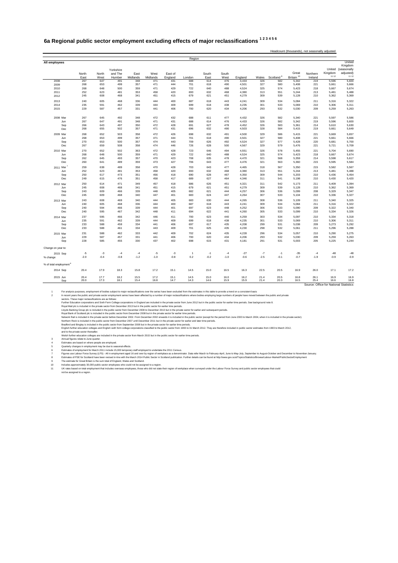#### <span id="page-38-0"></span>**6a Regional public sector employment excluding effects of major reclassifications 1 2 3 4 5 6**

| All employees<br>North<br>North<br>East<br>West<br>267<br>2008<br>268<br>2009<br>268<br>2010<br>252<br>2011<br>245<br>608<br>2012<br>2013<br>240<br>235<br>2014<br>229<br>2015<br>2008 Mar<br>267<br>267<br>Jun<br>266<br>Sep<br>Dec<br>268<br>2009 Mar<br>268<br>268<br>653<br>Jun<br>270<br>653<br>Sep<br>267<br>659<br>Dec<br>270<br>2010 Mar<br>268<br>Jun<br>262<br>Sep<br>260<br>Dec<br>259<br>2011 Mar<br>252<br>Jun<br>250<br>Sep<br>249<br>Dec<br>250<br>2012 Mar<br>245<br>Jun<br>243<br>Sep<br>245<br>Dec<br>243<br>2013 Mar<br>240<br>Jun<br>240<br>Sep<br>240<br>Dec<br>237<br>2014 Mar<br>235<br>Jun<br>233<br>Sep<br>233<br>Dec<br>231<br>2015 Mar<br>229<br>Jun<br>228<br>Sep | Yorkshire<br>and The<br>Humber<br>647<br>491<br>653<br>499<br>648<br>500<br>623<br>481 | East<br>Midlands |                  |                    | Region       |               |               |         |        |                       |                                |                     |                  |                        |
|-----------------------------------------------------------------------------------------------------------------------------------------------------------------------------------------------------------------------------------------------------------------------------------------------------------------------------------------------------------------------------------------------------------------------------------------------------------------------------------------------------------------------------------------------------------------------------------------------------------------------------------------------------------------------------------------------|----------------------------------------------------------------------------------------|------------------|------------------|--------------------|--------------|---------------|---------------|---------|--------|-----------------------|--------------------------------|---------------------|------------------|------------------------|
|                                                                                                                                                                                                                                                                                                                                                                                                                                                                                                                                                                                                                                                                                               |                                                                                        |                  |                  |                    |              |               |               |         |        |                       |                                |                     |                  | United                 |
|                                                                                                                                                                                                                                                                                                                                                                                                                                                                                                                                                                                                                                                                                               |                                                                                        |                  |                  |                    |              |               |               |         |        |                       |                                |                     | United           | Kingdom<br>(seasonally |
|                                                                                                                                                                                                                                                                                                                                                                                                                                                                                                                                                                                                                                                                                               |                                                                                        |                  | West<br>Midlands | East of<br>England | London       | South<br>East | South<br>West | England | Wales  | Scotland <sup>9</sup> | Great<br>Britain <sup>10</sup> | Northern<br>Ireland | Kingdom<br>11 12 | adjusted)<br>1112      |
|                                                                                                                                                                                                                                                                                                                                                                                                                                                                                                                                                                                                                                                                                               |                                                                                        | 348              | 471              | 431                | 688          | 614           | 476           | 4,433   | 326    | 582                   | 5,342                          | 219                 | 5,596            | 5,600                  |
|                                                                                                                                                                                                                                                                                                                                                                                                                                                                                                                                                                                                                                                                                               |                                                                                        | 357              | 471              | 444                | 701          | 618           | 490           | 4,501   | 327    | 580                   | 5,408                          | 221                 | 5,661            | 5,666                  |
|                                                                                                                                                                                                                                                                                                                                                                                                                                                                                                                                                                                                                                                                                               |                                                                                        | 359              | 471              | 429                | 722          | 640           | 488           | 4,524   | 325    | 574                   | 5,423                          | 218                 | 5,667            | 5,674                  |
|                                                                                                                                                                                                                                                                                                                                                                                                                                                                                                                                                                                                                                                                                               |                                                                                        | 353              | 458              | 420                | 693          | 632           | 468           | 4,380   | 313    | 551                   | 5,244                          | 213                 | 5,481            | 5,488                  |
|                                                                                                                                                                                                                                                                                                                                                                                                                                                                                                                                                                                                                                                                                               | 468                                                                                    | 341              | 451              | 415                | 679          | 621           | 451           | 4,279   | 309    | 539                   | 5,128                          | 210                 | 5,362            | 5,369                  |
|                                                                                                                                                                                                                                                                                                                                                                                                                                                                                                                                                                                                                                                                                               | 605<br>468                                                                             | 336              | 444              | 400                | 687          | 618           | 443           | 4,241   | 309    | 534                   | 5,084                          | 211                 | 5,316            | 5,322                  |
|                                                                                                                                                                                                                                                                                                                                                                                                                                                                                                                                                                                                                                                                                               | 591<br>462                                                                             | 339              | 444              | 409                | 699          | 618           | 438           | 4,235   | 301    | 533                   | 5,069                          | 210                 | 5,306            | 5,311                  |
|                                                                                                                                                                                                                                                                                                                                                                                                                                                                                                                                                                                                                                                                                               | 587<br>457                                                                             | 331              | 441              | 406                | 700          | 620           | 434           | 4,206   | 293    | 532                   | 5,030                          | 209                 | 5,259            | 5,263                  |
|                                                                                                                                                                                                                                                                                                                                                                                                                                                                                                                                                                                                                                                                                               | 645<br>492                                                                             | 348              | 472              | 432                | 688          | 611           | 477           | 4,432   | 326    | 582                   | 5,340                          | 221                 | 5,597            | 5,586                  |
|                                                                                                                                                                                                                                                                                                                                                                                                                                                                                                                                                                                                                                                                                               | 647<br>491                                                                             | 348              | 471              | 431                | 688          | 614           | 476           | 4,433   | 326    | 582                   | 5,342                          | 219                 | 5,596            | 5,600                  |
|                                                                                                                                                                                                                                                                                                                                                                                                                                                                                                                                                                                                                                                                                               | 643<br>497                                                                             | 350              | 472              | 428                | 691          | 627           | 478           | 4,452   | 326    | 583                   | 5,361                          | 214                 | 5,610            | 5,630                  |
|                                                                                                                                                                                                                                                                                                                                                                                                                                                                                                                                                                                                                                                                                               | 655<br>502                                                                             | 357              | 471              | 431                | 696          | 632           | 490           | 4,503   | 328    | 584                   | 5,415                          | 219                 | 5,661            | 5,649                  |
|                                                                                                                                                                                                                                                                                                                                                                                                                                                                                                                                                                                                                                                                                               | 652<br>503                                                                             | 358              | 472              | 426                | 698          | 632           | 491           | 4.500   | 329    | 586                   | 5.415                          | 221                 | 5.669            | 5,657                  |
|                                                                                                                                                                                                                                                                                                                                                                                                                                                                                                                                                                                                                                                                                               | 499                                                                                    | 357              | 471              | 444                | 701          | 618           | 490           | 4,501   | 327    | 580                   | 5,408                          | 221                 | 5,661            | 5,666                  |
|                                                                                                                                                                                                                                                                                                                                                                                                                                                                                                                                                                                                                                                                                               | 500                                                                                    | 357              | 474              | 443                | 709          | 626           | 492           | 4,524   | 327    | 577                   | 5,428                          | 220                 | 5,681            | 5,700                  |
|                                                                                                                                                                                                                                                                                                                                                                                                                                                                                                                                                                                                                                                                                               | 508                                                                                    | 358              | 474              | 446                | 726          | 628           | 500           | 4,567   | 329    | 579                   | 5,476                          | 221                 | 5,721            | 5,709                  |
|                                                                                                                                                                                                                                                                                                                                                                                                                                                                                                                                                                                                                                                                                               | 652<br>502                                                                             | 363              | 472              | 428                | 723          | 646           | 494           | 4,551   | 326    | 578                   | 5,455                          | 221                 | 5,704            | 5,690                  |
|                                                                                                                                                                                                                                                                                                                                                                                                                                                                                                                                                                                                                                                                                               | 648<br>500                                                                             | 359              | 471              | 429                | 722          | 640           | 488           | 4,524   | 325    | 574                   | 5,423                          | 218                 | 5,667            | 5,674                  |
|                                                                                                                                                                                                                                                                                                                                                                                                                                                                                                                                                                                                                                                                                               | 645<br>493                                                                             | 357              | 470              | 423                | 708          | 635           | 478           | 4,470   | 321    | 568                   | 5,359                          | 214                 | 5,598            | 5,617                  |
|                                                                                                                                                                                                                                                                                                                                                                                                                                                                                                                                                                                                                                                                                               | 489<br>641                                                                             | 359              | 473              | 427                | 706          | 643           | 477           | 4,476   | 321    | 563                   | 5,360                          | 215                 | 5,595            | 5,584                  |
|                                                                                                                                                                                                                                                                                                                                                                                                                                                                                                                                                                                                                                                                                               | 638<br>489                                                                             | 358              | 470              | 428                | 703          | 643           | 477           | 4,465   | 318    | 567                   | 5,350                          | 215                 | 5,582            | 5,567                  |
|                                                                                                                                                                                                                                                                                                                                                                                                                                                                                                                                                                                                                                                                                               | 623<br>481                                                                             | 353              | 458              | 420                | 693          | 632           | 468           | 4,380   | 313    | 551                   | 5,244                          | 213                 | 5,481            | 5,488                  |
|                                                                                                                                                                                                                                                                                                                                                                                                                                                                                                                                                                                                                                                                                               | 617<br>473                                                                             | 351              | 456              | 418                | 690          | 628           | 467           | 4,350   | 309    | 544                   | 5,203                          | 210                 | 5,436            | 5,454                  |
|                                                                                                                                                                                                                                                                                                                                                                                                                                                                                                                                                                                                                                                                                               | 615<br>476                                                                             | 351              | 458              | 417                | 689          | 627           | 464           | 4,346   | 311    | 541                   | 5,198                          | 210                 | 5,430            | 5,420                  |
|                                                                                                                                                                                                                                                                                                                                                                                                                                                                                                                                                                                                                                                                                               | 614<br>471                                                                             | 349              | 457              | 418                | 686          | 626           | 451           | 4,321   | 311    | 542                   | 5,173                          | 211                 | 5,409            | 5,394                  |
|                                                                                                                                                                                                                                                                                                                                                                                                                                                                                                                                                                                                                                                                                               | 608<br>468                                                                             | 341              | 451              | 415                | 679          | 621           | 451           | 4,279   | 309    | 539                   | 5,128                          | 210                 | 5,362            | 5,369                  |
|                                                                                                                                                                                                                                                                                                                                                                                                                                                                                                                                                                                                                                                                                               | 609<br>466                                                                             | 339              | 448              | 405                | 682          | 621           | 444           | 4,257   | 306    | 536                   | 5,099                          | 208                 | 5,329            | 5,347                  |
|                                                                                                                                                                                                                                                                                                                                                                                                                                                                                                                                                                                                                                                                                               | 609<br>468                                                                             | 340              | 447              | 401                | 683          | 624           | 447           | 4,264   | 307    | 533                   | 5,104                          | 210                 | 5,336            | 5,327                  |
|                                                                                                                                                                                                                                                                                                                                                                                                                                                                                                                                                                                                                                                                                               | 608<br>469                                                                             | 340              | 444              | 405                | 683          | 630           | 444           | 4,265   | 308    | 536                   | 5,109                          | 211                 | 5,340            | 5,325                  |
|                                                                                                                                                                                                                                                                                                                                                                                                                                                                                                                                                                                                                                                                                               | 605<br>468                                                                             | 336              | 444              | 400                | 687          | 618           | 443           | 4,241   | 309    | 534                   | 5,084                          | 211                 | 5,316            | 5,322                  |
|                                                                                                                                                                                                                                                                                                                                                                                                                                                                                                                                                                                                                                                                                               | 594<br>466                                                                             | 339              | 444              | 401                | 697          | 623           | 448           | 4,252   | 306    | 533                   | 5,090                          | 209                 | 5,322            | 5,340                  |
|                                                                                                                                                                                                                                                                                                                                                                                                                                                                                                                                                                                                                                                                                               | 595<br>467                                                                             | 342              | 448              | 411                | 694          | 622           | 441           | 4,260   | 305    | 533                   | 5,099                          | 210                 | 5,334            | 5,326                  |
|                                                                                                                                                                                                                                                                                                                                                                                                                                                                                                                                                                                                                                                                                               | 595<br>466                                                                             | 342              | 446              | 411                | 700          | 623           | 440           | 4,259   | 303    | 534                   | 5,097                          | 210                 | 5,334            | 5,318                  |
|                                                                                                                                                                                                                                                                                                                                                                                                                                                                                                                                                                                                                                                                                               | 462<br>591                                                                             | 339              | 444              | 409                | 699          | 618           | 438           | 4,235   | 301    | 533                   | 5.069                          | 210                 | 5,306            | 5,311                  |
|                                                                                                                                                                                                                                                                                                                                                                                                                                                                                                                                                                                                                                                                                               | 459<br>588                                                                             | 334              | 441              | 406                | 697          | 617           | 435           | 4,208   | 299    | 531                   | 5.038                          | 209                 | 5,273            | 5,292                  |
|                                                                                                                                                                                                                                                                                                                                                                                                                                                                                                                                                                                                                                                                                               | 588<br>461                                                                             | 334              | 443              | 409                | 701          | 625           | 435           | 4,230   | 298    | 532                   | 5,061                          | 211                 | 5,296            | 5,288                  |
|                                                                                                                                                                                                                                                                                                                                                                                                                                                                                                                                                                                                                                                                                               | 588<br>462                                                                             | 333              | 442              | 409                | 702          | 624           | 435           | 4,228   | 296    | 534                   | 5,057                          | 210                 | 5,290            | 5,275                  |
|                                                                                                                                                                                                                                                                                                                                                                                                                                                                                                                                                                                                                                                                                               | 587<br>457                                                                             | 331              | 441              | 406                | 700          | 620           | 434           | 4,206   | 293    | 532                   | 5,030                          | 209                 | 5,259            | 5,263                  |
|                                                                                                                                                                                                                                                                                                                                                                                                                                                                                                                                                                                                                                                                                               | 585<br>455                                                                             | 330              | 437              | 402                | 698          | 615           | 431           | 4,181   | 291    | 531                   | 5,003                          | 205                 | 5,225            | 5,244                  |
| Change on year to:                                                                                                                                                                                                                                                                                                                                                                                                                                                                                                                                                                                                                                                                            |                                                                                        |                  |                  |                    |              |               |               |         |        |                       |                                |                     |                  |                        |
| $-5$<br>2015 Sep                                                                                                                                                                                                                                                                                                                                                                                                                                                                                                                                                                                                                                                                              | $-3$<br>$-4$                                                                           | $-4$             | $-5$             | $-3$               | $\mathbf{1}$ | $-1$          | $-4$          | $-27$   | $-7$   | $-1$                  | $-35$                          | $-4$                | $-48$            | $-48$                  |
| $-2.0$<br>% change                                                                                                                                                                                                                                                                                                                                                                                                                                                                                                                                                                                                                                                                            | $-0.4$<br>$-0.8$                                                                       | $-1.2$           | $-1.0$           | $-0.8$             | 0.2          | $-0.2$        | $-1.0$        | $-0.6$  | $-2.5$ | $-0.1$                | $-0.7$                         | $-1.9$              | $-0.9$           | $-0.9$                 |
| % of total employment <sup>8</sup>                                                                                                                                                                                                                                                                                                                                                                                                                                                                                                                                                                                                                                                            |                                                                                        |                  |                  |                    |              |               |               |         |        |                       |                                |                     |                  |                        |
| 2014 Sep<br>20.4<br>17.9                                                                                                                                                                                                                                                                                                                                                                                                                                                                                                                                                                                                                                                                      |                                                                                        | 15.8             | 17.2             | 15.1               | 14.5         | 15.0          | 16.5          | 16.3    | 22.5   | 20.5                  | 16.9                           | 26.0                | 17.1             | 17.2                   |
| 2015 Jun<br>20.4<br>17.7                                                                                                                                                                                                                                                                                                                                                                                                                                                                                                                                                                                                                                                                      | 18.3                                                                                   | 15.5             | 17.2             | 15.1               | 14.5         | 15.0          | 16.0          | 16.2    | 21.4   | 20.5                  | 16.8                           | 26.1                | 16.9             | 16.9                   |
| 20.0<br>17.3<br>Sep                                                                                                                                                                                                                                                                                                                                                                                                                                                                                                                                                                                                                                                                           | 18.2                                                                                   | 15.4<br>18.1     | 16.8             | 14.7               | 14.3         | 14.6          | 15.9          | 15.9    | 21.4   | 20.3                  | 16.5                           | 25.4                | 16.6             | 16.8                   |

1 For analysis purposes, employment of bodies subject to major reclassifications over the series have been affected by a number of major reducted from the estimates are bodies employing large numbers of people have moved b

E minates of employment for March 2011 include 15,000 temperary and femployed to undertake the 2011 Census.<br>This uses are about Force Survey (LFS) - All in employment aged 16 and over ty region of workplace as a denominato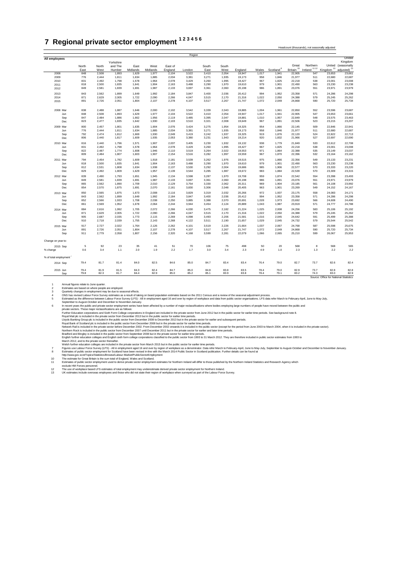## <span id="page-39-0"></span>**7 Regional private sector employment 1 2 3 4 5 6**

|                       |       |       |           |          |          |         | Region |       |       |         |       |                       |                       |                 |                                        |                         |
|-----------------------|-------|-------|-----------|----------|----------|---------|--------|-------|-------|---------|-------|-----------------------|-----------------------|-----------------|----------------------------------------|-------------------------|
| All employees         |       |       | Yorkshire |          |          |         |        |       |       |         |       |                       |                       |                 |                                        | United<br>Kingdom       |
|                       | North | North | and The   | East     | West     | East of |        | South | South |         |       |                       | Great                 | Northern        |                                        | United (seasonally      |
|                       | East  | West  | Humber    | Midlands | Midlands | England | London | East  | West  | England | Wales | Scotland <sup>8</sup> | Britain <sup>10</sup> | Ireland $11 12$ | Kingdom <sup>13</sup>                  | adjusted) <sup>13</sup> |
| 2008                  | 848   | 2.508 | 1,893     | 1,629    | 1.977    | 2.104   | 3.522  | 3.410 | 2.054 | 19.947  | 1.017 | 1.941                 | 22.905                | 547             | 23.653                                 | 23,661                  |
| 2009                  | 776   | 2.444 | 1.811     | 1.634    | 1.885    | 2.034   | 3.381  | 3.271 | 1.935 | 19.173  | 958   | 1.846                 | 21.977                | 511             | 22.680                                 | 22,687                  |
| 2010                  | 831   | 2,492 | 1,798     | 1,578    | 1,964    | 2,078   | 3,429  | 3,260 | 1,995 | 19,427  | 967   | 1,825                 | 22,218                | 538             | 23,001                                 | 23,008                  |
| 2011                  | 818   | 2,500 | 1,835     | 1,641    | 1,904    | 2,163   | 3,488  | 3,290 | 1,970 | 19,610  | 979   | 1,901                 | 22,490                | 563             | 23,230                                 | 23,238                  |
| 2012                  | 849   | 2,581 | 1,839     | 1,691    | 1,987    | 2,133   | 3,697  | 3,361 | 2,060 | 20,198  | 986   | 1,891                 | 23,076                | 551             | 23,971                                 | 23,979                  |
| 2013                  | 843   | 2,562 | 1,899     | 1,649    | 1,992    | 2,184   | 3,847  | 3,400 | 2,036 | 20,412  | 994   | 1,952                 | 23,358                | 571             | 24,286                                 | 24,298                  |
| 2014                  | 871   | 2,629 | 2,005     | 1,722    | 2,090    | 2,266   | 4,047  | 3,515 | 2,170 | 21,316  | 1,022 | 2,050                 | 24,388                | 579             | 25,245                                 | 25,262                  |
| 2015                  | 891   | 2,726 | 2,051     | 1,804    | 2,107    | 2,278   | 4,107  | 3,517 | 2,267 | 21,747  | 1,072 | 2,049                 | 24,868                | 590             | 25,720                                 | 25,734                  |
| 2008 Mar              | 838   | 2.488 | 1.887     | 1,646    | 2.000    | 2.102   | 3.542  | 3.339 | 2.043 | 19,885  | 1.004 | 1,961                 | 22,850                | 552             | 23,596                                 | 23,687                  |
| Jun                   | 848   | 2,508 | 1,893     | 1,629    | 1,977    | 2,104   | 3,522  | 3,410 | 2,054 | 19,947  | 1,017 | 1,941                 | 22,905                | 547             | 23,653                                 | 23,661                  |
| Sep                   | 847   | 2,484 | 1,886     | 1,662    | 1,956    | 2,119   | 3,485  | 3,395 | 2,047 | 19,881  | 1,010 | 1,957                 | 22,849                | 548             | 23,575                                 | 23,463                  |
| Dec                   | 823   | 2,477 | 1,835     | 1,642    | 1,930    | 2,103   | 3,510  | 3,321 | 2,008 | 19,649  | 967   | 1,891                 | 22,506                | 523             | 23,215                                 | 23,207                  |
| 2009 Mar              | 800   | 2,457 | 1,801     | 1,635    | 1,904    | 2,076   | 3,424  | 3,275 | 1,954 | 19,325  | 954   | 1,866                 | 22,145                | 509             | 22,846                                 | 22,941                  |
| Jun                   | 776   | 2.444 | 1,811     | 1,634    | 1,885    | 2,034   | 3,381  | 3,271 | 1,935 | 19,173  | 958   | 1,846                 | 21,977                | 511             | 22,680                                 | 22,687                  |
| Sep                   | 792   | 2,474 | 1,812     | 1,669    | 1,930    | 2,049   | 3,419  | 3,242 | 1,937 | 19,325  | 919   | 1,876                 | 22,120                | 524             | 22,822                                 | 22,713                  |
| Dec                   | 806   | 2,440 | 1,817     | 1,609    | 1,935    | 2,053   | 3,380  | 3,231 | 1,943 | 19,214  | 920   | 1,832                 | 21,966                | 527             | 22,697                                 | 22,690                  |
| 2010 Mar              | 816   | 2.440 | 1.796     | 1,571    | 1.907    | 2.037   | 3.405  | 3.230 | 1.932 | 19,132  | 938   | 1.779                 | 21.849                | 533             | 22.612                                 | 22,708                  |
| Jun                   | 831   | 2.492 | 1,798     | 1,578    | 1,964    | 2,078   | 3.429  | 3.260 | 1.995 | 19,427  | 967   | 1,825                 | 22,218                | 538             | 23,001                                 | 23,008                  |
| Sep                   | 822   | 2,487 | 1,774     | 1,608    | 1,946    | 2,110   | 3,519  | 3,264 | 2,022 | 19,553  | 971   | 1,864                 | 22,388                | 535             | 23,149                                 | 23,037                  |
| Dec                   | 809   | 2,484 | 1,807     | 1,603    | 1,907    | 2,154   | 3,516  | 3,282 | 1,997 | 19,559  | 967   | 1,870                 | 22,396                | 532             | 23,164                                 | 23,162                  |
| 2011 Mar              | 794   | 2,454 | 1,782     | 1,609    | 1,918    | 2,181   | 3,539  | 3,262 | 1,976 | 19,515  | 975   | 1,866                 | 22,356                | 549             | 23,133                                 | 23,231                  |
| Jun                   | 818   | 2,500 | 1,835     | 1,641    | 1,904    | 2,163   | 3,488  | 3.290 | 1,970 | 19,610  | 979   | 1,901                 | 22,490                | 563             | 23,230                                 | 23,238                  |
| Sep                   | 812   | 2,531 | 1,808     | 1,634    | 1,938    | 2,137   | 3,530  | 3,292 | 2,004 | 19,686  | 985   | 1.906                 | 22,577                | 570             | 23,333                                 | 23,220                  |
| Dec                   | 829   | 2,492 | 1,809     | 1,629    | 1,957    | 2,139   | 3,544  | 3,285 | 1,987 | 19,672  | 983   | 1,884                 | 22,539                | 570             | 23,309                                 | 23,315                  |
| 2012 Mar              | 839   | 2.490 | 1,793     | 1,651    | 1,945    | 2,134   | 3,598  | 3.287 | 1.970 | 19.708  | 959   | 1.874                 | 22,542                | 554             | 23,398                                 | 23,493                  |
| Jun                   | 849   | 2.581 | 1,839     | 1,691    | 1.987    | 2.133   | 3.697  | 3.361 | 2.060 | 20.198  | 986   | 1.891                 | 23.076                | 551             | 23,971                                 | 23,979                  |
| Sep                   | 865   | 2.562 | 1,890     | 1,709    | 2,010    | 2.129   | 3.754  | 3.330 | 2.062 | 20,311  | 969   | 1.904                 | 23.185                | 561             | 24.108                                 | 23,992                  |
| Dec                   | 854   | 2,570 | 1,875     | 1,691    | 2,070    | 2,161   | 3,830  | 3,306 | 2,048 | 20,405  | 963   | 1,901                 | 23,269                | 549             | 24,152                                 | 24,167                  |
| 2013 Mar              | 850   | 2,565 | 1,875     | 1,673    | 2,008    | 2,116   | 3,829  | 3,319 | 2,032 | 20,266  | 972   | 1,937                 | 23,175                | 558             | 24,083                                 | 24,171                  |
| Jun                   | 843   | 2,562 | 1,899     | 1,649    | 1,992    | 2,184   | 3,847  | 3,400 | 2,036 | 20,412  | 994   | 1,952                 | 23,358                | 571             | 24,286                                 | 24,298                  |
| Sep                   | 852   | 2,566 | 1,933     | 1,708    | 2,038    | 2,250   | 3,885  | 3,388 | 2,070 | 20,691  | 1,028 | 1,973                 | 23,692                | 566             | 24,608                                 | 24,490                  |
| Dec                   | 861   | 2,569 | 1,952     | 1,678    | 2,064    | 2,244   | 3,944  | 3,454 | 2,124 | 20,889  | 1,043 | 1,987                 | 23,919                | 571             | 24,777                                 | 24,788                  |
| 2014 Mar              | 884   | 2,616 | 1,992     | 1,705    | 2,072    | 2,266   | 4,030  | 3,475 | 2,182 | 21,224  | 1,025 | 2,008                 | 24,256                | 583             | 25,106                                 | 25,192                  |
| Jun                   | 871   | 2,629 | 2,005     | 1,722    | 2,090    | 2,266   | 4,047  | 3,515 | 2,170 | 21,316  | 1,022 | 2,050                 | 24,388                | 579             | 25,245                                 | 25,262                  |
| Sep                   | 905   | 2,687 | 2,035     | 1,773    | 2,115    | 2,269   | 4,098  | 3,493 | 2,206 | 21,581  | 1,016 | 2,045                 | 24,642                | 591             | 25,499                                 | 25,388                  |
| Dec                   | 910   | 2,718 | 2,039     | 1,755    | 2,143    | 2,268   | 4,122  | 3,511 | 2,190 | 21,657  | 1,029 | 2,045                 | 24,732                | 579             | 25,544                                 | 25,542                  |
| 2015 Mar              | 917   | 2,727 | 2,022     | 1,764    | 2,126    | 2,262   | 4,101  | 3,519 | 2,226 | 21,664  | 1,037 | 2,067                 | 24,768                | 587             | 25,598                                 | 25,675                  |
| Jun                   | 891   | 2,726 | 2,051     | 1,804    | 2,107    | 2,278   | 4,107  | 3,517 | 2,267 | 21,747  | 1,072 | 2,049                 | 24,868                | 590             | 25,720                                 | 25,734                  |
| Sep                   | 911   | 2,779 | 2,058     | 1,807    | 2,156    | 2,320   | 4,168  | 3,599 | 2,281 | 22,079  | 1,066 | 2,065                 | 25,210                | 599             | 26,067                                 | 25,953                  |
| Change on year to:    |       |       |           |          |          |         |        |       |       |         |       |                       |                       |                 |                                        |                         |
| 2015 Sep              | 5     | 92    | 23        | 35       | 41       | 51      | 70     | 106   | 75    | 498     | 50    | 20                    | 568                   | 8               | 568                                    | 565                     |
| % change              | 0.6   | 3.4   | 1.1       | 2.0      | 1.9      | 2.2     | 1.7    | 3.0   | 3.4   | 2.3     | 4.9   | 1.0                   | 2.3                   | 1.3             | 2.2                                    | 2.2                     |
| % of total employment |       |       |           |          |          |         |        |       |       |         |       |                       |                       |                 |                                        |                         |
| 2014 Sep              | 79.4  | 81.7  | 81.4      | 84.0     | 82.5     | 84.6    | 85.0   | 84.7  | 83.4  | 83.4    | 76.4  | 79.0                  | 82.7                  | 73.7            | 82.6                                   | 82.4                    |
| 2015 Jun              | 79.4  | 81.9  | 81.5      | 84.3     | 82.4     | 84.7    | 85.0   | 84.8  | 83.8  | 83.5    | 78.4  | 79.0                  | 82.9                  | 73.7            | 82.8                                   | 82.8                    |
| Sep                   | 79.8  | 82.3  | 81.7      | 84.4     | 82.9     | 85.0    | 85.2   | 85.1  | 83.9  | 83.8    | 78.4  | 79.1                  | 83.2                  | 74.3            | 83.0                                   | 82.9                    |
|                       |       |       |           |          |          |         |        |       |       |         |       |                       |                       |                 | Source: Office for National Statistics |                         |

Headcount (thousands), not seasonally adjusted

1 Annual figure relation June quarter.<br>
2 Estimates at based to June quarter and the projection and difference and the time of the projection estimates hand on the 2011 Census and a meleve of the seasonal adjustment proces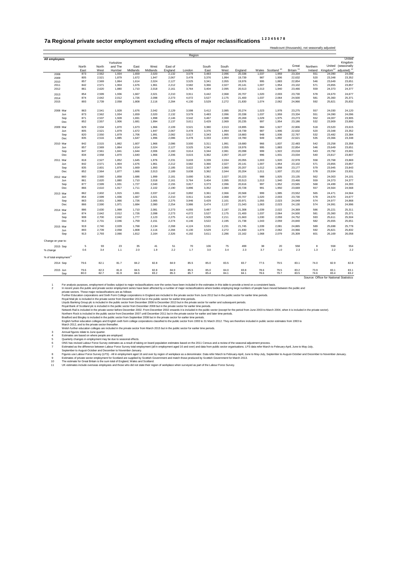#### <span id="page-40-0"></span>**7a Regional private sector employment excluding effects of major reclassifications 1 2 3 4 5 6 7 8**

| All employees<br>North<br>North<br>East<br>West<br>873<br>2,562<br>2008<br>805<br>2,521<br>2009<br>2010<br>857<br>2,569<br>842<br>2,571<br>2011<br>861<br>2,620<br>2012<br>2,599<br>2013<br>854<br>874<br>2014<br>2,642<br>893<br>2,739<br>2015<br>863<br>2,541<br>2008 Mar<br>873<br>2,562<br>Jun<br>Sep<br>871<br>2,537<br>852<br>2,557<br>Dec<br>829<br>2,534<br>2009 Mar<br>805<br>Jun<br>2,521<br>820<br>Sep<br>2,550<br>835<br>2,516<br>Dec<br>842<br>2,515<br>2010 Mar<br>857<br>2,569<br>Jun<br>847<br>2,561<br>Sep<br>834<br>2,558<br>Dec<br>818<br>2,527<br>2011 Mar<br>842<br>2,571<br>Jun<br>835<br>2,601<br>Sep<br>852<br>2,564<br>Dec<br>860<br>2,560<br>2012 Mar<br>861<br>2,620<br>Jun<br>877<br>2,599<br>Sep<br>866<br>2,610<br>Dec<br>862<br>2013 Mar<br>2,602<br>854<br>2,599<br>Jun<br>863<br>2,601<br>Sep<br>866<br>2,590<br>Dec<br>886<br>2,630<br>2014 Mar<br>874<br>2,642<br>Jun | Yorkshire<br>and The<br>Midlands<br>Humber<br>1,934<br>1,879<br>1,864<br>1,904<br>1,880<br>1,936<br>2,012<br>2,058<br>1,928<br>1,934<br>1,928<br>1,906<br>1,870<br>1,879<br>1,879<br>1,885<br>1.862<br>1,864<br>1,841<br>1,870<br>1,852<br>1,904<br>1,876<br>1,877 | East<br>West<br>Midlands<br>1,659<br>2,020<br>1,672<br>1,947<br>2,024<br>1,614<br>1,676<br>1,961<br>1,710<br>2,018<br>1,667<br>2,021<br>1,726<br>2.098<br>1,808<br>2,116<br>1,676<br>2,042<br>1,659<br>2,020<br>1,691<br>1,998<br>1,681<br>1,994<br>1,673<br>1,966<br>1,672<br>1,947<br>1,706<br>1,991<br>1,647<br>1,996<br>1.607<br>1.966<br>1,614<br>2,024<br>1,644<br>2,006<br>1,640<br>1,966<br>1,976<br>1,645<br>1,676<br>1,961<br>1,669<br>1,993<br>1,666<br>2,013 | East of<br>England<br>2,132<br>2,067<br>2,127<br>2,212<br>2,161<br>2,210<br>2.273<br>2,284<br>2.129<br>2,132<br>2,146<br>2,137<br>2,109<br>2,067<br>2.082<br>2,086<br>2.086<br>2,127<br>2,160<br>2,206<br>2,231<br>2,212<br>2,185<br>2,189 | London<br>3,579<br>3,478<br>3,525<br>3,582<br>3,764<br>3,911<br>4.072<br>4,130<br>3,598<br>3,579<br>3,542<br>3,611<br>3,521<br>3,478<br>3,517<br>3,478<br>3.500<br>3,525<br>3,614<br>3,615<br>3,633<br>3,582<br>3,622 | South<br>East<br>3,483<br>3,376<br>3,341<br>3,366<br>3,404<br>3,442<br>3,527<br>3,529<br>3,412<br>3,483<br>3,467<br>3,429<br>3,380<br>3,376<br>3,343<br>3,333<br>3,311<br>3,341<br>3,344<br>3,362<br>3,339<br>3,366<br>3,367 | South<br>West<br>2,096<br>1,994<br>2,055<br>2,027<br>2,095<br>2,068<br>2,175<br>2,272<br>2.085<br>2,096<br>2,088<br>2,069<br>2,013<br>1,994<br>1,995<br>2,003<br>1.991<br>2,055<br>2,081<br>2,057<br>2,034<br>2,027 | England<br>20,338<br>19,739<br>19,976<br>20,141<br>20,513<br>20,707<br>21,400<br>21,830<br>20.274<br>20,338<br>20,269<br>20,235<br>19,895<br>19,739<br>19,883<br>19,780<br>19,680<br>19,976<br>20,098<br>20,107<br>20,055 | 1,037<br>987<br>995<br>1,007<br>1,013<br>1,020<br>1,037<br>1,074<br>1,023<br>1,037<br>1,029<br>997<br>984<br>987<br>948<br>949<br>966<br>995<br>999<br>996<br>1,003 | Wales Scotland <sup>10</sup><br>1,959<br>1,906<br>1,883<br>1,954<br>1,940<br>2,003<br>2.064<br>2,062<br>1.978<br>1,959<br>1,975<br>1,954<br>1,927<br>1,906<br>1,936<br>1,892<br>1.837<br>1,883<br>1,922<br>1,931 | Great<br>Britain <sup>11</sup><br>23,334<br>22,632<br>22,854<br>23,102<br>23,466<br>23,730<br>24.500<br>24,966<br>23,275<br>23,334<br>23,273<br>23,186<br>22,806<br>22,632<br>22,767<br>22,621<br>22.483<br>22,854<br>23,018<br>23,034 | Northern<br>Ireland<br>551<br>520<br>546<br>571<br>559<br>578<br>581<br>592<br>557<br>551<br>552<br>532<br>518<br>520<br>532<br>535<br>542<br>546<br>543<br>540 | Kingdom <sup>12</sup><br>24,090<br>23,348<br>23,649<br>23,855<br>24,373<br>24,670<br>25,360<br>25,821<br>24,030<br>24,090<br>24,007<br>23,909<br>23,520<br>23,348<br>23,482<br>23,366<br>23,258<br>23,649<br>23,792<br>23,817 | United<br>Kingdom<br>United (seasonally<br>adjusted) <sup>12</sup><br>24,096<br>23,352<br>23,651<br>23,857<br>24,377<br>24,677<br>25,371<br>25,832<br>24,120<br>24,096<br>23,905<br>23,890<br>23,615<br>23,352<br>23,384<br>23,348<br>23,358<br>23,651<br>23,691<br>23,807 |
|----------------------------------------------------------------------------------------------------------------------------------------------------------------------------------------------------------------------------------------------------------------------------------------------------------------------------------------------------------------------------------------------------------------------------------------------------------------------------------------------------------------------------------------------------------------------------------------------------------------------------------------------------------------------------------------------------------------------------------------------------------------------------------------------------------------------------------------------------------------------------------------------------------|--------------------------------------------------------------------------------------------------------------------------------------------------------------------------------------------------------------------------------------------------------------------|--------------------------------------------------------------------------------------------------------------------------------------------------------------------------------------------------------------------------------------------------------------------------------------------------------------------------------------------------------------------------------------------------------------------------------------------------------------------------|--------------------------------------------------------------------------------------------------------------------------------------------------------------------------------------------------------------------------------------------|-----------------------------------------------------------------------------------------------------------------------------------------------------------------------------------------------------------------------|------------------------------------------------------------------------------------------------------------------------------------------------------------------------------------------------------------------------------|---------------------------------------------------------------------------------------------------------------------------------------------------------------------------------------------------------------------|---------------------------------------------------------------------------------------------------------------------------------------------------------------------------------------------------------------------------|---------------------------------------------------------------------------------------------------------------------------------------------------------------------|------------------------------------------------------------------------------------------------------------------------------------------------------------------------------------------------------------------|----------------------------------------------------------------------------------------------------------------------------------------------------------------------------------------------------------------------------------------|-----------------------------------------------------------------------------------------------------------------------------------------------------------------|-------------------------------------------------------------------------------------------------------------------------------------------------------------------------------------------------------------------------------|----------------------------------------------------------------------------------------------------------------------------------------------------------------------------------------------------------------------------------------------------------------------------|
|                                                                                                                                                                                                                                                                                                                                                                                                                                                                                                                                                                                                                                                                                                                                                                                                                                                                                                          |                                                                                                                                                                                                                                                                    |                                                                                                                                                                                                                                                                                                                                                                                                                                                                          |                                                                                                                                                                                                                                            |                                                                                                                                                                                                                       |                                                                                                                                                                                                                              |                                                                                                                                                                                                                     |                                                                                                                                                                                                                           |                                                                                                                                                                     |                                                                                                                                                                                                                  |                                                                                                                                                                                                                                        |                                                                                                                                                                 |                                                                                                                                                                                                                               |                                                                                                                                                                                                                                                                            |
|                                                                                                                                                                                                                                                                                                                                                                                                                                                                                                                                                                                                                                                                                                                                                                                                                                                                                                          |                                                                                                                                                                                                                                                                    |                                                                                                                                                                                                                                                                                                                                                                                                                                                                          |                                                                                                                                                                                                                                            |                                                                                                                                                                                                                       |                                                                                                                                                                                                                              |                                                                                                                                                                                                                     |                                                                                                                                                                                                                           |                                                                                                                                                                     |                                                                                                                                                                                                                  |                                                                                                                                                                                                                                        |                                                                                                                                                                 |                                                                                                                                                                                                                               |                                                                                                                                                                                                                                                                            |
|                                                                                                                                                                                                                                                                                                                                                                                                                                                                                                                                                                                                                                                                                                                                                                                                                                                                                                          |                                                                                                                                                                                                                                                                    |                                                                                                                                                                                                                                                                                                                                                                                                                                                                          |                                                                                                                                                                                                                                            |                                                                                                                                                                                                                       |                                                                                                                                                                                                                              |                                                                                                                                                                                                                     |                                                                                                                                                                                                                           |                                                                                                                                                                     |                                                                                                                                                                                                                  |                                                                                                                                                                                                                                        |                                                                                                                                                                 |                                                                                                                                                                                                                               |                                                                                                                                                                                                                                                                            |
|                                                                                                                                                                                                                                                                                                                                                                                                                                                                                                                                                                                                                                                                                                                                                                                                                                                                                                          |                                                                                                                                                                                                                                                                    |                                                                                                                                                                                                                                                                                                                                                                                                                                                                          |                                                                                                                                                                                                                                            |                                                                                                                                                                                                                       |                                                                                                                                                                                                                              |                                                                                                                                                                                                                     |                                                                                                                                                                                                                           |                                                                                                                                                                     |                                                                                                                                                                                                                  |                                                                                                                                                                                                                                        |                                                                                                                                                                 |                                                                                                                                                                                                                               |                                                                                                                                                                                                                                                                            |
|                                                                                                                                                                                                                                                                                                                                                                                                                                                                                                                                                                                                                                                                                                                                                                                                                                                                                                          |                                                                                                                                                                                                                                                                    |                                                                                                                                                                                                                                                                                                                                                                                                                                                                          |                                                                                                                                                                                                                                            |                                                                                                                                                                                                                       |                                                                                                                                                                                                                              |                                                                                                                                                                                                                     |                                                                                                                                                                                                                           |                                                                                                                                                                     |                                                                                                                                                                                                                  |                                                                                                                                                                                                                                        |                                                                                                                                                                 |                                                                                                                                                                                                                               |                                                                                                                                                                                                                                                                            |
|                                                                                                                                                                                                                                                                                                                                                                                                                                                                                                                                                                                                                                                                                                                                                                                                                                                                                                          |                                                                                                                                                                                                                                                                    |                                                                                                                                                                                                                                                                                                                                                                                                                                                                          |                                                                                                                                                                                                                                            |                                                                                                                                                                                                                       |                                                                                                                                                                                                                              |                                                                                                                                                                                                                     |                                                                                                                                                                                                                           |                                                                                                                                                                     |                                                                                                                                                                                                                  |                                                                                                                                                                                                                                        |                                                                                                                                                                 |                                                                                                                                                                                                                               |                                                                                                                                                                                                                                                                            |
|                                                                                                                                                                                                                                                                                                                                                                                                                                                                                                                                                                                                                                                                                                                                                                                                                                                                                                          |                                                                                                                                                                                                                                                                    |                                                                                                                                                                                                                                                                                                                                                                                                                                                                          |                                                                                                                                                                                                                                            |                                                                                                                                                                                                                       |                                                                                                                                                                                                                              |                                                                                                                                                                                                                     |                                                                                                                                                                                                                           |                                                                                                                                                                     |                                                                                                                                                                                                                  |                                                                                                                                                                                                                                        |                                                                                                                                                                 |                                                                                                                                                                                                                               |                                                                                                                                                                                                                                                                            |
|                                                                                                                                                                                                                                                                                                                                                                                                                                                                                                                                                                                                                                                                                                                                                                                                                                                                                                          |                                                                                                                                                                                                                                                                    |                                                                                                                                                                                                                                                                                                                                                                                                                                                                          |                                                                                                                                                                                                                                            |                                                                                                                                                                                                                       |                                                                                                                                                                                                                              |                                                                                                                                                                                                                     |                                                                                                                                                                                                                           |                                                                                                                                                                     |                                                                                                                                                                                                                  |                                                                                                                                                                                                                                        |                                                                                                                                                                 |                                                                                                                                                                                                                               |                                                                                                                                                                                                                                                                            |
|                                                                                                                                                                                                                                                                                                                                                                                                                                                                                                                                                                                                                                                                                                                                                                                                                                                                                                          |                                                                                                                                                                                                                                                                    |                                                                                                                                                                                                                                                                                                                                                                                                                                                                          |                                                                                                                                                                                                                                            |                                                                                                                                                                                                                       |                                                                                                                                                                                                                              |                                                                                                                                                                                                                     |                                                                                                                                                                                                                           |                                                                                                                                                                     |                                                                                                                                                                                                                  |                                                                                                                                                                                                                                        |                                                                                                                                                                 |                                                                                                                                                                                                                               |                                                                                                                                                                                                                                                                            |
|                                                                                                                                                                                                                                                                                                                                                                                                                                                                                                                                                                                                                                                                                                                                                                                                                                                                                                          |                                                                                                                                                                                                                                                                    |                                                                                                                                                                                                                                                                                                                                                                                                                                                                          |                                                                                                                                                                                                                                            |                                                                                                                                                                                                                       |                                                                                                                                                                                                                              |                                                                                                                                                                                                                     |                                                                                                                                                                                                                           |                                                                                                                                                                     |                                                                                                                                                                                                                  |                                                                                                                                                                                                                                        |                                                                                                                                                                 |                                                                                                                                                                                                                               |                                                                                                                                                                                                                                                                            |
|                                                                                                                                                                                                                                                                                                                                                                                                                                                                                                                                                                                                                                                                                                                                                                                                                                                                                                          |                                                                                                                                                                                                                                                                    |                                                                                                                                                                                                                                                                                                                                                                                                                                                                          |                                                                                                                                                                                                                                            |                                                                                                                                                                                                                       |                                                                                                                                                                                                                              |                                                                                                                                                                                                                     |                                                                                                                                                                                                                           |                                                                                                                                                                     |                                                                                                                                                                                                                  |                                                                                                                                                                                                                                        |                                                                                                                                                                 |                                                                                                                                                                                                                               |                                                                                                                                                                                                                                                                            |
|                                                                                                                                                                                                                                                                                                                                                                                                                                                                                                                                                                                                                                                                                                                                                                                                                                                                                                          |                                                                                                                                                                                                                                                                    |                                                                                                                                                                                                                                                                                                                                                                                                                                                                          |                                                                                                                                                                                                                                            |                                                                                                                                                                                                                       |                                                                                                                                                                                                                              |                                                                                                                                                                                                                     |                                                                                                                                                                                                                           |                                                                                                                                                                     |                                                                                                                                                                                                                  |                                                                                                                                                                                                                                        |                                                                                                                                                                 |                                                                                                                                                                                                                               |                                                                                                                                                                                                                                                                            |
|                                                                                                                                                                                                                                                                                                                                                                                                                                                                                                                                                                                                                                                                                                                                                                                                                                                                                                          |                                                                                                                                                                                                                                                                    |                                                                                                                                                                                                                                                                                                                                                                                                                                                                          |                                                                                                                                                                                                                                            |                                                                                                                                                                                                                       |                                                                                                                                                                                                                              |                                                                                                                                                                                                                     |                                                                                                                                                                                                                           |                                                                                                                                                                     |                                                                                                                                                                                                                  |                                                                                                                                                                                                                                        |                                                                                                                                                                 |                                                                                                                                                                                                                               |                                                                                                                                                                                                                                                                            |
|                                                                                                                                                                                                                                                                                                                                                                                                                                                                                                                                                                                                                                                                                                                                                                                                                                                                                                          |                                                                                                                                                                                                                                                                    |                                                                                                                                                                                                                                                                                                                                                                                                                                                                          |                                                                                                                                                                                                                                            |                                                                                                                                                                                                                       |                                                                                                                                                                                                                              |                                                                                                                                                                                                                     |                                                                                                                                                                                                                           |                                                                                                                                                                     |                                                                                                                                                                                                                  |                                                                                                                                                                                                                                        |                                                                                                                                                                 |                                                                                                                                                                                                                               |                                                                                                                                                                                                                                                                            |
|                                                                                                                                                                                                                                                                                                                                                                                                                                                                                                                                                                                                                                                                                                                                                                                                                                                                                                          |                                                                                                                                                                                                                                                                    |                                                                                                                                                                                                                                                                                                                                                                                                                                                                          |                                                                                                                                                                                                                                            |                                                                                                                                                                                                                       |                                                                                                                                                                                                                              |                                                                                                                                                                                                                     |                                                                                                                                                                                                                           |                                                                                                                                                                     |                                                                                                                                                                                                                  |                                                                                                                                                                                                                                        |                                                                                                                                                                 |                                                                                                                                                                                                                               |                                                                                                                                                                                                                                                                            |
|                                                                                                                                                                                                                                                                                                                                                                                                                                                                                                                                                                                                                                                                                                                                                                                                                                                                                                          |                                                                                                                                                                                                                                                                    |                                                                                                                                                                                                                                                                                                                                                                                                                                                                          |                                                                                                                                                                                                                                            |                                                                                                                                                                                                                       |                                                                                                                                                                                                                              |                                                                                                                                                                                                                     |                                                                                                                                                                                                                           |                                                                                                                                                                     |                                                                                                                                                                                                                  |                                                                                                                                                                                                                                        |                                                                                                                                                                 |                                                                                                                                                                                                                               |                                                                                                                                                                                                                                                                            |
|                                                                                                                                                                                                                                                                                                                                                                                                                                                                                                                                                                                                                                                                                                                                                                                                                                                                                                          |                                                                                                                                                                                                                                                                    |                                                                                                                                                                                                                                                                                                                                                                                                                                                                          |                                                                                                                                                                                                                                            |                                                                                                                                                                                                                       |                                                                                                                                                                                                                              |                                                                                                                                                                                                                     |                                                                                                                                                                                                                           |                                                                                                                                                                     |                                                                                                                                                                                                                  |                                                                                                                                                                                                                                        |                                                                                                                                                                 |                                                                                                                                                                                                                               |                                                                                                                                                                                                                                                                            |
|                                                                                                                                                                                                                                                                                                                                                                                                                                                                                                                                                                                                                                                                                                                                                                                                                                                                                                          |                                                                                                                                                                                                                                                                    |                                                                                                                                                                                                                                                                                                                                                                                                                                                                          |                                                                                                                                                                                                                                            |                                                                                                                                                                                                                       |                                                                                                                                                                                                                              |                                                                                                                                                                                                                     |                                                                                                                                                                                                                           |                                                                                                                                                                     |                                                                                                                                                                                                                  |                                                                                                                                                                                                                                        |                                                                                                                                                                 |                                                                                                                                                                                                                               |                                                                                                                                                                                                                                                                            |
|                                                                                                                                                                                                                                                                                                                                                                                                                                                                                                                                                                                                                                                                                                                                                                                                                                                                                                          |                                                                                                                                                                                                                                                                    |                                                                                                                                                                                                                                                                                                                                                                                                                                                                          |                                                                                                                                                                                                                                            |                                                                                                                                                                                                                       |                                                                                                                                                                                                                              |                                                                                                                                                                                                                     |                                                                                                                                                                                                                           |                                                                                                                                                                     |                                                                                                                                                                                                                  |                                                                                                                                                                                                                                        |                                                                                                                                                                 |                                                                                                                                                                                                                               |                                                                                                                                                                                                                                                                            |
|                                                                                                                                                                                                                                                                                                                                                                                                                                                                                                                                                                                                                                                                                                                                                                                                                                                                                                          |                                                                                                                                                                                                                                                                    |                                                                                                                                                                                                                                                                                                                                                                                                                                                                          |                                                                                                                                                                                                                                            |                                                                                                                                                                                                                       |                                                                                                                                                                                                                              |                                                                                                                                                                                                                     |                                                                                                                                                                                                                           |                                                                                                                                                                     |                                                                                                                                                                                                                  |                                                                                                                                                                                                                                        |                                                                                                                                                                 |                                                                                                                                                                                                                               |                                                                                                                                                                                                                                                                            |
|                                                                                                                                                                                                                                                                                                                                                                                                                                                                                                                                                                                                                                                                                                                                                                                                                                                                                                          |                                                                                                                                                                                                                                                                    |                                                                                                                                                                                                                                                                                                                                                                                                                                                                          |                                                                                                                                                                                                                                            |                                                                                                                                                                                                                       |                                                                                                                                                                                                                              |                                                                                                                                                                                                                     |                                                                                                                                                                                                                           |                                                                                                                                                                     |                                                                                                                                                                                                                  |                                                                                                                                                                                                                                        |                                                                                                                                                                 |                                                                                                                                                                                                                               |                                                                                                                                                                                                                                                                            |
|                                                                                                                                                                                                                                                                                                                                                                                                                                                                                                                                                                                                                                                                                                                                                                                                                                                                                                          |                                                                                                                                                                                                                                                                    |                                                                                                                                                                                                                                                                                                                                                                                                                                                                          |                                                                                                                                                                                                                                            |                                                                                                                                                                                                                       |                                                                                                                                                                                                                              |                                                                                                                                                                                                                     |                                                                                                                                                                                                                           |                                                                                                                                                                     |                                                                                                                                                                                                                  |                                                                                                                                                                                                                                        |                                                                                                                                                                 |                                                                                                                                                                                                                               |                                                                                                                                                                                                                                                                            |
|                                                                                                                                                                                                                                                                                                                                                                                                                                                                                                                                                                                                                                                                                                                                                                                                                                                                                                          |                                                                                                                                                                                                                                                                    |                                                                                                                                                                                                                                                                                                                                                                                                                                                                          |                                                                                                                                                                                                                                            |                                                                                                                                                                                                                       |                                                                                                                                                                                                                              |                                                                                                                                                                                                                     |                                                                                                                                                                                                                           |                                                                                                                                                                     | 1,920                                                                                                                                                                                                            | 22,978                                                                                                                                                                                                                                 | 558                                                                                                                                                             | 23,768                                                                                                                                                                                                                        | 23,869                                                                                                                                                                                                                                                                     |
|                                                                                                                                                                                                                                                                                                                                                                                                                                                                                                                                                                                                                                                                                                                                                                                                                                                                                                          |                                                                                                                                                                                                                                                                    |                                                                                                                                                                                                                                                                                                                                                                                                                                                                          |                                                                                                                                                                                                                                            |                                                                                                                                                                                                                       |                                                                                                                                                                                                                              |                                                                                                                                                                                                                     | 20,141                                                                                                                                                                                                                    | 1,007                                                                                                                                                               | 1,954                                                                                                                                                                                                            | 23,102                                                                                                                                                                                                                                 | 571                                                                                                                                                             | 23,855                                                                                                                                                                                                                        | 23,857                                                                                                                                                                                                                                                                     |
|                                                                                                                                                                                                                                                                                                                                                                                                                                                                                                                                                                                                                                                                                                                                                                                                                                                                                                          |                                                                                                                                                                                                                                                                    |                                                                                                                                                                                                                                                                                                                                                                                                                                                                          |                                                                                                                                                                                                                                            |                                                                                                                                                                                                                       |                                                                                                                                                                                                                              | 2,060                                                                                                                                                                                                               | 20,207                                                                                                                                                                                                                    | 1,012                                                                                                                                                               | 1,958                                                                                                                                                                                                            | 23,177                                                                                                                                                                                                                                 | 579                                                                                                                                                             | 23,945                                                                                                                                                                                                                        | 23,843                                                                                                                                                                                                                                                                     |
|                                                                                                                                                                                                                                                                                                                                                                                                                                                                                                                                                                                                                                                                                                                                                                                                                                                                                                          |                                                                                                                                                                                                                                                                    |                                                                                                                                                                                                                                                                                                                                                                                                                                                                          |                                                                                                                                                                                                                                            | 3,638                                                                                                                                                                                                                 | 3,362                                                                                                                                                                                                                        | 2,044                                                                                                                                                                                                               | 20,204                                                                                                                                                                                                                    | 1,011                                                                                                                                                               | 1,937                                                                                                                                                                                                            | 23,152                                                                                                                                                                                                                                 | 578                                                                                                                                                             | 23,934                                                                                                                                                                                                                        | 23,931                                                                                                                                                                                                                                                                     |
|                                                                                                                                                                                                                                                                                                                                                                                                                                                                                                                                                                                                                                                                                                                                                                                                                                                                                                          | 1,858                                                                                                                                                                                                                                                              | 1,686<br>1,999                                                                                                                                                                                                                                                                                                                                                                                                                                                           | 2,181                                                                                                                                                                                                                                      | 3,690                                                                                                                                                                                                                 | 3,361                                                                                                                                                                                                                        | 2,027                                                                                                                                                                                                               | 20,223                                                                                                                                                                                                                    | 988                                                                                                                                                                 | 1,925                                                                                                                                                                                                            | 23,135                                                                                                                                                                                                                                 | 562                                                                                                                                                             | 24,003                                                                                                                                                                                                                        | 24,101                                                                                                                                                                                                                                                                     |
|                                                                                                                                                                                                                                                                                                                                                                                                                                                                                                                                                                                                                                                                                                                                                                                                                                                                                                          | 1,880                                                                                                                                                                                                                                                              | 1,710<br>2,018                                                                                                                                                                                                                                                                                                                                                                                                                                                           | 2,161                                                                                                                                                                                                                                      | 3,764                                                                                                                                                                                                                 | 3,404                                                                                                                                                                                                                        | 2,095                                                                                                                                                                                                               | 20,513                                                                                                                                                                                                                    | 1,013                                                                                                                                                               | 1,940                                                                                                                                                                                                            | 23,466                                                                                                                                                                                                                                 | 559                                                                                                                                                             | 24,373                                                                                                                                                                                                                        | 24,377                                                                                                                                                                                                                                                                     |
|                                                                                                                                                                                                                                                                                                                                                                                                                                                                                                                                                                                                                                                                                                                                                                                                                                                                                                          | 1,931<br>1,917                                                                                                                                                                                                                                                     | 1,727<br>2,040<br>1,711<br>2,102                                                                                                                                                                                                                                                                                                                                                                                                                                         | 2,155<br>2,190                                                                                                                                                                                                                             | 3,817<br>3,896                                                                                                                                                                                                        | 3,373<br>3,352                                                                                                                                                                                                               | 2,096<br>2,084                                                                                                                                                                                                      | 20,616                                                                                                                                                                                                                    | 997<br>991                                                                                                                                                          | 1,952<br>1,950                                                                                                                                                                                                   | 23,565<br>23,669                                                                                                                                                                                                                       | 568<br>557                                                                                                                                                      | 24,499                                                                                                                                                                                                                        | 24,393                                                                                                                                                                                                                                                                     |
|                                                                                                                                                                                                                                                                                                                                                                                                                                                                                                                                                                                                                                                                                                                                                                                                                                                                                                          |                                                                                                                                                                                                                                                                    |                                                                                                                                                                                                                                                                                                                                                                                                                                                                          |                                                                                                                                                                                                                                            |                                                                                                                                                                                                                       |                                                                                                                                                                                                                              |                                                                                                                                                                                                                     | 20,728                                                                                                                                                                                                                    |                                                                                                                                                                     |                                                                                                                                                                                                                  |                                                                                                                                                                                                                                        |                                                                                                                                                                 | 24,564                                                                                                                                                                                                                        | 24,568                                                                                                                                                                                                                                                                     |
|                                                                                                                                                                                                                                                                                                                                                                                                                                                                                                                                                                                                                                                                                                                                                                                                                                                                                                          | 1,915                                                                                                                                                                                                                                                              | 1,691<br>2,037                                                                                                                                                                                                                                                                                                                                                                                                                                                           | 2,142                                                                                                                                                                                                                                      | 3,892                                                                                                                                                                                                                 | 3,361                                                                                                                                                                                                                        | 2,066                                                                                                                                                                                                               | 20,568                                                                                                                                                                                                                    | 999                                                                                                                                                                 | 1,985                                                                                                                                                                                                            | 23,552                                                                                                                                                                                                                                 | 565                                                                                                                                                             | 24,471                                                                                                                                                                                                                        | 24,564                                                                                                                                                                                                                                                                     |
|                                                                                                                                                                                                                                                                                                                                                                                                                                                                                                                                                                                                                                                                                                                                                                                                                                                                                                          | 1,936<br>1,966                                                                                                                                                                                                                                                     | 1,667<br>2,021<br>1,726<br>2,065                                                                                                                                                                                                                                                                                                                                                                                                                                         | 2,210<br>2,275                                                                                                                                                                                                                             | 3,911<br>3,946                                                                                                                                                                                                        | 3,442<br>3,429                                                                                                                                                                                                               | 2,068<br>2,101                                                                                                                                                                                                      | 20,707<br>20,971                                                                                                                                                                                                          | 1,020<br>1,055                                                                                                                                                      | 2,003<br>2,023                                                                                                                                                                                                   | 23,730<br>24,049                                                                                                                                                                                                                       | 578<br>574                                                                                                                                                      | 24,670<br>24,977                                                                                                                                                                                                              | 24,677<br>24,868                                                                                                                                                                                                                                                           |
|                                                                                                                                                                                                                                                                                                                                                                                                                                                                                                                                                                                                                                                                                                                                                                                                                                                                                                          | 1,971                                                                                                                                                                                                                                                              | 1,684<br>2,080                                                                                                                                                                                                                                                                                                                                                                                                                                                           | 2,254                                                                                                                                                                                                                                      | 3,986                                                                                                                                                                                                                 | 3,474                                                                                                                                                                                                                        | 2,137                                                                                                                                                                                                               | 21,043                                                                                                                                                                                                                    | 1,063                                                                                                                                                               | 2,023                                                                                                                                                                                                            | 24,130                                                                                                                                                                                                                                 | 574                                                                                                                                                             | 24,991                                                                                                                                                                                                                        | 24,996                                                                                                                                                                                                                                                                     |
|                                                                                                                                                                                                                                                                                                                                                                                                                                                                                                                                                                                                                                                                                                                                                                                                                                                                                                          | 1,999                                                                                                                                                                                                                                                              | 1,710<br>2,081                                                                                                                                                                                                                                                                                                                                                                                                                                                           | 2,273                                                                                                                                                                                                                                      | 4,055                                                                                                                                                                                                                 | 3,487                                                                                                                                                                                                                        | 2,187                                                                                                                                                                                                               | 21,308                                                                                                                                                                                                                    | 1,039                                                                                                                                                               | 2,022                                                                                                                                                                                                            | 24,369                                                                                                                                                                                                                                 | 586                                                                                                                                                             | 25,221                                                                                                                                                                                                                        | 25,311                                                                                                                                                                                                                                                                     |
|                                                                                                                                                                                                                                                                                                                                                                                                                                                                                                                                                                                                                                                                                                                                                                                                                                                                                                          | 2,012                                                                                                                                                                                                                                                              | 1,726<br>2,098                                                                                                                                                                                                                                                                                                                                                                                                                                                           | 2,273                                                                                                                                                                                                                                      | 4,072                                                                                                                                                                                                                 | 3,527                                                                                                                                                                                                                        | 2,175                                                                                                                                                                                                               | 21,400                                                                                                                                                                                                                    | 1,037                                                                                                                                                               | 2,064                                                                                                                                                                                                            | 24,500                                                                                                                                                                                                                                 | 581                                                                                                                                                             | 25,360                                                                                                                                                                                                                        | 25,371                                                                                                                                                                                                                                                                     |
| 908<br>2,700<br>Sep                                                                                                                                                                                                                                                                                                                                                                                                                                                                                                                                                                                                                                                                                                                                                                                                                                                                                      | 2,042                                                                                                                                                                                                                                                              | 1,777<br>2,123                                                                                                                                                                                                                                                                                                                                                                                                                                                           | 2,275                                                                                                                                                                                                                                      | 4,122                                                                                                                                                                                                                 | 3,505                                                                                                                                                                                                                        | 2,211                                                                                                                                                                                                               | 21,663                                                                                                                                                                                                                    | 1,030                                                                                                                                                               | 2.059                                                                                                                                                                                                            | 24,752                                                                                                                                                                                                                                 | 593                                                                                                                                                             | 25,611                                                                                                                                                                                                                        | 25,504                                                                                                                                                                                                                                                                     |
| 913<br>Dec<br>2,731                                                                                                                                                                                                                                                                                                                                                                                                                                                                                                                                                                                                                                                                                                                                                                                                                                                                                      | 2,046                                                                                                                                                                                                                                                              | 1,759<br>2,151                                                                                                                                                                                                                                                                                                                                                                                                                                                           | 2,274                                                                                                                                                                                                                                      | 4,146                                                                                                                                                                                                                 | 3,522                                                                                                                                                                                                                        | 2,195                                                                                                                                                                                                               | 21,738                                                                                                                                                                                                                    | 1,043                                                                                                                                                               | 2,059                                                                                                                                                                                                            | 24,840                                                                                                                                                                                                                                 | 582                                                                                                                                                             | 25,655                                                                                                                                                                                                                        | 25,651                                                                                                                                                                                                                                                                     |
| 2015 Mar<br>919<br>2.740                                                                                                                                                                                                                                                                                                                                                                                                                                                                                                                                                                                                                                                                                                                                                                                                                                                                                 | 2,029                                                                                                                                                                                                                                                              | 1,768<br>2,134                                                                                                                                                                                                                                                                                                                                                                                                                                                           | 2,268                                                                                                                                                                                                                                      | 4,124                                                                                                                                                                                                                 | 3,531                                                                                                                                                                                                                        | 2,231                                                                                                                                                                                                               | 21,745                                                                                                                                                                                                                    | 1,039                                                                                                                                                               | 2,081                                                                                                                                                                                                            | 24,865                                                                                                                                                                                                                                 | 589                                                                                                                                                             | 25,698                                                                                                                                                                                                                        | 25,778                                                                                                                                                                                                                                                                     |
| 893<br>2,739<br>Jun                                                                                                                                                                                                                                                                                                                                                                                                                                                                                                                                                                                                                                                                                                                                                                                                                                                                                      | 2,058                                                                                                                                                                                                                                                              | 1,808<br>2,116                                                                                                                                                                                                                                                                                                                                                                                                                                                           | 2,284                                                                                                                                                                                                                                      | 4,130                                                                                                                                                                                                                 | 3,529                                                                                                                                                                                                                        | 2,272                                                                                                                                                                                                               | 21,830                                                                                                                                                                                                                    | 1,074                                                                                                                                                               | 2,062                                                                                                                                                                                                            | 24,966                                                                                                                                                                                                                                 | 592                                                                                                                                                             | 25,821                                                                                                                                                                                                                        | 25,832                                                                                                                                                                                                                                                                     |
| 913<br>2,793<br>Sep                                                                                                                                                                                                                                                                                                                                                                                                                                                                                                                                                                                                                                                                                                                                                                                                                                                                                      | 2,066                                                                                                                                                                                                                                                              | 1,812<br>2,164                                                                                                                                                                                                                                                                                                                                                                                                                                                           | 2,326                                                                                                                                                                                                                                      | 4,192                                                                                                                                                                                                                 | 3,611                                                                                                                                                                                                                        | 2,286                                                                                                                                                                                                               | 22,162                                                                                                                                                                                                                    | 1,068                                                                                                                                                               | 2,079                                                                                                                                                                                                            | 25,309                                                                                                                                                                                                                                 | 601                                                                                                                                                             | 26,169                                                                                                                                                                                                                        | 26,058                                                                                                                                                                                                                                                                     |
| Change on year to:                                                                                                                                                                                                                                                                                                                                                                                                                                                                                                                                                                                                                                                                                                                                                                                                                                                                                       |                                                                                                                                                                                                                                                                    |                                                                                                                                                                                                                                                                                                                                                                                                                                                                          |                                                                                                                                                                                                                                            |                                                                                                                                                                                                                       |                                                                                                                                                                                                                              |                                                                                                                                                                                                                     |                                                                                                                                                                                                                           |                                                                                                                                                                     |                                                                                                                                                                                                                  |                                                                                                                                                                                                                                        |                                                                                                                                                                 |                                                                                                                                                                                                                               |                                                                                                                                                                                                                                                                            |
| 93<br>5<br>2015 Sep                                                                                                                                                                                                                                                                                                                                                                                                                                                                                                                                                                                                                                                                                                                                                                                                                                                                                      | 23                                                                                                                                                                                                                                                                 | 35<br>41                                                                                                                                                                                                                                                                                                                                                                                                                                                                 | 51                                                                                                                                                                                                                                         | 70                                                                                                                                                                                                                    | 106                                                                                                                                                                                                                          | 75                                                                                                                                                                                                                  | 499                                                                                                                                                                                                                       | 38                                                                                                                                                                  | 20                                                                                                                                                                                                               | 558                                                                                                                                                                                                                                    | 8                                                                                                                                                               | 558                                                                                                                                                                                                                           | 554                                                                                                                                                                                                                                                                        |
| 0.6<br>% change<br>3.4                                                                                                                                                                                                                                                                                                                                                                                                                                                                                                                                                                                                                                                                                                                                                                                                                                                                                   | 1.1                                                                                                                                                                                                                                                                | 2.0<br>1.9                                                                                                                                                                                                                                                                                                                                                                                                                                                               | 2.2                                                                                                                                                                                                                                        | 1.7                                                                                                                                                                                                                   | 3.0                                                                                                                                                                                                                          | 3.4                                                                                                                                                                                                                 | 2.3                                                                                                                                                                                                                       | 3.7                                                                                                                                                                 | 1.0                                                                                                                                                                                                              | 2.3                                                                                                                                                                                                                                    | 1.3                                                                                                                                                             | 2.2                                                                                                                                                                                                                           | 2.2                                                                                                                                                                                                                                                                        |
| % of total employment <sup>9</sup>                                                                                                                                                                                                                                                                                                                                                                                                                                                                                                                                                                                                                                                                                                                                                                                                                                                                       |                                                                                                                                                                                                                                                                    |                                                                                                                                                                                                                                                                                                                                                                                                                                                                          |                                                                                                                                                                                                                                            |                                                                                                                                                                                                                       |                                                                                                                                                                                                                              |                                                                                                                                                                                                                     |                                                                                                                                                                                                                           |                                                                                                                                                                     |                                                                                                                                                                                                                  |                                                                                                                                                                                                                                        |                                                                                                                                                                 |                                                                                                                                                                                                                               |                                                                                                                                                                                                                                                                            |
| 79.6<br>82.1<br>2014 Sep                                                                                                                                                                                                                                                                                                                                                                                                                                                                                                                                                                                                                                                                                                                                                                                                                                                                                 |                                                                                                                                                                                                                                                                    | 84.2<br>82.8                                                                                                                                                                                                                                                                                                                                                                                                                                                             | 84.9                                                                                                                                                                                                                                       | 85.5                                                                                                                                                                                                                  | 85.0                                                                                                                                                                                                                         | 83.5                                                                                                                                                                                                                | 83.7                                                                                                                                                                                                                      | 77.5                                                                                                                                                                | 79.5                                                                                                                                                                                                             | 83.1                                                                                                                                                                                                                                   | 74.0                                                                                                                                                            | 82.9                                                                                                                                                                                                                          | 82.8                                                                                                                                                                                                                                                                       |
| 79.6<br>82.3<br>2015 Jun                                                                                                                                                                                                                                                                                                                                                                                                                                                                                                                                                                                                                                                                                                                                                                                                                                                                                 | 81.7                                                                                                                                                                                                                                                               |                                                                                                                                                                                                                                                                                                                                                                                                                                                                          | 84.9                                                                                                                                                                                                                                       | 85.5                                                                                                                                                                                                                  | 85.0                                                                                                                                                                                                                         | 84.0                                                                                                                                                                                                                | 83.8                                                                                                                                                                                                                      | 78.6                                                                                                                                                                | 79.5                                                                                                                                                                                                             | 83.2                                                                                                                                                                                                                                   | 73.9                                                                                                                                                            | 83.1                                                                                                                                                                                                                          | 83.1                                                                                                                                                                                                                                                                       |
| 80.0<br>82.7<br>Sep                                                                                                                                                                                                                                                                                                                                                                                                                                                                                                                                                                                                                                                                                                                                                                                                                                                                                      | 81.8                                                                                                                                                                                                                                                               | 84.5<br>82.8                                                                                                                                                                                                                                                                                                                                                                                                                                                             |                                                                                                                                                                                                                                            |                                                                                                                                                                                                                       |                                                                                                                                                                                                                              |                                                                                                                                                                                                                     |                                                                                                                                                                                                                           | 78.6                                                                                                                                                                | 79.7                                                                                                                                                                                                             | 83.5                                                                                                                                                                                                                                   | 74.6                                                                                                                                                            | 83.4                                                                                                                                                                                                                          | 83.2                                                                                                                                                                                                                                                                       |

Headcount (thousands), not seasonally adjusted

1 For analysis purposes, employment of bodies subject to major redussifications over the seine have been afted into moleculate in the estimates in this table in provide a major properties and the particulate the particulat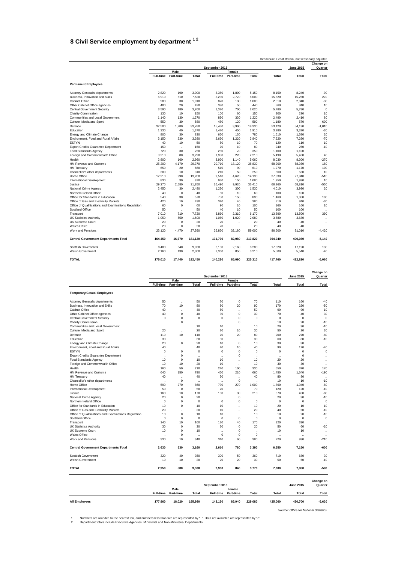## <span id="page-41-0"></span>**8 Civil Service employment by department 1 2**

|                                                                         |                  | Headcount, Great Britain, not seasonally adjusted |         |                  |                      |         |             |                  |                      |  |
|-------------------------------------------------------------------------|------------------|---------------------------------------------------|---------|------------------|----------------------|---------|-------------|------------------|----------------------|--|
|                                                                         |                  |                                                   |         | September 2015   |                      |         |             | <b>June 2015</b> | Change on<br>Quarter |  |
|                                                                         |                  | Male                                              |         |                  | Female               |         |             |                  |                      |  |
|                                                                         | <b>Full-time</b> | Part-time                                         | Total   | <b>Full-time</b> | Part-time            | Total   | Total       | Total            | <b>Total</b>         |  |
| <b>Permanent Employees</b>                                              |                  |                                                   |         |                  |                      |         |             |                  |                      |  |
| Attorney General's departments                                          | 2.820            | 190                                               | 3.000   | 3,350            | 1,800                | 5,150   | 8.150       | 8,240            | $-90$                |  |
| Business, Innovation and Skills                                         | 6.910            | 610                                               | 7.520   | 5,230            | 2.770                | 8,000   | 15.520      | 15,250           | 270                  |  |
| Cabinet Office                                                          | 980              | 30                                                | 1,010   | 870              | 130                  | 1,000   | 2.010       | 2,040            | $-30$                |  |
| Other Cabinet Office agencies                                           | 400              | 20                                                | 420     | 390              | 50                   | 440     | 860         | 840              | 10                   |  |
| Central Government Security                                             | 3.590            | 180                                               | 3.760   | 1.320            | 700                  | 2.020   | 5.780       | 5.780            | $\mathbf 0$          |  |
| <b>Charity Commission</b>                                               | 130              | 10                                                | 150     | 100              | 60                   | 150     | 300         | 290              | 10                   |  |
| Communities and Local Government                                        | 1.140            | 130                                               | 1.270   | 890              | 330                  | 1,220   | 2.490       | 2.410            | 80                   |  |
| Culture, Media and Sport                                                | 550              | 30                                                | 580     | 480              | 120                  | 590     | 1.180       | 570              | 600                  |  |
| Defence                                                                 | 32.500           | 1.280                                             | 33.780  | 15.430           | 3.900                | 19,330  | 53.120      | 54.130           | $-1.010$             |  |
| Education                                                               | 1.330            | 40                                                | 1.370   | 1.470            | 450                  | 1.910   | 3.280       | 3.320            | $-30$                |  |
| Energy and Climate Change                                               | 800              | 30                                                | 830     | 650              | 130                  | 780     | 1.610       | 1.580            | 20                   |  |
| Environment, Food and Rural Affairs                                     | 3.150            | 230                                               | 3.380   | 2.630            | 1.220                | 3.840   | 7.220       | 7.290            | $-70$                |  |
| <b>ESTYN</b>                                                            | 40               | 10                                                | 50      | 50               | 10                   | 70      | 120         | 110              | 10                   |  |
| <b>Export Credits Guarantee Department</b>                              | 150              | $\ddot{\phantom{a}}$                              | 150     | 70               | 10                   | 80      | 240         | 250              | $-10$                |  |
| <b>Food Standards Agency</b>                                            | 720              | 30                                                | 750     | 280              | 70                   | 350     | 1.100       | 1.100            | $\ddot{\phantom{0}}$ |  |
| Foreign and Commonwealth Office                                         | 3.210            | 80                                                | 3.290   | 1.980            | 220                  | 2.210   | 5.490       | 5.460            | 40                   |  |
| Health                                                                  | 2.800            | 160                                               | 2.960   | 3.920            | 1.140                | 5.060   | 8.030       | 8.300            | $-270$               |  |
| HM Revenue and Customs                                                  | 25,200           | 4.170                                             | 29,370  | 20,710           | 18,120               | 38,830  | 68,200      | 68,030           | 180                  |  |
| <b>HM Treasurv</b>                                                      | 650              | 20                                                | 660     | 510              | 90                   | 610     | 1.270       | 1.170            | 100                  |  |
| Chancellor's other departments                                          | 300              | 10                                                | 310     | 210              | 50                   | 250     | 560         | 550              | 10                   |  |
| Home Office                                                             | 12.210           | 990                                               | 13.200  | 9.510            | 4,620                | 14.130  | 27.330      | 27.840           | $-510$               |  |
| International Development                                               | 830              | 30                                                | 870     | 930              | 150                  | 1,080   | 1,950       | 1,930            | 10                   |  |
| Justice                                                                 | 29.270           | 2.580                                             | 31,850  | 26.490           | 9.920                | 36.410  | 68.260      | 68.810           | $-550$               |  |
| National Crime Agency                                                   | 2.450            | 30                                                | 2.480   | 1.230            | 300                  | 1.530   | 4.010       | 3.990            | 20                   |  |
| Northern Ireland Office                                                 | 40               | $\mathbf 0$                                       | 40      | 50               | 10                   | 60      | 100         | 100              |                      |  |
| Office for Standards in Education                                       | 540              | 30                                                | 570     | 750              | 150                  | 890     | 1.460       | 1.360            | 100                  |  |
| Office of Gas and Electricity Markets                                   | 420              | 10                                                | 430     | 340              | 40                   | 380     | 810         | 840              | $-30$                |  |
|                                                                         | 60               | $\mathbf 0$                                       | 60      | 90               | 10                   | 100     | 160         | 160              | 10                   |  |
| Office of Qualifications and Examinations Regulation<br>Scotland Office | 50               |                                                   | 50      | 40               | 10                   | 50      | 100         | 100              |                      |  |
|                                                                         | 7.010            | $\ddot{\phantom{a}}$<br>710                       | 7.720   | 3.860            |                      | 6.170   | 13.890      |                  | 390                  |  |
| Transport                                                               |                  |                                                   |         |                  | 2,310                |         |             | 13,500           |                      |  |
| <b>UK Statistics Authority</b>                                          | 1.050            | 550                                               | 1.600   | 1.060<br>20      | 1,020                | 2,080   | 3,680<br>40 | 3.680<br>40      | $\ddot{\phantom{0}}$ |  |
| UK Supreme Court                                                        | 20               | $\mathbf 0$                                       | 20      |                  | $\ddot{\phantom{a}}$ | 20      |             |                  |                      |  |
| <b>Wales Office</b>                                                     | 20               | $\mathbf 0$                                       | 20      | 20               | $\ddot{\phantom{a}}$ | 20      | 40          | 40               |                      |  |
| Work and Pensions                                                       | 23.120           | 4,470                                             | 27.590  | 26,820           | 32,180               | 59,000  | 86,600      | 91.010           | $-4,420$             |  |
| <b>Central Government Departments Total</b>                             | 164,450          | 16,670                                            | 181.120 | 131,730          | 82,080               | 213,820 | 394,940     | 400.080          | $-5.140$             |  |
| Scottish Government                                                     | 8.400            | 640                                               | 9.030   | 6.130            | 2.160                | 8.280   | 17.320      | 17.190           | 130                  |  |
| <b>Welsh Government</b>                                                 | 2.160            | 130                                               | 2.300   | 2,360            | 850                  | 3,210   | 5.500       | 5,540            | $-40$                |  |
| <b>TOTAL</b>                                                            | 175,010          | 17,440                                            | 192,450 | 140,220          | 85,090               | 225,310 | 417,760     | 422,820          | $-5.060$             |  |

|                                                      | September 2015       |                      |                      |                      |                      |                      |                      |                  | Change on<br>Quarter |  |
|------------------------------------------------------|----------------------|----------------------|----------------------|----------------------|----------------------|----------------------|----------------------|------------------|----------------------|--|
|                                                      |                      | Male                 |                      |                      | Female               |                      |                      | <b>June 2015</b> |                      |  |
|                                                      | <b>Full-time</b>     | Part-time            | Total                | <b>Full-time</b>     | Part-time            | Total                | <b>Total</b>         | Total            | Total                |  |
| <b>Temporary/Casual Employees</b>                    |                      |                      |                      |                      |                      |                      |                      |                  |                      |  |
| Attorney General's departments                       | 50                   | $\ddotsc$            | 50                   | 70                   | $\mathbf 0$          | 70                   | 110                  | 160              | $-40$                |  |
| Business, Innovation and Skills                      | 70                   | 10                   | 80                   | 80                   | 20                   | 90                   | 170                  | 220              | $-50$                |  |
| Cabinet Office                                       | 40                   | $\ddot{\phantom{a}}$ | 40                   | 50                   |                      | 50                   | 90                   | 90               | 10                   |  |
| Other Cabinet Office agencies                        | 40                   | $\mathbf 0$          | 40                   | 30                   | $\mathbf 0$          | 30                   | 70                   | 40               | 30                   |  |
| <b>Central Government Security</b>                   | $\Omega$             | $\Omega$             | $\Omega$             | $\Omega$             | $\Omega$             | $\Omega$             | $\Omega$             | $\Omega$         | $\Omega$             |  |
| Charity Commission                                   | J.                   | $\mathbf 0$          | $\ddot{\phantom{0}}$ | $\ddot{\phantom{a}}$ | $\Omega$             | $\ddot{\phantom{a}}$ | 10                   | 20               | $-10$                |  |
| Communities and Local Government                     | $\ddot{\phantom{a}}$ | $\ddot{\phantom{a}}$ | 10                   | 10                   | $\ddot{\phantom{a}}$ | 10                   | 20                   | 30               | $-10$                |  |
| Culture, Media and Sport                             | 20                   | $\ddot{\phantom{0}}$ | 20                   | 20                   | 10                   | 30                   | 50                   | 20               | 30                   |  |
| Defence                                              | 110                  | 10                   | 110                  | 70                   | 20                   | 80                   | 200                  | 270              | $-80$                |  |
| Education                                            | 30                   | $\ddot{\phantom{a}}$ | 30                   | 30                   | $\ddot{\phantom{a}}$ | 30                   | 60                   | 80               | $-10$                |  |
| Energy and Climate Change                            | 20                   | $\Omega$             | 20                   | 10                   | $\Omega$             | 10 <sup>10</sup>     | 30                   | 30               |                      |  |
| Environment, Food and Rural Affairs                  | 40                   | $\ddot{\phantom{a}}$ | 40                   | 40                   | 10                   | 40                   | 90                   | 120              | $-40$                |  |
| <b>ESTYN</b>                                         | $\mathbf 0$          | $\mathbf 0$          | $\mathbf 0$          | 0                    | $\mathbf 0$          | $\mathbf 0$          | $\mathbf 0$          | $\mathbf 0$      | $\mathbf 0$          |  |
| <b>Export Credits Guarantee Department</b>           | $\ddot{\phantom{0}}$ | $\Omega$             | $\ddot{\phantom{0}}$ | $\ddotsc$            | $\Omega$             | ٠.                   | ٠.                   | $\Omega$         |                      |  |
| Food Standards Agency                                | 10                   | $\mathbf 0$          | 10                   | 10                   | $\sim$               | 10                   | 20                   | 20               | $\ddot{\phantom{a}}$ |  |
| Foreign and Commonwealth Office                      | 10                   | 10                   | 20                   | 10                   | $\ddot{\phantom{a}}$ | 10                   | 30                   | 30               | $\ddot{\phantom{a}}$ |  |
| Health                                               | 160                  | 50                   | 210                  | 240                  | 100                  | 330                  | 550                  | 370              | 170                  |  |
| HM Revenue and Customs                               | 640                  | 150                  | 790                  | 450                  | 210                  | 660                  | 1.450                | 1.640            | $-190$               |  |
| <b>HM Treasury</b>                                   | 40                   | $\ddot{\phantom{a}}$ | 40                   | 30                   | $\ddot{\phantom{a}}$ | 40                   | 80                   | 80               | $\ddot{\phantom{0}}$ |  |
| Chancellor's other departments                       | $\ddot{\phantom{0}}$ | $\Omega$             | ٠.                   | $\ddotsc$            | $\Omega$             | $\ddotsc$            | 10                   | 10               | $-10$                |  |
| Home Office                                          | 590                  | 270                  | 860                  | 730                  | 270                  | 1.000                | 1.860                | 1.940            | $-80$                |  |
| International Development                            | 50                   | $\mathbf 0$          | 50                   | 70                   | $\ddot{\phantom{a}}$ | 70                   | 120                  | 120              | $-10$                |  |
| Justice                                              | 160                  | 10                   | 170                  | 180                  | 30                   | 210                  | 370                  | 450              | $-80$                |  |
| National Crime Agency                                | 20                   | $\mathbf 0$          | 20                   | $\ddot{\phantom{a}}$ | $\mathbf 0$          | $\ddot{\phantom{a}}$ | 20                   | 30               | $-10$                |  |
| Northern Ireland Office                              | $\mathbf 0$          | $\mathbf 0$          | $\mathbf 0$          | $\mathbf 0$          | $\mathbf 0$          | $\mathbf 0$          | $\mathbf 0$          | $\mathbf 0$      | $\mathbf 0$          |  |
| Office for Standards in Education                    | 10                   | $\Omega$             | 10                   | 10                   | $\ddot{\phantom{a}}$ | 10                   | 20                   | 10               | 10                   |  |
| Office of Gas and Electricity Markets                | 20                   | $\ddot{\phantom{a}}$ | 20                   | 10                   | ÷.                   | 20                   | 40                   | 50               | $-10$                |  |
| Office of Qualifications and Examinations Regulation | 10                   | $\mathbf 0$          | 10                   | 10                   | $\ddot{\phantom{a}}$ | 10                   | 10                   | 20               | $-10$                |  |
| Scotland Office                                      | $\mathbf 0$          | $\mathbf 0$          | $\mathbf 0$          | $\mathbf 0$          | $\mathbf 0$          | $\mathbf 0$          | $\mathbf 0$          | $\mathbf 0$      | $\mathbf 0$          |  |
| Transport                                            | 140                  | 10                   | 160                  | 130                  | 40                   | 170                  | 320                  | 330              | $\ddot{\phantom{a}}$ |  |
| <b>UK Statistics Authority</b>                       | 30                   | $\mathbf 0$          | 30                   | 20                   | $\mathbf 0$          | 20                   | 50                   | 60               | $-20$                |  |
| UK Supreme Court                                     | 10                   | $\mathbf 0$          | 10                   | $\ddot{\phantom{a}}$ | $\mathbf 0$          | $\ddot{\phantom{a}}$ | 10                   | 10               | $\ddot{\phantom{a}}$ |  |
| <b>Wales Office</b>                                  | $\ddot{\phantom{a}}$ | $\mathbf 0$          | $\ddot{\phantom{a}}$ | $\mathbf 0$          | $\mathbf 0$          | $\mathbf 0$          | $\ddot{\phantom{0}}$ | $\ddotsc$        | $\ddot{\phantom{a}}$ |  |
| Work and Pensions                                    | 330                  | 10                   | 340                  | 310                  | 60                   | 380                  | 720                  | 930              | $-210$               |  |
| <b>Central Government Departments Total</b>          | 2,630                | 530                  | 3,160                | 2,610                | 780                  | 3,390                | 6,550                | 7,150            | $-600$               |  |
| Scottish Government                                  | 320                  | 40                   | 350                  | 300                  | 50                   | 360                  | 710                  | 680              | 30                   |  |
| <b>Welsh Government</b>                              | 10                   | 10                   | 20                   | 20                   | 20                   | 30                   | 50                   | 60               | $-10$                |  |
| <b>TOTAL</b>                                         | 2,950                | 580                  | 3,530                | 2.930                | 840                  | 3.770                | 7,300                | 7.880            | $-580$               |  |

|                      | September 2015   |           |         |                  |                  |         | <b>June 2015</b> | Change on<br>Quarter |          |
|----------------------|------------------|-----------|---------|------------------|------------------|---------|------------------|----------------------|----------|
|                      | Male             |           |         |                  | Female           |         |                  |                      |          |
|                      | <b>Full-time</b> | Part-time | Total   | <b>Full-time</b> | <b>Part-time</b> | Total   | <b>Total</b>     | Total                | Total    |
| <b>All Employees</b> | 177.960          | 18.020    | 195.980 | 143.150          | 85.940           | 229.080 | 425.060          | 430.700              | $-5,630$ |

*Source: Office for National Statistics*

1 Numbers are rounded to the nearest ten, and numbers less than five are represented by "..". Data not available are represented by "-".<br>2 Department totals include Executive Agencies, Ministerial and Non-Ministerial Depar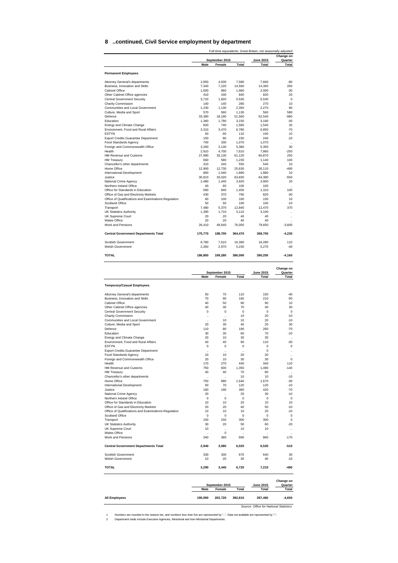#### <span id="page-42-0"></span>**8 ..continued, Civil Service employment by department**

|                                                                                               |                             |                             |                             | Full-time equivalents, Great Britain, not seasonally adjusted | Change on                  |
|-----------------------------------------------------------------------------------------------|-----------------------------|-----------------------------|-----------------------------|---------------------------------------------------------------|----------------------------|
|                                                                                               | Male                        | September 2015<br>Female    | Total                       | <b>June 2015</b><br>Total                                     | Quarter<br>Total           |
| <b>Permanent Employees</b>                                                                    |                             |                             |                             |                                                               |                            |
| Attorney General's departments                                                                | 2,950                       | 4,630                       | 7.580                       | 7,660                                                         | $-80$                      |
| Business, Innovation and Skills                                                               | 7,340                       | 7,220                       | 14,560                      | 14,300                                                        | 260                        |
| <b>Cabinet Office</b>                                                                         | 1,000                       | 960                         | 1,960                       | 2,000                                                         | $-30$                      |
| Other Cabinet Office agencies<br><b>Central Government Security</b>                           | 410<br>3,710                | 430<br>1,820                | 840<br>5,530                | 820<br>5,530                                                  | 20<br>$\mathbf 0$          |
| Charity Commission                                                                            | 140                         | 140                         | 280                         | 270                                                           | 10                         |
| Communities and Local Government                                                              | 1,230                       | 1,130                       | 2,350                       | 2,270                                                         | 80                         |
| Culture, Media and Sport<br>Defence                                                           | 570<br>33,380               | 560<br>18,190               | 1,130<br>51,560             | 560<br>52,540                                                 | 580<br>-980                |
| Education                                                                                     | 1,360                       | 1,790                       | 3,150                       | 3,180                                                         | $-30$                      |
| Energy and Climate Change                                                                     | 820                         | 740                         | 1,560                       | 1,540                                                         | 20                         |
| Environment, Food and Rural Affairs<br><b>FSTYN</b>                                           | 3,310<br>50                 | 3,470<br>60                 | 6,780<br>110                | 6,850<br>100                                                  | -70<br>10                  |
| Export Credits Guarantee Department                                                           | 150                         | 80                          | 230                         | 240                                                           | $-10$                      |
| Food Standards Agency                                                                         | 740                         | 330<br>2,130                | 1,070                       | 1,070                                                         | <br>30                     |
| Foreign and Commonwealth Office<br>Health                                                     | 3,260<br>2,910              | 4,700                       | 5,380<br>7,610              | 5,350<br>7,860                                                | $-250$                     |
| HM Revenue and Customs                                                                        | 27,990                      | 33,130                      | 61,120                      | 60,870                                                        | 250                        |
| <b>HM Treasury</b>                                                                            | 660<br>310                  | 580<br>240                  | 1,230                       | 1,140                                                         | 100                        |
| Chancellor's other departments<br>Home Office                                                 | 12,900                      | 12,730                      | 550<br>25,630               | 540<br>26,110                                                 | 10<br>-490                 |
| International Development                                                                     | 860                         | 1,040                       | 1,890                       | 1,880                                                         | 10                         |
| Justice                                                                                       | 30,810                      | 33.020                      | 63,830                      | 64,380                                                        | $-550$                     |
| National Crime Agency<br>Northern Ireland Office                                              | 2,480<br>40                 | 1,440<br>60                 | 3,920<br>100                | 3,900<br>100                                                  | 20<br>$\ddot{\phantom{a}}$ |
| Office for Standards in Education                                                             | 560                         | 840                         | 1,400                       | 1,310                                                         | 100                        |
| Office of Gas and Electricity Markets<br>Office of Qualifications and Examinations Regulation | 430                         | 370                         | 790                         | 820                                                           | -30                        |
| Scotland Office                                                                               | 60<br>50                    | 100<br>50                   | 160<br>100                  | 150<br>100                                                    | 10<br>$-10$                |
| Transport                                                                                     | 7,480                       | 5,370                       | 12,840                      | 12,470                                                        | 370                        |
| <b>UK Statistics Authority</b>                                                                | 1,390                       | 1.710                       | 3,110                       | 3,100                                                         | $\ddot{\phantom{0}}$       |
| <b>UK Supreme Court</b><br><b>Wales Office</b>                                                | 20<br>20                    | 20<br>20                    | 40<br>40                    | 40<br>40                                                      | $\ddot{\phantom{a}}$       |
| Work and Pensions                                                                             | 26,410                      | 49,640                      | 76,050                      | 79,650                                                        | $-3,600$                   |
| <b>Central Government Departments Total</b>                                                   | 175,770                     | 188,700                     | 364,470                     | 368,700                                                       | $-4,230$                   |
| Scottish Government<br>Welsh Government                                                       | 8,780<br>2,260              | 7,610<br>2,970              | 16,390<br>5,230             | 16,280<br>5,270                                               | 110<br>$-40$               |
| <b>TOTAL</b>                                                                                  | 186,800                     | 199,280                     | 386,090                     | 390,250                                                       | $-4,160$                   |
|                                                                                               |                             |                             |                             |                                                               |                            |
|                                                                                               |                             |                             |                             |                                                               | Change on                  |
|                                                                                               | Male                        | September 2015<br>Female    | Total                       | June 2015<br>Total                                            | Quarter<br>Total           |
| <b>Temporary/Casual Employees</b>                                                             |                             |                             |                             |                                                               |                            |
| Attorney General's departments                                                                | 50                          | 70                          | 110                         | 150                                                           | $-40$                      |
| Business, Innovation and Skills                                                               | 70                          | 90                          | 160                         | 210                                                           | $-50$                      |
| Cabinet Office                                                                                | 40                          | 50                          | 90                          | 90                                                            | 10                         |
| Other Cabinet Office agencies<br><b>Central Government Security</b>                           | 40<br>0                     | 30<br>0                     | 70<br>0                     | 40<br>0                                                       | 30<br>0                    |
| <b>Charity Commission</b>                                                                     | Ŀ,                          | $\ddot{\phantom{0}}$        | 10                          | 20                                                            | $-10$                      |
| Communities and Local Government                                                              | $\ddot{\phantom{a}}$        | 10                          | 10                          | 20                                                            | $-10$                      |
| Culture, Media and Sport<br>Defence                                                           | 20<br>110                   | 30<br>80                    | 40<br>190                   | 20<br>260                                                     | 30<br>$-70$                |
| Education                                                                                     | 30                          | 30                          | 60                          | 70                                                            | $-10$                      |
| Energy and Climate Change                                                                     | 20                          | 10                          | 30                          | 30                                                            | $\ddot{\phantom{0}}$       |
| Environment, Food and Rural Affairs<br><b>ESTYN</b>                                           | 40<br>$^{\circ}$            | 40<br>0                     | 90<br>0                     | 110<br>0                                                      | $-30$<br>0                 |
| <b>Export Credits Guarantee Department</b>                                                    | $\ddot{\phantom{a}}$        | $\ddot{\phantom{a}}$        | ä,                          | 0                                                             |                            |
| Food Standards Agency                                                                         | 10                          | 10                          | 20                          | 20                                                            |                            |
| Foreign and Commonwealth Office<br>Health                                                     | 20<br>170                   | 10<br>270                   | 30<br>440                   | 30<br>340                                                     | 0<br>110                   |
| HM Revenue and Customs                                                                        | 750                         | 600                         | 1,350                       | 1,490                                                         | $-140$                     |
| <b>HM Treasury</b>                                                                            | 40                          | 40                          | 70                          | 80                                                            |                            |
| Chancellor's other departments<br>Home Office                                                 | $\ddot{\phantom{a}}$<br>750 | $\ddot{\phantom{a}}$<br>890 | 10<br>1,640                 | 10<br>1,670                                                   | $-10$<br>$-30$             |
| International Development                                                                     | 50                          | 70                          | 120                         | 120                                                           | -10                        |
| Justice                                                                                       | 160                         | 190                         | 360                         | 420                                                           | $-70$                      |
| National Crime Agency                                                                         | 20                          | $\ddot{\phantom{0}}$        | 20                          | 30                                                            | $-10$                      |
| Northern Ireland Office<br>Office for Standards in Education                                  | $^{\circ}$<br>10            | $\mathbf 0$<br>10           | $\mathbf 0$<br>20           | $\mathbf 0$<br>10                                             | 0<br>10                    |
| Office of Gas and Electricity Markets                                                         | 20                          | 20                          | 40                          | 50                                                            | $-10$                      |
| Office of Qualifications and Examinations Regulation                                          | 10                          | 10                          | 10                          | 20                                                            | -10<br>$\mathbf 0$         |
| Scotland Office<br>Transport                                                                  | 0<br>150                    | 0<br>150                    | 0<br>300                    | 0<br>300                                                      | 0                          |
| <b>UK Statistics Authority</b>                                                                | 30                          | 20                          | 50                          | 60                                                            | $-20$                      |
| UK Supreme Court                                                                              | 10                          | $\ddot{\phantom{a}}$        | 10                          | 10                                                            | $\ddot{\phantom{a}}$       |
| <b>Wales Office</b><br>Work and Pensions                                                      | ż.<br>340                   | 0<br>360                    | $\ddot{\phantom{a}}$<br>690 | ÷.<br>860                                                     | $-170$                     |
| <b>Central Government Departments Total</b>                                                   | 2,940                       | 3,080                       | 6,020                       | 6,530                                                         | $-510$                     |
| Scottish Government                                                                           | 330                         | 330                         | 670                         | 640                                                           | 30                         |
| Welsh Government                                                                              | 10                          | 20                          | 30                          | 40                                                            | $-10$                      |
|                                                                                               |                             |                             |                             | 7,210                                                         |                            |
|                                                                                               | 3,290                       | 3,440                       | 6,720                       |                                                               | -490                       |
| <b>TOTAL</b>                                                                                  |                             | September 2015              |                             | <b>June 2015</b>                                              | Change on<br>Quarter       |

*Source: Office for National Statistics*

**190,090 202,720 392,810 397,460 -4,650**

1 Numbers are rounded to the nearest ten, and numbers less than five are represented by "..". Data not available are represented by "-".<br>2 Department totals include Executive Agencies, Ministerial and Non-Ministerial Depar

**All Employees**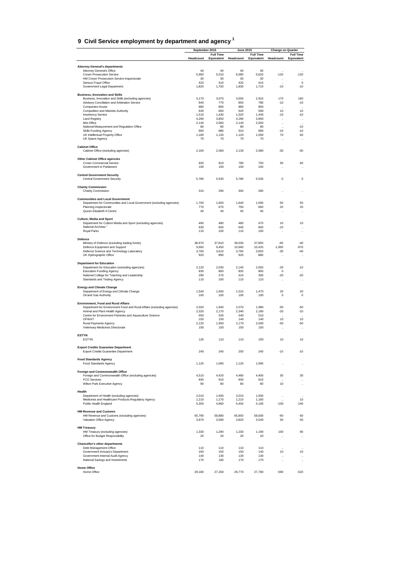| 9 Civil Service employment by department and agency 1 |  |
|-------------------------------------------------------|--|

|                                                                                                          | September 2015 |                  | <b>June 2015</b> |                  | <b>Change on Quarter</b>   |                                   |
|----------------------------------------------------------------------------------------------------------|----------------|------------------|------------------|------------------|----------------------------|-----------------------------------|
|                                                                                                          |                | <b>Full Time</b> |                  | <b>Full Time</b> |                            | <b>Full Time</b>                  |
|                                                                                                          | Headcount      | Equivalent       | Headcount        | Equivalent       | Headcount                  | Equivalent                        |
| <b>Attorney General's departments</b>                                                                    |                |                  |                  |                  |                            |                                   |
| Attorney General's Office                                                                                | 40             | 40               | 40               | 40               |                            |                                   |
| Crown Prosecution Service<br>HM Crown Prosecution Service Inspectorate                                   | 5,960<br>30    | 5,510<br>30      | 6,080<br>30      | 5,620<br>30      | $-120$                     | -120<br>$\ddotsc$                 |
| Serious Fraud Office                                                                                     | 420            | 410              | 420              | 410              | $\ddot{\phantom{a}}$<br>٠. | $\pmb{0}$                         |
| Government Legal Department                                                                              | 1,820          | 1,700            | 1,830            | 1,710            | $-10$                      | $-10$                             |
| <b>Business, Innovation and Skills</b>                                                                   |                |                  |                  |                  |                            |                                   |
| Business, Innovation and Skills (excluding agencies)                                                     | 3,170          | 3,070            | 3,000            | 2,910            | 170                        | 160                               |
| Advisory Conciliation and Arbitration Service                                                            | 840            | 770              | 850              | 780              | $-10$                      | $-10$                             |
| Companies House<br>Competition and Markets Authority                                                     | 880<br>630     | 800<br>600       | 880<br>620       | 800<br>590       | ÷.<br>10                   | 10                                |
| <b>Insolvency Service</b>                                                                                | 1,510          | 1,430            | 1,520            | 1,440            | -10                        | $-10$                             |
| <b>Land Registry</b>                                                                                     | 4,290          | 3,850            | 4,290            | 3,850            | $\ddot{\phantom{0}}$       | $\ddotsc$                         |
| Met Office                                                                                               | 2,140          | 2,060            | 2,140            | 2,050            | $\ddot{\phantom{0}}$       | $\ddotsc$                         |
| National Measurement and Regulation Office<br><b>Skills Funding Agency</b>                               | 80<br>900      | 80<br>880        | 80<br>910        | 80<br>890        | $\ddotsc$<br>-10           | $-10$<br>$-10$                    |
| UK Intellectual Property Office                                                                          | 1,180          | 1,120            | 1,120            | 1,050            | 70                         | 60                                |
| UK Space Agency                                                                                          | 70             | 70               | 70               | 70               | ă,                         | $\ddot{\phantom{a}}$              |
| <b>Cabinet Office</b><br>Cabinet Office (excluding agencies)                                             | 2,100          | 2,060            | 2,130            | 2,080            | $-30$                      | $-30$                             |
|                                                                                                          |                |                  |                  |                  |                            |                                   |
| <b>Other Cabinet Office agencies</b><br>Crown Commercial Service                                         | 820            | 810              | 780              | 750              | 50                         | 60                                |
| Government in Parliament                                                                                 | 100            | 100              | 100              | 100              | ٠.                         |                                   |
|                                                                                                          |                |                  |                  |                  |                            |                                   |
| <b>Central Government Security</b><br><b>Central Government Security</b>                                 | 5,780          | 5,530            | 5,780            | 5,530            | 0                          | $\bf 0$                           |
| <b>Charity Commission</b>                                                                                |                |                  |                  |                  |                            |                                   |
| Charity Commission                                                                                       | 310            | 290              | 300              | 280              | ٠.                         |                                   |
| <b>Communities and Local Government</b>                                                                  |                |                  |                  |                  |                            |                                   |
| Department for Communities and Local Government (excluding agencies)                                     | 1,700          | 1,650            | 1,640            | 1,590            | 50                         | 50                                |
| Planning Inspectorate                                                                                    | 770            | 670              | 750              | 660              | 20                         | 20                                |
| Queen Elizabeth II Centre                                                                                | 40             | 40               | 40               | 40               | ă,                         | $\ddotsc$                         |
| <b>Culture, Media and Sport</b>                                                                          |                |                  |                  |                  |                            |                                   |
| Department for Culture Media and Sport (excluding agencies)                                              | 490            | 480              | 480              | 470              | 10                         | 10                                |
| National Archives <sup>2</sup>                                                                           | 630            | 600              | 640              | 600              | -10                        | $\ddot{\phantom{0}}$              |
| Royal Parks                                                                                              | 110            | 100              | 110              | 100              | ă,                         | $\ddot{\phantom{a}}$              |
| Defence                                                                                                  |                |                  |                  |                  |                            |                                   |
| Ministry of Defence (excluding trading funds)                                                            | 38,970         | 37,810           | 39,030           | 37,850           | -60                        | $-40$                             |
| Defence Equipment and Support<br>Defence Science and Technology Laboratory                               | 9,660<br>3,760 | 9,450<br>3,610   | 10,660<br>3,790  | 10,420<br>3,650  | $-1,000$<br>$-30$          | -970<br>$-40$                     |
| UK Hydrographic Office                                                                                   | 920            | 890              | 920              | 880              | ă,                         | $\ddotsc$                         |
|                                                                                                          |                |                  |                  |                  |                            |                                   |
| <b>Department for Education</b><br>Department for Education (excluding agencies)                         | 2,120          | 2,030            | 2,140            | 2,050            | $-20$                      | $-10$                             |
| <b>Education Funding Agency</b>                                                                          | 830            | 800              | 830              | 800              | 0                          |                                   |
| National College for Teaching and Leadership                                                             | 290            | 270              | 310              | 300              | $-20$                      | $-20$                             |
| Standards and Testing Agency                                                                             | 110            | 100              | 110              | 110              | ă,                         | $\ddotsc$                         |
| <b>Energy and Climate Change</b>                                                                         |                |                  |                  |                  |                            |                                   |
| Department of Energy and Climate Change<br>Oil and Gas Authority                                         | 1,540<br>100   | 1,500<br>100     | 1,510<br>100     | 1,470<br>100     | 20<br>0                    | 20<br>$\mathbf 0$                 |
|                                                                                                          |                |                  |                  |                  |                            |                                   |
| <b>Environment, Food and Rural Affairs</b>                                                               |                |                  |                  |                  |                            |                                   |
| Department for Environment Food and Rural Affairs (excluding agencies)<br>Animal and Plant Health Agency | 2,020<br>2,320 | 1,940<br>2,170   | 2,070<br>2,340   | 1,980<br>2,180   | -50<br>$-20$               | $-50$<br>$-10$                    |
| Centre for Environment Fisheries and Aquaculture Science                                                 | 550            | 520              | 540              | 510              | Ŀ,                         | $\ddotsc$                         |
| OFWAT                                                                                                    | 150            | 150              | 140              | 140              | 10                         | 10                                |
| Rural Payments Agency<br>Veterinary Medicines Directorate                                                | 2,120<br>150   | 1,950<br>150     | 2,170<br>150     | 2,000<br>150     | $-50$                      | -50                               |
|                                                                                                          |                |                  |                  |                  | ă,                         | $\ddotsc$                         |
| <b>ESTYN</b>                                                                                             |                |                  |                  |                  |                            |                                   |
| <b>ESTYN</b>                                                                                             | 120            | 110              | 110              | 100              | 10                         | 10                                |
| <b>Export Credits Guarantee Department</b>                                                               | 240            |                  |                  |                  | $-10$                      |                                   |
| Export Credits Guarantee Department                                                                      |                | 240              | 250              | 240              |                            | $-10$                             |
| <b>Food Standards Agency</b>                                                                             |                |                  |                  |                  |                            |                                   |
| Food Standards Agency                                                                                    | 1,120          | 1,090            | 1,120            | 1,090            | ٠.                         | $\ddot{\phantom{0}}$              |
| <b>Foreign and Commonwealth Office</b>                                                                   |                |                  |                  |                  |                            |                                   |
| Foreign and Commonwealth Office (excluding agencies)                                                     | 4,510          | 4,420            | 4,480            | 4,400            | 30                         | 30                                |
| <b>FCO Services</b><br>Wilton Park Executive Agency                                                      | 930<br>90      | 910<br>80        | 930<br>80        | 910<br>80        | ă,<br>10                   | $\ddot{\phantom{a}}$<br>$\ddotsc$ |
|                                                                                                          |                |                  |                  |                  |                            |                                   |
| Health                                                                                                   |                |                  |                  |                  |                            |                                   |
| Department of Health (excluding agencies)<br>Medicines and Healthcare Products Regulatory Agency         | 2,010<br>1,210 | 1,930<br>1,170   | 2,010<br>1,210   | 1,930<br>1,160   | $\ddotsc$<br>ă,            | 10                                |
| Public Health England                                                                                    | 5,350          | 4,960            | 5,450            | 5,100            | $-100$                     | $-140$                            |
|                                                                                                          |                |                  |                  |                  |                            |                                   |
| <b>HM Revenue and Customs</b><br>HM Revenue and Customs (excluding agencies)                             | 65,790         | 58,880           | 65,850           | 58,830           | -60                        | 60                                |
| Valuation Office Agency                                                                                  | 3,870          | 3,580            | 3,820            | 3,540            | 50                         | 50                                |
|                                                                                                          |                |                  |                  |                  |                            |                                   |
| <b>HM Treasury</b><br>HM Treasury (excluding agencies)                                                   | 1,330          | 1,290            | 1,230            | 1,190            | 100                        | 90                                |
| Office for Budget Responsibility                                                                         | 20             | 20               | 20               | 20               | ă,                         | $\ddot{\phantom{0}}$              |
|                                                                                                          |                |                  |                  |                  |                            |                                   |
| <b>Chancellor's other departments</b><br>Debt Management Office                                          | 110            | 110              | 110              | 110              | $\ddotsc$                  |                                   |
| Government Actuary's Department                                                                          | 160            | 150              | 150              | 140              | 10                         | 10                                |
| Government Internal Audit Agency                                                                         | 140            | 130              | 130              | 130              |                            | $\ddotsc$                         |
| National Savings and Investments                                                                         | 170            | 160              | 170              | 170              | $\ddot{\phantom{a}}$       | $\ddotsc$                         |
| <b>Home Office</b>                                                                                       |                |                  |                  |                  |                            |                                   |
| Home Office                                                                                              | 29,180         | 27,260           | 29,770           | 27,780           | $-590$                     | $-520$                            |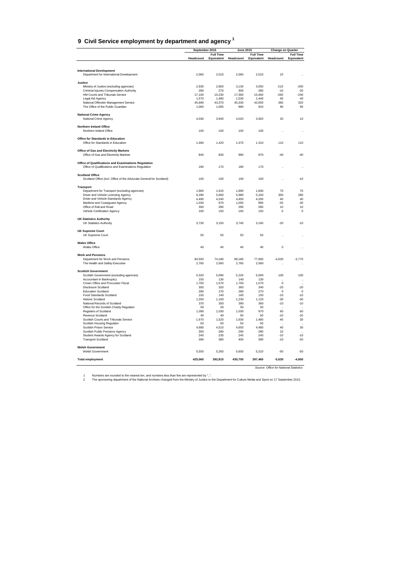#### <span id="page-44-0"></span>**9 Civil Service employment by department and agency 1**

|                                                                                       | September 2015 |                                | <b>June 2015</b> |                                | <b>Change on Quarter</b>               |                                |
|---------------------------------------------------------------------------------------|----------------|--------------------------------|------------------|--------------------------------|----------------------------------------|--------------------------------|
|                                                                                       | Headcount      | <b>Full Time</b><br>Equivalent | Headcount        | <b>Full Time</b><br>Equivalent | Headcount                              | <b>Full Time</b><br>Equivalent |
|                                                                                       |                |                                |                  |                                |                                        |                                |
| <b>International Development</b>                                                      |                |                                |                  |                                |                                        |                                |
| Department for International Development                                              | 2,060          | 2,010                          | 2.060            | 2.010                          | 10                                     |                                |
|                                                                                       |                |                                |                  |                                |                                        |                                |
| Justice                                                                               |                |                                | 3.130            |                                | $-210$                                 | $-200$                         |
| Ministry of Justice (excluding agencies)<br>Criminal Injuries Compensation Authority  | 2.930<br>280   | 2.850<br>270                   | 300              | 3,050<br>280                   | $-10$                                  | $-20$                          |
| HM Courts and Tribunals Service                                                       | 17,100         | 15,230                         | 17,360           | 15,460                         | $-260$                                 | $-240$                         |
| Legal Aid Agency                                                                      | 1,570          | 1,480                          | 1,530            | 1,440                          | 40                                     | 40                             |
| National Offender Management Service                                                  | 45.690         | 43.370                         | 45,330           | 43,050                         | 360                                    | 320                            |
| The Office of the Public Guardian                                                     | 1,060          | 1,000                          | 980              | 910                            | 90                                     | 90                             |
| <b>National Crime Agency</b>                                                          |                |                                |                  |                                |                                        |                                |
| National Crime Agency                                                                 | 4,030          | 3,940                          | 4,020            | 3,920                          | 20                                     | 10                             |
| Northern Ireland Office                                                               |                |                                |                  |                                |                                        |                                |
| Northern Ireland Office                                                               | 100            | 100                            | 100              | 100                            |                                        |                                |
| Office for Standards in Education                                                     |                |                                |                  |                                |                                        |                                |
| Office for Standards in Education                                                     | 1.480          | 1,420                          | 1,370            | 1.310                          | 110                                    | 110                            |
|                                                                                       |                |                                |                  |                                |                                        |                                |
| <b>Office of Gas and Electricity Markets</b><br>Office of Gas and Electricity Markets | 840            | 830                            | 890              | 870                            | $-40$                                  | $-40$                          |
|                                                                                       |                |                                |                  |                                |                                        |                                |
| Office of Qualifications and Examinations Regulation                                  |                |                                |                  |                                |                                        |                                |
| Office of Qualifications and Examinations Regulation                                  | 180            | 170                            | 180              | 170                            |                                        |                                |
| <b>Scotland Office</b>                                                                |                |                                |                  |                                |                                        |                                |
| Scotland Office (incl. Office of the Advocate General for Scotland)                   | 100            | 100                            | 100              | 100                            | $\ddotsc$                              | $-10$                          |
| <b>Transport</b>                                                                      |                |                                |                  |                                |                                        |                                |
| Department for Transport (excluding agencies)                                         | 1,960          | 1,910                          | 1,890            | 1,840                          | 70                                     | 70                             |
| Driver and Vehicle Licensing Agency                                                   | 6,280          | 5,600                          | 5,980            | 5,320                          | 300                                    | 280                            |
| Driver and Vehicle Standards Agency                                                   | 4,490          | 4,240                          | 4,450            | 4.200                          | 40                                     | 40                             |
| Maritime and Coastguard Agency                                                        | 1,030          | 970                            | 1,050            | 990                            | $-20$                                  | $-30$                          |
| Office of Rail and Road                                                               | 300            | 280                            | 290              | 280                            | 10                                     | 10                             |
| Vehicle Certification Agency                                                          | 160            | 150                            | 160              | 150                            | 0                                      | $\Omega$                       |
| <b>UK Statistics Authority</b>                                                        |                |                                |                  |                                |                                        |                                |
| <b>UK Statistics Authority</b>                                                        | 3,730          | 3,150                          | 3,740            | 3,160                          | $-20$                                  | $-10$                          |
| <b>UK Supreme Court</b>                                                               |                |                                |                  |                                |                                        |                                |
| UK Supreme Court                                                                      | 50             | 50                             | 50               | 50                             |                                        |                                |
|                                                                                       |                |                                |                  |                                |                                        |                                |
| <b>Wales Office</b><br>Wales Office                                                   | 40             | 40                             | 40               | 40                             | $\mathbf 0$                            |                                |
|                                                                                       |                |                                |                  |                                |                                        |                                |
| <b>Work and Pensions</b>                                                              |                |                                |                  |                                |                                        |                                |
| Department for Work and Pensions                                                      | 84,550         | 74,180                         | 89,180           | 77,950                         | $-4,630$                               | $-3,770$                       |
| The Health and Safety Executive                                                       | 2,760          | 2,560                          | 2,760            | 2,560                          | $\ddot{\phantom{0}}$                   | $\ddot{\phantom{a}}$           |
| <b>Scottish Government</b>                                                            |                |                                |                  |                                |                                        |                                |
| Scottish Government (excluding agencies)                                              | 5,320          | 5,090                          | 5,220            | 5,000                          | 100                                    | 100                            |
| Accountant in Bankruptcy                                                              | 150            | 130                            | 140              | 130                            |                                        | $\ddot{\phantom{0}}$           |
| Crown Office and Procurator Fiscal                                                    | 1,700          | 1,570                          | 1,700            | 1,570                          | $\Omega$                               |                                |
| Disclosure Scotland<br><b>Education Scotland</b>                                      | 350<br>280     | 320<br>270                     | 360<br>280       | 340<br>270                     | $-20$<br>0                             | $-20$<br>$\pmb{0}$             |
| Food Standards Scotland                                                               | 150            | 140                            | 160              | 150                            | $-10$                                  | $-10$                          |
| <b>Historic Scotland</b>                                                              | 1.200          | 1.100                          | 1.230            | 1.120                          | $-30$                                  | $-30$                          |
| National Records of Scotland                                                          | 370            | 350                            | 390              | 360                            | $-10$                                  | $-10$                          |
| Office for the Scottish Charity Regulator                                             | 50             | 50                             | 50               | 50                             |                                        |                                |
| <b>Registers of Scotland</b>                                                          | 1,090          | 1,030                          | 1,030            | 970                            | 60                                     | 60                             |
| Revenue Scotland                                                                      | 40             | 40                             | 50               | 50                             | $-10$                                  | $-10$                          |
| Scottish Courts and Tribunals Service                                                 | 1,670          | 1,520                          | 1,630            | 1,480                          | 40                                     | 30                             |
| Scottish Housing Regulator                                                            | 50             | 50                             | 50               | 50                             |                                        |                                |
| Scottish Prison Service                                                               | 4,680          | 4,510                          | 4,650            | 4,480                          | 40                                     | 30                             |
| Scottish Public Pensions Agency                                                       | 300            | 280                            | 290              | 280                            | 10                                     | $\ddot{\phantom{a}}$           |
| Student Awards Agency for Scotland                                                    | 240            | 230                            | 240              | 240                            | $-10$                                  | $-10$                          |
| <b>Transport Scotland</b>                                                             | 390            | 380                            | 400              | 390                            | $-10$                                  | $-20$                          |
| <b>Welsh Government</b>                                                               |                |                                |                  |                                |                                        |                                |
| <b>Welsh Government</b>                                                               | 5,550          | 5,260                          | 5,600            | 5,310                          | $-50$                                  | $-50$                          |
| <b>Total employment</b>                                                               | 425,060        | 392,810                        | 430,700          | 397,460                        | $-5,630$                               | $-4.650$                       |
|                                                                                       |                |                                |                  |                                |                                        |                                |
|                                                                                       |                |                                |                  |                                | Source: Office for National Statistics |                                |

1 Numbers are rounded to the nearest ten, and numbers less than five are represented by "..".<br>2 The sponsoring department of the National Archives changed from the Ministry of Justice to the Department for Culture Media an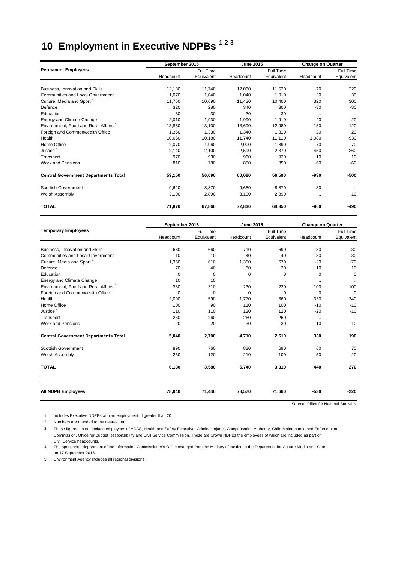# <span id="page-45-0"></span>**10 Employment in Executive NDPBs 1 2 3**

|                                                  | September 2015 |            | <b>June 2015</b> |            | <b>Change on Quarter</b> |              |  |
|--------------------------------------------------|----------------|------------|------------------|------------|--------------------------|--------------|--|
| <b>Permanent Employees</b>                       |                | Full Time  |                  | Full Time  |                          | Full Time    |  |
|                                                  | Headcount      | Equivalent | Headcount        | Equivalent | Headcount                | Equivalent   |  |
| Business, Innovation and Skills                  | 12,130         | 11,740     | 12,060           | 11,520     | 70                       | 220          |  |
| <b>Communities and Local Government</b>          | 1,070          | 1,040      | 1,040            | 1,010      | 30                       | 30           |  |
| Culture, Media and Sport <sup>4</sup>            | 11,750         | 10,690     | 11,430           | 10,400     | 320                      | 300          |  |
| Defence                                          | 320            | 280        | 340              | 300        | $-30$                    | $-30$        |  |
| Education                                        | 30             | 30         | 30               | 30         | $\ldots$                 | $\cdot\cdot$ |  |
| Energy and Climate Change                        | 2,010          | 1,930      | 1,990            | 1,910      | 20                       | 20           |  |
| Environment. Food and Rural Affairs <sup>5</sup> | 13.850         | 13,100     | 13,690           | 12,980     | 150                      | 120          |  |
| Foreign and Commonwealth Office                  | 1,360          | 1,330      | 1,340            | 1,310      | 20                       | 20           |  |
| Health                                           | 10,660         | 10,180     | 11,740           | 11,110     | $-1,080$                 | $-930$       |  |
| Home Office                                      | 2,070          | 1,960      | 2,000            | 1,890      | 70                       | 70           |  |
| Justice <sup>4</sup>                             | 2,140          | 2,100      | 2,590            | 2,370      | $-450$                   | $-260$       |  |
| Transport                                        | 970            | 930        | 960              | 920        | 10                       | 10           |  |
| <b>Work and Pensions</b>                         | 810            | 780        | 880              | 850        | $-60$                    | $-60$        |  |
| <b>Central Government Departments Total</b>      | 59,150         | 56,090     | 60,080           | 56,590     | -930                     | $-500$       |  |
| <b>Scottish Government</b>                       | 9,620          | 8,870      | 9,650            | 8,870      | $-30$                    |              |  |
| Welsh Assembly                                   | 3,100          | 2,890      | 3,100            | 2,890      | $\ddotsc$                | 10           |  |
| <b>TOTAL</b>                                     | 71,870         | 67,860     | 72,830           | 68,350     | -960                     | -490         |  |

|                                                  | September 2015 |            | <b>June 2015</b> |            | <b>Change on Quarter</b> |             |  |
|--------------------------------------------------|----------------|------------|------------------|------------|--------------------------|-------------|--|
| <b>Temporary Employees</b>                       |                | Full Time  |                  | Full Time  |                          | Full Time   |  |
|                                                  | Headcount      | Equivalent | Headcount        | Equivalent | Headcount                | Equivalent  |  |
| Business, Innovation and Skills                  | 680            | 660        | 710              | 690        | $-30$                    | $-30$       |  |
| <b>Communities and Local Government</b>          | 10             | 10         | 40               | 40         | $-30$                    | $-30$       |  |
| Culture, Media and Sport <sup>4</sup>            | 1,360          | 610        | 1,380            | 670        | $-20$                    | $-70$       |  |
| Defence                                          | 70             | 40         | 60               | 30         | 10                       | 10          |  |
| Education                                        | $\mathbf 0$    | 0          | 0                | 0          | $\mathbf 0$              | $\mathbf 0$ |  |
| Energy and Climate Change                        | 10             | 10         | $\ldots$         |            | $\cdot\cdot$             |             |  |
| Environment. Food and Rural Affairs <sup>5</sup> | 330            | 310        | 230              | 220        | 100                      | 100         |  |
| Foreign and Commonwealth Office                  | $\Omega$       | 0          | $\Omega$         | $\Omega$   | $\Omega$                 | $\Omega$    |  |
| Health                                           | 2,090          | 590        | 1,770            | 360        | 330                      | 240         |  |
| Home Office                                      | 100            | 90         | 110              | 100        | $-10$                    | $-10$       |  |
| Justice <sup>4</sup>                             | 110            | 110        | 130              | 120        | $-20$                    | $-10$       |  |
| Transport                                        | 260            | 260        | 260              | 260        | $\ddotsc$                |             |  |
| <b>Work and Pensions</b>                         | 20             | 20         | 30               | 30         | $-10$                    | $-10$       |  |
| <b>Central Government Departments Total</b>      | 5,040          | 2,700      | 4,710            | 2,510      | 330                      | 190         |  |
| <b>Scottish Government</b>                       | 890            | 760        | 820              | 690        | 60                       | 70          |  |
| Welsh Assembly                                   | 260            | 120        | 210              | 100        | 50                       | 20          |  |
| <b>TOTAL</b>                                     | 6,180          | 3,580      | 5,740            | 3,310      | 440                      | 270         |  |
| <b>All NDPB Employees</b>                        | 78,040         | 71,440     | 78,570           | 71,660     | $-530$                   | $-220$      |  |

Source: Office for National Statistics

1 Includes Executive NDPBs with an employment of greater than 20.

2 Numbers are rounded to the nearest ten.

3 These figures do not include employees of ACAS, Health and Safety Executive, Criminal Injuries Compensation Authority, Child Maintenance and Enforcement Commission, Office for Budget Responsibility and Civil Service Commission. These are Crown NDPBs the employees of which are included as part of Civil Service headcounts.

4 The sponsoring department of the Information Commissioner's Office changed from the Ministry of Justice to the Department for Culture Media and Sport on 17 September 2015.

5 Environment Agency includes all regional divisions.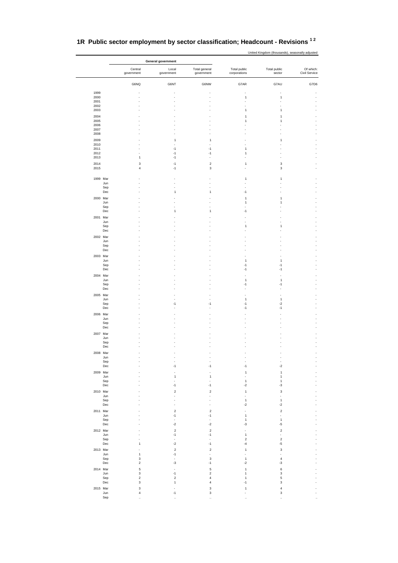|              |                                             | General government               |                             |                                      |                                 |                            |  |  |
|--------------|---------------------------------------------|----------------------------------|-----------------------------|--------------------------------------|---------------------------------|----------------------------|--|--|
|              | Central<br>government                       | Local<br>government              | Total general<br>government | Total public<br>corporations         | Total public<br>sector          | Of which:<br>Civil Service |  |  |
|              | G6NQ                                        | G6NT                             | G6NW                        | G7AR                                 | G7AU                            | G7D6                       |  |  |
| 1999<br>2000 |                                             | ÷,                               |                             | $\mathbf{1}$                         | $\mathbf{1}$                    |                            |  |  |
| 2001<br>2002 |                                             |                                  |                             |                                      |                                 |                            |  |  |
| 2003<br>2004 |                                             |                                  |                             | 1<br>1                               | $\mathbf{1}$<br>$\mathbf{1}$    |                            |  |  |
| 2005<br>2006 |                                             |                                  |                             | 1                                    | $\mathbf{1}$                    |                            |  |  |
| 2007<br>2008 |                                             |                                  |                             |                                      |                                 |                            |  |  |
| 2009<br>2010 |                                             | $\overline{1}$                   | $\mathbf{1}$                |                                      | $\mathbf{1}$                    |                            |  |  |
| 2011<br>2012 |                                             | $-1$<br>$-1$                     | $-1$<br>$-1$                | 1<br>1                               |                                 |                            |  |  |
| 2013         | 1                                           | $-1$                             |                             |                                      |                                 |                            |  |  |
| 2014<br>2015 | 3<br>$\overline{\mathbf{4}}$                | $-1$<br>$-1$                     | $\boldsymbol{2}$<br>3       | $\mathbf{1}$                         | 3<br>3                          |                            |  |  |
| 1999 Mar     |                                             |                                  |                             | 1                                    | $\mathbf{1}$                    |                            |  |  |
|              | Jun<br>Sep                                  |                                  |                             |                                      |                                 |                            |  |  |
|              | Dec                                         | $\ddot{\phantom{0}}$             | 1                           | $-1$                                 |                                 |                            |  |  |
| 2000 Mar     | Jun                                         |                                  |                             | 1<br>1                               | $\mathbf{1}$<br>1               |                            |  |  |
|              | Sep<br>Dec                                  | $\overline{1}$                   | 1                           | $-1$                                 |                                 |                            |  |  |
| 2001 Mar     | Jun                                         |                                  |                             |                                      |                                 |                            |  |  |
|              | Sep<br>Dec                                  |                                  |                             | 1                                    | $\mathbf{1}$                    |                            |  |  |
| 2002 Mar     |                                             |                                  |                             |                                      |                                 |                            |  |  |
|              | Jun<br>Sep                                  |                                  |                             |                                      |                                 |                            |  |  |
| 2003 Mar     | Dec                                         |                                  |                             |                                      |                                 |                            |  |  |
|              | Jun                                         |                                  |                             | 1<br>$-1$                            | $\mathbf{1}$                    |                            |  |  |
|              | Sep<br>Dec                                  |                                  |                             | $-1$                                 | $-1$<br>$-1$                    |                            |  |  |
| 2004 Mar     | Jun                                         |                                  |                             | 1                                    | $\mathbf{1}$                    |                            |  |  |
|              | Sep<br>Dec                                  |                                  |                             | $-1$                                 | $-1$                            |                            |  |  |
| 2005 Mar     | Jun                                         |                                  |                             | 1                                    | $\mathbf{1}$                    |                            |  |  |
|              | Sep<br>Dec                                  | $-1$                             | $-1$                        | $-1$<br>$-1$                         | $-2$<br>$-1$                    |                            |  |  |
| 2006 Mar     |                                             |                                  |                             |                                      |                                 |                            |  |  |
|              | Jun<br>Sep                                  |                                  |                             |                                      |                                 |                            |  |  |
| 2007 Mar     | Dec                                         |                                  |                             |                                      |                                 |                            |  |  |
|              | Jun                                         |                                  |                             |                                      |                                 |                            |  |  |
|              | Sep<br>Dec                                  |                                  |                             |                                      |                                 |                            |  |  |
| 2008 Mar     | Jun                                         |                                  |                             |                                      |                                 |                            |  |  |
|              | Sep<br>Dec                                  | $-1$                             | $-1$                        | $-1$                                 | $\blacksquare$<br>$\mathbf{-2}$ |                            |  |  |
| 2009 Mar     |                                             |                                  |                             | 1                                    | $\mathbf{1}$<br>$\mathbf{1}$    |                            |  |  |
|              | Jun<br>Sep                                  | $\mathbf{1}$                     | $\mathbf{1}$                | ÷,<br>$\mathbf 1$                    | $\mathbf{1}$                    |                            |  |  |
| 2010 Mar     | $_{\rm Dec}$                                | $-1$<br>$\sqrt{2}$               | $-1$<br>$\boldsymbol{2}$    | $-2$<br>$\mathbf 1$                  | -3<br>3                         |                            |  |  |
|              | Jun<br>Sep                                  | ٠                                |                             | $\sim$<br>$\mathbf{1}$               | $\blacksquare$<br>$\mathbf{1}$  |                            |  |  |
|              | Dec                                         | $\overline{2}$                   | ÷,<br>$\overline{2}$        | $-2$<br>ä,                           | $-2$<br>$\mathbf 2$             |                            |  |  |
| 2011 Mar     | Jun                                         | $-1$                             | $-1$                        | $\mathbf 1$                          | $\overline{\phantom{a}}$        |                            |  |  |
|              | Sep<br>$_{\rm Dec}$                         | $\Box$<br>$^{\circ2}$            | ÷,<br>$-2$                  | $\mathbf{1}$<br>$-3$                 | $\mathbf{1}$<br>$-5$            |                            |  |  |
| 2012 Mar     | Jun                                         | $\sqrt{2}$<br>$-1$               | $\boldsymbol{2}$<br>$-1$    | ÷,<br>$\mathbf 1$                    | $\boldsymbol{2}$<br>÷.          |                            |  |  |
|              | Sep<br>Dec<br>$\mathbf{1}$                  | $\epsilon$<br>$\mathbf{-2}$      | ٠<br>$-1$                   | $\sqrt{2}$<br>$-4$                   | $\mathbf 2$<br>$-5$             |                            |  |  |
| 2013 Mar     | ÷,                                          | $\overline{2}$                   | $\boldsymbol{2}$            | $\mathbf 1$                          | 3                               |                            |  |  |
|              | Jun<br>$\mathbf{1}$<br>$\mathsf 3$<br>Sep   | $-1$<br>$\epsilon$               | $\overline{a}$<br>3         | $\tilde{\phantom{a}}$<br>$\mathbf 1$ | $\blacksquare$<br>$\sqrt{4}$    |                            |  |  |
| 2014 Mar     | Dec<br>$\overline{c}$<br>$\sqrt{5}$         | $-3$<br>$\overline{\phantom{a}}$ | $-1$<br>5                   | $-2$<br>$\mathbf{1}$                 | $-3$<br>6                       |                            |  |  |
|              | Jun<br>$\mathbf 3$<br>Sep<br>$\overline{c}$ | $-1$<br>$\overline{2}$           | $\boldsymbol{2}$<br>4       | 1<br>1                               | 3<br>5                          |                            |  |  |
|              | $\ensuremath{\mathsf{3}}$<br>$_{\rm Dec}$   | $\mathbf{1}$                     | 4                           | $-1$                                 | 3                               |                            |  |  |
| 2015 Mar     | $\mathsf 3$<br>$\sqrt{4}$<br>Jun            | $-1$                             | 3<br>3                      | 1                                    | $\boldsymbol{4}$<br>3           |                            |  |  |
|              | Sep                                         |                                  |                             |                                      |                                 |                            |  |  |

#### **1R Public sector employment by sector classification; Headcount - Revisions 1 2**

United Kingdom (thousands), seasonally adjusted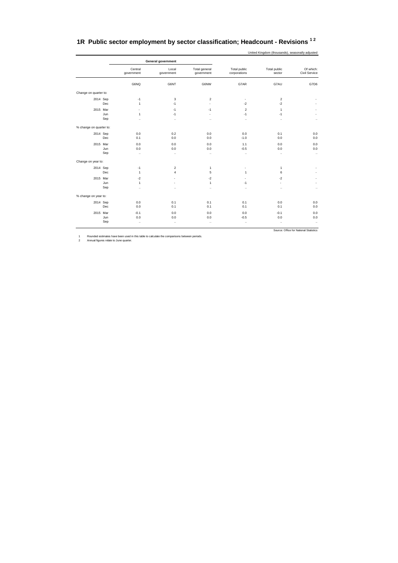<span id="page-47-0"></span>

|  |  | 1R Public sector employment by sector classification; Headcount - Revisions <sup>12</sup> |  |
|--|--|-------------------------------------------------------------------------------------------|--|
|--|--|-------------------------------------------------------------------------------------------|--|

United Kingdom (thousands), seasonally adjusted

| Central<br>government                              | Local<br>government                            | Total general<br>government                  | Total public<br>corporations       | Total public<br>sector              | Of which:<br>Civil Service |
|----------------------------------------------------|------------------------------------------------|----------------------------------------------|------------------------------------|-------------------------------------|----------------------------|
| G6NQ                                               | G6NT                                           | G6NW                                         | G7AR                               | G7AU                                | G7D6                       |
|                                                    |                                                |                                              |                                    |                                     |                            |
| $-1$<br>$\mathbf{1}$                               | 3<br>$-1$                                      | $\overline{2}$<br>$\blacksquare$             | ٠<br>$-2$                          | $\overline{\mathbf{c}}$<br>$-2$     |                            |
| $\tilde{\phantom{a}}$<br>$\mathbf{1}$<br>$\ddotsc$ | $-1$<br>$-1$<br>$\ddotsc$                      | $-1$<br>÷.<br>$\ddot{\phantom{0}}$           | $\overline{c}$<br>$-1$<br>$\ldots$ | $\mathbf{1}$<br>$-1$<br>            | $\ddotsc$                  |
|                                                    |                                                |                                              |                                    |                                     |                            |
| 0.0<br>0.1                                         | 0.2<br>0.0                                     | 0.0<br>0.0                                   | 0.0<br>$-1.0$                      | 0.1<br>0.0                          | 0.0<br>0.0                 |
| 0.0<br>0.0<br>$\ddotsc$                            | 0.0<br>0.0<br>$\ldots$                         | 0.0<br>0.0<br>$\ldots$                       | 1.1<br>$-0.5$<br>$\ddotsc$         | 0.0<br>0.0<br>$\ddot{\phantom{0}}$  | 0.0<br>0.0<br>$\ddotsc$    |
|                                                    |                                                |                                              |                                    |                                     |                            |
| $-1$<br>$\mathbf{1}$                               | $\overline{2}$<br>$\overline{4}$               | 1<br>5                                       | ٠<br>$\mathbf{1}$                  | 1<br>6                              |                            |
| $-2$<br>$\mathbf{1}$<br>$\ddotsc$                  | $\sim$<br>$\overline{\phantom{a}}$<br>$\ldots$ | $-2$<br>$\mathbf{1}$<br>$\ddot{\phantom{0}}$ | ٠<br>$-1$<br>$\ddotsc$             | $-2$<br>$\blacksquare$<br>$\ddotsc$ | ÷<br>$\ldots$              |
|                                                    |                                                |                                              |                                    |                                     |                            |
| 0.0<br>0.0                                         | 0.1<br>0.1                                     | 0.1<br>0.1                                   | 0.1<br>0.1                         | 0.0<br>0.1                          | 0.0<br>0.0                 |
| $-0.1$<br>0.0                                      | 0.0<br>0.0                                     | 0.0<br>0.0                                   | 0.0<br>$-0.5$                      | $-0.1$<br>0.0                       | 0.0<br>0.0<br>$\cdots$     |
|                                                    | $\ddotsc$                                      | $\ldots$                                     | $\ddot{\phantom{0}}$               | $\ldots$                            | $\cdot$ .                  |

1 Rounded estimates have been used in this table to calculate the comparisons between periods. 2 Annual figures relate to June quarter.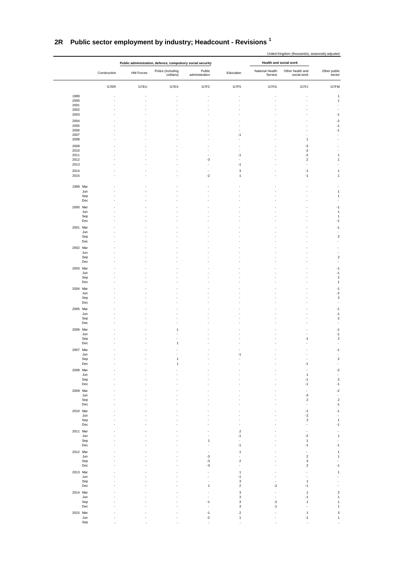|                 |              |           |                                                            |                          |                         |                            | United Kingdom (thousands), seasonally adjusted |                               |
|-----------------|--------------|-----------|------------------------------------------------------------|--------------------------|-------------------------|----------------------------|-------------------------------------------------|-------------------------------|
|                 |              |           | Public administration, defence, compulsory social security |                          |                         | Health and social work     |                                                 |                               |
|                 | Construction | HM Forces | Police (including<br>civilians)                            | Public<br>administration | Education               | National Health<br>Service | Other health and<br>social work                 | Other public<br>sector        |
|                 | G7ER         | G7EU      | G7EX                                                       | G7F2                     | G7F5                    | G7FG                       | G7FJ                                            | G7FM                          |
| 1999            |              |           |                                                            |                          |                         |                            | ÷,                                              | $\mathbf{1}$                  |
| 2000<br>2001    |              |           | $\overline{\phantom{a}}$                                   | $\overline{a}$           | Ĭ.                      | J.                         | $\overline{a}$                                  | $\mathbf{1}$<br>÷,            |
| 2002            |              |           |                                                            |                          |                         |                            |                                                 |                               |
| 2003            |              |           |                                                            |                          |                         |                            | $\overline{a}$                                  | $-1$                          |
| 2004            |              |           |                                                            |                          |                         |                            |                                                 | $-2$                          |
| 2005            |              |           |                                                            |                          |                         |                            | ż                                               | $-1$                          |
| 2006<br>2007    |              |           |                                                            |                          | $-1$                    |                            | $\overline{a}$                                  | $-1$<br>$\overline{a}$        |
| 2008            |              |           |                                                            | $\overline{a}$           | ÷,                      |                            | 1                                               | $\overline{\phantom{a}}$      |
| 2009            |              |           |                                                            |                          |                         |                            | -3                                              |                               |
| 2010            |              |           |                                                            | ÷,                       | ÷                       |                            | $-2$                                            | $\overline{\phantom{a}}$      |
| 2011<br>2012    |              |           |                                                            | $\overline{a}$<br>-3     | $-1$<br>$\overline{a}$  |                            | $-2$<br>$\sqrt{2}$                              | $\mathbf{1}$<br>$\mathbf{1}$  |
| 2013            |              |           |                                                            | $\overline{a}$           | $-1$                    |                            | $\overline{a}$                                  | Ĩ.                            |
| 2014            |              |           |                                                            | ÷                        | 3                       |                            | $-1$                                            | $\mathbf{1}$                  |
| 2015            |              |           |                                                            | $-2$                     | $\mathbf{1}$            |                            | $-1$                                            | $\mathbf{1}$                  |
| 1999 Mar        |              |           |                                                            |                          |                         |                            |                                                 |                               |
| Jun<br>Sep      |              |           |                                                            |                          |                         |                            |                                                 | $\mathbf{1}$<br>$\mathbf{1}$  |
| Dec             |              |           |                                                            |                          |                         |                            | $\overline{a}$                                  | ÷,                            |
| 2000 Mar        |              |           |                                                            |                          |                         |                            |                                                 | $-1$                          |
| Jun             |              |           |                                                            |                          |                         |                            |                                                 | 1                             |
| ${\sf Sep}$     |              |           |                                                            |                          |                         |                            |                                                 | $\mathbf{1}$                  |
| Dec             |              |           |                                                            |                          |                         |                            |                                                 | $-1$                          |
| 2001 Mar<br>Jun |              |           |                                                            |                          |                         |                            |                                                 | $-1$<br>$\overline{a}$        |
| Sep             |              |           |                                                            |                          |                         |                            |                                                 | $\sqrt{2}$                    |
| Dec             |              |           |                                                            |                          |                         |                            |                                                 | ÷                             |
| 2002 Mar        |              |           |                                                            |                          |                         |                            |                                                 | $\overline{a}$                |
| Jun             |              |           |                                                            |                          |                         |                            |                                                 | $\overline{a}$<br>$\sqrt{2}$  |
| Sep<br>Dec      |              |           |                                                            |                          |                         |                            |                                                 | ÷                             |
| 2003 Mar        |              |           |                                                            |                          |                         |                            |                                                 | $-1$                          |
| Jun             |              |           |                                                            |                          |                         |                            |                                                 | $-1$                          |
| Sep             |              |           |                                                            |                          |                         |                            |                                                 | $\sqrt{2}$                    |
| Dec             |              |           |                                                            |                          |                         |                            |                                                 | $\mathbf{1}$                  |
| 2004 Mar<br>Jun |              |           |                                                            |                          |                         |                            |                                                 | $-1$<br>$-2$                  |
| Sep             |              |           |                                                            |                          |                         |                            |                                                 | $\sqrt{2}$                    |
| Dec             |              |           |                                                            |                          |                         |                            |                                                 | $\overline{a}$                |
| 2005 Mar        |              |           |                                                            |                          |                         |                            |                                                 | $-1$                          |
| Jun             |              |           |                                                            |                          |                         |                            |                                                 | $-1$                          |
| Sep<br>Dec      |              |           |                                                            |                          |                         |                            |                                                 | $\sqrt{2}$<br>÷,              |
| 2006 Mar        |              |           | 1                                                          |                          |                         |                            |                                                 | $-1$                          |
| Jun             |              |           |                                                            |                          |                         |                            | ÷,                                              | $-1$                          |
| Sep             |              |           |                                                            |                          |                         |                            | $-1$                                            | $\overline{c}$                |
| Dec             |              |           | $\mathbf{1}$                                               |                          |                         |                            |                                                 | $\overline{a}$                |
| 2007<br>Mar     |              |           |                                                            |                          |                         |                            |                                                 |                               |
| Jun<br>Sep      |              |           | $\overline{1}$                                             |                          |                         |                            | ÷,                                              | $\overline{a}$<br>$\mathbf 2$ |
| Dec             |              |           | 1                                                          |                          |                         |                            | $-1$                                            | $\overline{a}$                |
| 2008 Mar        |              |           |                                                            |                          |                         |                            |                                                 | $-2$                          |
| Jun             |              |           |                                                            |                          |                         |                            | $\mathbf{1}$                                    | $\overline{a}$                |
| Sep<br>Dec      |              |           |                                                            |                          |                         |                            | $-1$<br>$-1$                                    | $\sqrt{2}$<br>$-1$            |
|                 |              |           |                                                            |                          |                         |                            |                                                 |                               |
| 2009 Mar<br>Jun |              |           |                                                            |                          |                         |                            | $-3$                                            | $-2$<br>$\sim$                |
| Sep             |              |           |                                                            |                          |                         |                            | $\sqrt{2}$                                      | $\sqrt{2}$                    |
| Dec             |              |           |                                                            |                          |                         |                            | $\overline{\phantom{a}}$                        | $-1$                          |
| 2010 Mar        |              |           |                                                            |                          |                         |                            | $-1$                                            | $-1$                          |
| Jun<br>Sep      |              |           |                                                            |                          |                         |                            | $-2$<br>$\overline{2}$                          | ÷,<br>$\mathbf{1}$            |
| Dec             |              |           |                                                            |                          |                         |                            | $\overline{a}$                                  | $-1$                          |
| 2011 Mar        |              |           |                                                            |                          | $\sqrt{2}$              |                            | $\overline{\phantom{a}}$                        | ÷,                            |
| Jun             |              |           |                                                            |                          | $-1$                    |                            | $-2$                                            | $\mathbf{1}$                  |
| Sep             |              |           |                                                            | 1                        | $-1$                    |                            | $\mathbf{1}$<br>$-1$                            | $\overline{a}$<br>$-1$        |
| Dec             |              |           |                                                            |                          |                         |                            |                                                 |                               |
| 2012 Mar<br>Jun |              |           |                                                            | -3                       | 1                       |                            | $\overline{a}$<br>$\overline{2}$                | $\mathbf{1}$<br>1             |
| Sep             |              |           |                                                            | -3                       | $\overline{\mathbf{c}}$ |                            | 3                                               |                               |
| Dec             |              |           |                                                            | $-3$                     | $\overline{a}$          |                            | $\mathbf 2$                                     | $-1$                          |
| 2013 Mar        |              |           |                                                            |                          | $\mathbf{1}$            |                            |                                                 | $\mathbf{1}$                  |
| Jun             |              |           |                                                            |                          | $-1$<br>3               |                            | $\mathbf{1}$                                    | $\overline{a}$                |
| Sep<br>Dec      |              |           |                                                            | 1                        | $\overline{\mathbf{c}}$ | $-2$                       | $-1$                                            |                               |
| 2014 Mar        |              |           |                                                            |                          | $\mathsf 3$             | ÷                          | $\mathbf{1}$                                    | $\mathbf 2$                   |
| Jun             |              |           |                                                            |                          | 3                       |                            | $-1$                                            | $\mathbf{1}$                  |
| Sep             |              |           |                                                            | $-1$                     | 3                       | $-2$                       | 1                                               | $\mathbf{1}$                  |
| Dec             |              |           |                                                            |                          | 3                       | $-1$                       |                                                 | $\mathbf{1}$                  |
| 2015 Mar        |              |           |                                                            | $-1$                     | $\boldsymbol{2}$        | J.                         | 1                                               | 3                             |
| Jun<br>Sep      |              |           |                                                            | $-2$                     | $\mathbf{1}$            | ÷                          | $-1$                                            | $\mathbf 1$                   |
|                 |              |           |                                                            |                          |                         |                            |                                                 |                               |

## **2R Public sector employment by industry; Headcount - Revisions <sup>1</sup>**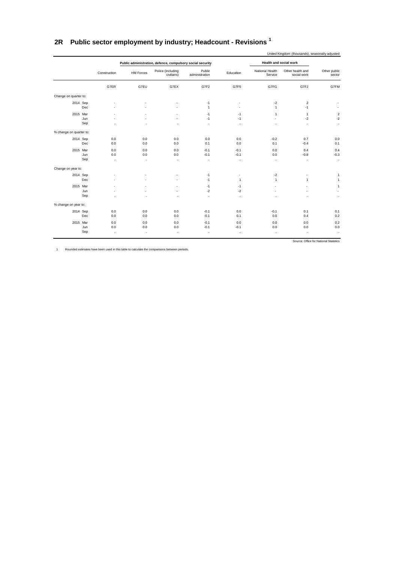## <span id="page-49-0"></span>**2R Public sector employment by industry; Headcount - Revisions <sup>1</sup>**

|                                                |                                    | Health and social work                                           |                                          |                              | Public administration, defence, compulsory social security |                         |                         |            |                         |
|------------------------------------------------|------------------------------------|------------------------------------------------------------------|------------------------------------------|------------------------------|------------------------------------------------------------|-------------------------|-------------------------|------------|-------------------------|
| Other public<br>sector                         | Other health and<br>social work    | National Health<br>Service                                       | Education                                | Public<br>administration     | Police (including<br>civilians)                            | <b>HM Forces</b>        | Construction            |            |                         |
| G7FM                                           | G7FJ                               | G7FG                                                             | G7F5                                     | G7F2                         | G7EX                                                       | G7EU                    | G7ER                    |            |                         |
|                                                |                                    |                                                                  |                                          |                              |                                                            |                         |                         |            | Change on quarter to:   |
|                                                | 2<br>$-1$                          | $-2$<br>$\mathbf{1}$                                             | $\overline{a}$                           | $-1$<br>$\mathbf{1}$         |                                                            |                         |                         | Dec        | 2014 Sep                |
| $\overline{2}$<br>$-2$<br>$\ddot{\phantom{0}}$ | $\mathbf{1}$<br>$-2$<br>$\ddotsc$  | $\mathbf{1}$<br>$\overline{\phantom{a}}$<br>$\ddot{\phantom{a}}$ | $-1$<br>$-1$<br>$\cdots$                 | $-1$<br>$-1$<br>$\cdots$     | $\overline{a}$<br>$\overline{a}$<br>$\ddot{\phantom{a}}$   | $\ddot{\phantom{a}}$    | $\ddot{\phantom{a}}$    | Jun<br>Sep | 2015 Mar                |
|                                                |                                    |                                                                  |                                          |                              |                                                            |                         |                         |            | % change on quarter to: |
| 0.0<br>0.1                                     | 0.7<br>$-0.4$                      | $-0.2$<br>0.1                                                    | 0.0<br>0.0                               | 0.0<br>0.1                   | 0.0<br>0.0                                                 | 0.0<br>0.0              | 0.0<br>0.0              | Dec        | 2014 Sep                |
| 0.4<br>$-0.3$<br>$\ldots$                      | 0.4<br>$-0.8$<br>$\ddotsc$         | 0.0<br>0.0<br>$\ddotsc$                                          | $-0.1$<br>$-0.1$<br>$\ldots$             | $-0.1$<br>$-0.1$<br>$\ddots$ | 0.0<br>0.0<br>$\ddotsc$                                    | 0.0<br>0.0<br>$\ddotsc$ | 0.0<br>0.0<br>$\ddotsc$ | Jun<br>Sep | 2015 Mar                |
|                                                |                                    |                                                                  |                                          |                              |                                                            |                         |                         |            | Change on year to:      |
| 1<br>1                                         | $\overline{\phantom{a}}$<br>1      | $-2$<br>$\mathbf{1}$                                             | $\overline{\phantom{a}}$<br>$\mathbf{1}$ | $-1$<br>$-1$                 |                                                            |                         |                         | Dec        | 2014 Sep                |
| 1<br>$\ddotsc$                                 | $\ddotsc$                          | ÷<br>٠<br>$\ddot{\phantom{a}}$                                   | $-1$<br>$-2$<br>$\ddotsc$                | $-1$<br>$-2$<br>$\ddotsc$    | $\ddot{\phantom{a}}$                                       | $\ddot{\phantom{a}}$    | $\ddot{\phantom{a}}$    | Jun<br>Sep | 2015 Mar                |
|                                                |                                    |                                                                  |                                          |                              |                                                            |                         |                         |            | % change on year to:    |
| 0.1<br>0.2                                     | 0.1<br>0.4                         | $-0.1$<br>0.0                                                    | 0.0<br>0.1                               | $-0.1$<br>$-0.1$             | 0.0<br>0.0                                                 | 0.0<br>0.0              | 0.0<br>0.0              | Dec        | 2014 Sep                |
| 0.2<br>0.0<br>$\ddots$                         | 0.0<br>0.0<br>$\ddot{\phantom{0}}$ | 0.0<br>0.0<br>$\ldots$                                           | 0.0<br>$-0.1$<br>$\ldots$                | $-0.1$<br>$-0.1$<br>$\cdots$ | 0.0<br>0.0<br>$\ldots$                                     | 0.0<br>0.0<br>$\ldots$  | 0.0<br>0.0<br>$\ldots$  | Jun<br>Sep | 2015 Mar                |

1 Rounded estimates have been used in this table to calculate the comparisons between periods.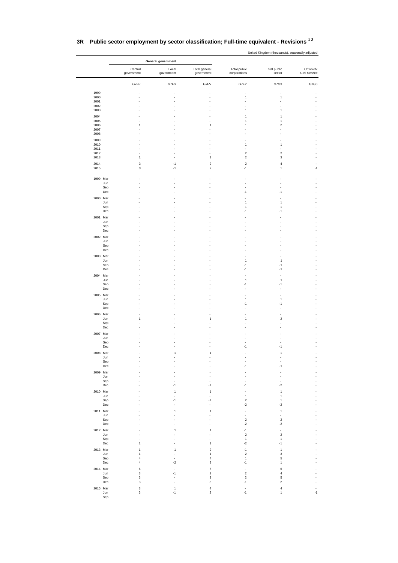|              |                                              | General government   |                                         |                                             |                               |                            |  |  |
|--------------|----------------------------------------------|----------------------|-----------------------------------------|---------------------------------------------|-------------------------------|----------------------------|--|--|
|              | Central<br>government                        | Local<br>government  | Total general<br>government             | Total public<br>corporations                | Total public<br>sector        | Of which:<br>Civil Service |  |  |
|              | G7FP                                         | G7FS                 | G7FV                                    | G7FY                                        | G7G3                          | G7G6                       |  |  |
| 1999<br>2000 |                                              |                      |                                         | $\mathbf{1}$                                | $\mathbf{1}$                  |                            |  |  |
| 2001<br>2002 |                                              |                      |                                         |                                             |                               |                            |  |  |
| 2003         |                                              |                      |                                         | 1                                           | 1                             |                            |  |  |
| 2004<br>2005 |                                              |                      |                                         | 1<br>1                                      | $\mathbf{1}$<br>$\mathbf{1}$  |                            |  |  |
| 2006<br>2007 | 1                                            |                      | 1                                       | 1                                           | $\boldsymbol{2}$              |                            |  |  |
| 2008         |                                              |                      |                                         |                                             |                               |                            |  |  |
| 2009<br>2010 |                                              |                      |                                         | 1                                           | $\mathbf{1}$                  |                            |  |  |
| 2011<br>2012 |                                              |                      |                                         | $\overline{\mathbf{c}}$                     | $\overline{2}$                |                            |  |  |
| 2013<br>2014 | $\mathbf{1}$<br>3                            | $-1$                 | $\mathbf{1}$<br>$\overline{\mathbf{c}}$ | $\boldsymbol{2}$<br>$\overline{\mathbf{c}}$ | 3<br>4                        |                            |  |  |
| 2015         | 3                                            | $-1$                 | $\overline{c}$                          | $-1$                                        | $\mathbf{1}$                  | $-1$                       |  |  |
| 1999 Mar     |                                              |                      |                                         |                                             |                               |                            |  |  |
|              | Jun<br>Sep                                   |                      |                                         |                                             |                               |                            |  |  |
| 2000 Mar     | $_{\rm Dec}$                                 |                      |                                         | -1                                          | $-1$                          |                            |  |  |
|              | Jun                                          |                      |                                         | 1                                           | $\mathbf{1}$                  |                            |  |  |
|              | Sep<br>Dec                                   |                      |                                         | 1<br>$-1$                                   | $\mathbf{1}$<br>$-1$          |                            |  |  |
| 2001 Mar     | Jun                                          |                      |                                         |                                             |                               |                            |  |  |
|              | Sep                                          |                      |                                         |                                             |                               |                            |  |  |
| 2002 Mar     | Dec                                          |                      |                                         |                                             |                               |                            |  |  |
|              | Jun<br>Sep                                   |                      |                                         |                                             |                               |                            |  |  |
|              | Dec                                          |                      |                                         |                                             |                               |                            |  |  |
| 2003 Mar     | Jun                                          |                      |                                         | 1                                           | $\mathbf{1}$                  |                            |  |  |
|              | Sep<br>Dec                                   |                      |                                         | $-1$<br>$-1$                                | $-1$<br>$-1$                  |                            |  |  |
| 2004 Mar     |                                              |                      |                                         |                                             |                               |                            |  |  |
|              | Jun<br>Sep                                   |                      |                                         | 1<br>-1                                     | $\mathbf{1}$<br>$-1$          |                            |  |  |
|              | Dec                                          |                      |                                         |                                             |                               |                            |  |  |
| 2005 Mar     | Jun                                          |                      |                                         | 1                                           | $\mathbf{1}$                  |                            |  |  |
|              | Sep<br>Dec                                   |                      |                                         | $-1$                                        | $-1$<br>ä,                    |                            |  |  |
| 2006 Mar     |                                              |                      |                                         |                                             |                               |                            |  |  |
|              | Jun<br>1<br>Sep                              |                      | 1                                       | 1                                           | $\overline{\mathbf{c}}$       |                            |  |  |
|              | Dec                                          |                      |                                         |                                             |                               |                            |  |  |
| 2007 Mar     | Jun                                          |                      |                                         |                                             |                               |                            |  |  |
|              | Sep<br>Dec                                   |                      |                                         | $-1$                                        | $-1$                          |                            |  |  |
| 2008 Mar     |                                              | $\mathbf{1}$         | $\mathbf{1}$                            |                                             | 1                             |                            |  |  |
|              | Jun<br>Sep                                   |                      |                                         | ÷,                                          |                               |                            |  |  |
| 2009 Mar     | Dec                                          |                      |                                         | $-1$                                        | $-1$                          |                            |  |  |
|              | Jun<br>Sep                                   |                      |                                         |                                             |                               |                            |  |  |
|              | Dec                                          | $-1$                 | $-1$                                    | $-1$                                        | $-2$                          |                            |  |  |
| 2010 Mar     | Jun                                          | $\mathbf{1}$         | $\mathbf{1}$                            | ÷,<br>$\mathbf 1$                           | $\mathbf 1$<br>$\mathbf{1}$   |                            |  |  |
|              | Sep<br>Dec                                   | $-1$                 | -1                                      | $\sqrt{2}$<br>$-2$                          | $\mathbf{1}$<br>-2            |                            |  |  |
| 2011 Mar     |                                              | $\mathbf{1}$         | 1                                       | ÷,                                          | $\mathbf{1}$                  |                            |  |  |
|              | Jun<br>Sep                                   |                      |                                         | $\omega$<br>$\sqrt{2}$                      | $\sqrt{2}$                    |                            |  |  |
|              | Dec                                          |                      |                                         | $-2$                                        | $-2$                          |                            |  |  |
| 2012 Mar     | Jun                                          | 1                    | $\mathbf{1}$                            | $-1$<br>$\sqrt{2}$                          | $\boldsymbol{2}$              |                            |  |  |
|              | Sep<br>Dec<br>$\mathbf{1}$                   |                      | $\mathbf{1}$                            | $\mathbf{1}$<br>$\textnormal{-}2$           | 1<br>$-1$                     |                            |  |  |
| 2013 Mar     | $\mathbf 1$                                  | 1                    | $\boldsymbol{2}$                        | $-1$<br>$\overline{c}$                      | $\mathbf 1$                   |                            |  |  |
|              | Jun<br>$\mathbf{1}$<br>Sep<br>$\overline{4}$ |                      | 1<br>$\overline{4}$                     | $\mathbf 1$                                 | 3<br>5                        |                            |  |  |
| 2014 Mar     | $\sqrt{4}$<br>Dec<br>6                       | $-2$                 | $\overline{\mathbf{c}}$<br>6            | $-1$<br>÷,                                  | 1<br>6                        |                            |  |  |
|              | Jun<br>3                                     | $-1$                 | $\mathbf 2$                             | $\sqrt{2}$<br>$\boldsymbol{2}$              | $\sqrt{4}$                    |                            |  |  |
|              | $\ensuremath{\mathsf{3}}$<br>Sep<br>3<br>Dec |                      | 3<br>3                                  | $-1$                                        | 5<br>$\overline{\mathbf{c}}$  |                            |  |  |
| 2015 Mar     | $\mathsf 3$<br>$\mathsf 3$<br>Jun            | $\mathbf{1}$<br>$-1$ | $\sqrt{4}$<br>$\mathbf 2$               | $\overline{\phantom{a}}$<br>$-1$            | $\overline{4}$<br>$\mathbf 1$ | $\overline{a}$<br>$-1$     |  |  |
|              | Sep                                          |                      |                                         |                                             |                               |                            |  |  |

#### **3R Public sector employment by sector classification; Full-time equivalent - Revisions 1 2**

United Kingdom (thousands), seasonally adjusted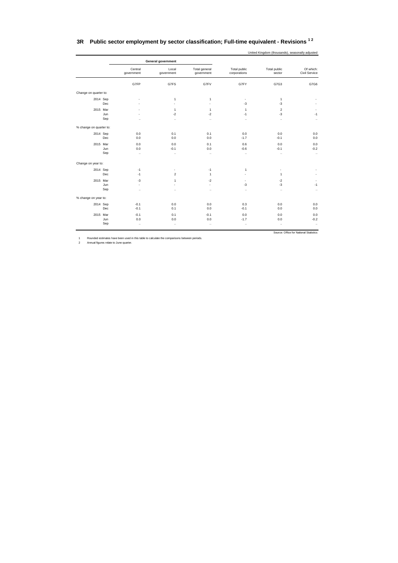| Central                                       | Local                                               |                                              |                                               |                                      |                             |
|-----------------------------------------------|-----------------------------------------------------|----------------------------------------------|-----------------------------------------------|--------------------------------------|-----------------------------|
| government                                    | government                                          | Total general<br>government                  | Total public<br>corporations                  | Total public<br>sector               | Of which:<br>Civil Service  |
| G7FP                                          | G7FS                                                | G7FV                                         | G7FY                                          | G7G3                                 | G7G6                        |
|                                               |                                                     |                                              |                                               |                                      |                             |
| ÷<br>÷                                        | $\mathbf{1}$<br>$\blacksquare$                      | 1<br>$\sim$                                  | $\overline{\phantom{a}}$<br>$-3$              | $\mathbf{1}$<br>$-3$                 |                             |
| ÷<br>÷<br>$\ddotsc$                           | $\mathbf{1}$<br>$-2$<br>$\ddotsc$                   | $\mathbf{1}$<br>$-2$<br>$\ddot{\phantom{a}}$ | $\mathbf{1}$<br>$-1$<br>$\ddotsc$             | $\overline{2}$<br>$-3$<br>$\ddotsc$  | $\sim$<br>$-1$<br>$\ddotsc$ |
|                                               |                                                     |                                              |                                               |                                      |                             |
| 0.0<br>0.0                                    | 0.1<br>0.0                                          | 0.1<br>0.0                                   | 0.0<br>$-1.7$                                 | 0.0<br>$-0.1$                        | 0.0<br>0.0                  |
| 0.0<br>0.0<br>$\ddotsc$                       | 0.0<br>$-0.1$<br>$\ddotsc$                          | 0.1<br>0.0<br>$\ddot{\phantom{0}}$           | 0.6<br>$-0.6$<br>$\ddotsc$                    | 0.0<br>$-0.1$<br>$\ddotsc$           | 0.0<br>$-0.2$<br>$\ddotsc$  |
|                                               |                                                     |                                              |                                               |                                      |                             |
| $-1$<br>$-1$                                  | $\overline{\phantom{a}}$<br>$\overline{\mathbf{c}}$ | $-1$<br>$\mathbf{1}$                         | $\mathbf{1}$<br>$\tilde{\phantom{a}}$         | ٠<br>$\mathbf{1}$                    | ٠                           |
| $-3$<br>$\overline{\phantom{a}}$<br>$\ddotsc$ | $\mathbf{1}$<br>ä,<br>$\ddotsc$                     | $-2$<br>$\omega$<br>$\ddotsc$                | $\overline{\phantom{a}}$<br>$-3$<br>$\cdot$ . | $-2$<br>$-3$<br>$\ddot{\phantom{a}}$ | ٠<br>$-1$<br>$\ddotsc$      |
|                                               |                                                     |                                              |                                               |                                      |                             |
| $-0.1$<br>$-0.1$                              | 0.0<br>0.1                                          | 0.0<br>0.0                                   | 0.3<br>$-0.1$                                 | 0.0<br>0.0                           | 0.0<br>0.0                  |
| $-0.1$<br>0.0                                 | 0.1<br>0.0                                          | $-0.1$<br>0.0                                | 0.0<br>$-1.7$                                 | 0.0<br>0.0                           | 0.0<br>$-0.2$<br>$\ldots$   |
|                                               | $\ddotsc$                                           | $\ddotsc$                                    | $\ddot{\phantom{0}}$                          | $\ddot{\phantom{0}}$                 | $\cdot$ .                   |

#### <span id="page-51-0"></span>**3R Public sector employment by sector classification; Full-time equivalent - Revisions 1 2**

United Kingdom (thousands), seasonally adjusted

1 Rounded estimates have been used in this table to calculate the comparisons between periods. 2 Annual figures relate to June quarter.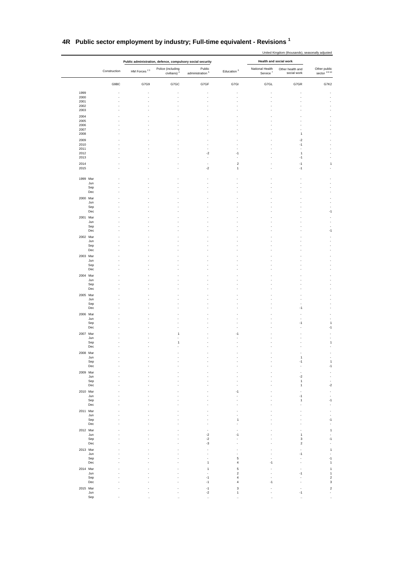|              |              | Public administration, defence, compulsory social security |                                              |                              |                                      |                                         | Health and social work          |                               |
|--------------|--------------|------------------------------------------------------------|----------------------------------------------|------------------------------|--------------------------------------|-----------------------------------------|---------------------------------|-------------------------------|
|              | Construction | HM Forces $^{23}$                                          | Police (including<br>civilians) <sup>4</sup> | Public<br>administration $5$ | Education <sup>6</sup>               | National Health<br>Service <sup>7</sup> | Other health and<br>social work | Other public<br>sector $8910$ |
|              | G9BC         | G7G9                                                       | G7GC                                         | G7GF                         | G7GI                                 | G7GL                                    | G7GR                            | G7K2                          |
| 1999         |              |                                                            |                                              |                              |                                      |                                         |                                 |                               |
| 2000         |              |                                                            |                                              | ä,                           |                                      |                                         |                                 |                               |
| 2001<br>2002 |              |                                                            |                                              |                              |                                      |                                         |                                 |                               |
| 2003         |              |                                                            |                                              |                              |                                      |                                         |                                 |                               |
| 2004         |              |                                                            |                                              |                              |                                      |                                         |                                 |                               |
| 2005<br>2006 |              |                                                            |                                              |                              |                                      |                                         |                                 |                               |
| 2007<br>2008 |              |                                                            |                                              |                              |                                      |                                         | 1                               |                               |
| 2009         |              |                                                            |                                              |                              |                                      |                                         | $-2$                            |                               |
| 2010         |              |                                                            |                                              |                              |                                      |                                         | $-1$                            |                               |
| 2011<br>2012 |              |                                                            |                                              | $-2$                         | $-1$                                 |                                         | ä,<br>$\mathbf{1}$              |                               |
| 2013         |              |                                                            |                                              |                              |                                      |                                         | $-1$                            |                               |
| 2014         |              |                                                            |                                              | $\overline{\phantom{a}}$     | $\overline{2}$                       |                                         | $-1$                            | $\mathbf{1}$                  |
| 2015         |              |                                                            |                                              | $-2$                         | $\mathbf{1}$                         |                                         | $-1$                            |                               |
| 1999 Mar     |              |                                                            |                                              |                              |                                      |                                         |                                 |                               |
|              | Jun          |                                                            |                                              |                              |                                      |                                         |                                 |                               |
|              | Sep<br>Dec   |                                                            |                                              |                              |                                      |                                         |                                 |                               |
| 2000 Mar     |              |                                                            |                                              |                              |                                      |                                         |                                 |                               |
|              | Jun          |                                                            |                                              |                              |                                      |                                         |                                 |                               |
|              | Sep<br>Dec   |                                                            |                                              |                              |                                      |                                         |                                 | -1                            |
| 2001 Mar     |              |                                                            |                                              |                              |                                      |                                         |                                 |                               |
|              | Jun          |                                                            |                                              |                              |                                      |                                         |                                 |                               |
|              | Sep<br>Dec   |                                                            |                                              |                              |                                      |                                         |                                 | $-1$                          |
| 2002 Mar     |              |                                                            |                                              |                              |                                      |                                         |                                 |                               |
|              | Jun          |                                                            |                                              |                              |                                      |                                         |                                 |                               |
|              | Sep<br>Dec   |                                                            |                                              |                              |                                      |                                         |                                 |                               |
| 2003 Mar     |              |                                                            |                                              |                              |                                      |                                         |                                 |                               |
|              | Jun          |                                                            |                                              |                              |                                      |                                         |                                 |                               |
|              | Sep<br>Dec   |                                                            |                                              |                              |                                      |                                         |                                 |                               |
| 2004 Mar     |              |                                                            |                                              |                              |                                      |                                         |                                 |                               |
|              | Jun          |                                                            |                                              |                              |                                      |                                         |                                 |                               |
|              | Sep<br>Dec   |                                                            |                                              |                              |                                      |                                         |                                 |                               |
| 2005 Mar     |              |                                                            |                                              |                              |                                      |                                         |                                 |                               |
|              | Jun<br>Sep   |                                                            |                                              |                              |                                      |                                         |                                 |                               |
|              | Dec          |                                                            |                                              |                              |                                      |                                         | $-1$                            |                               |
| 2006 Mar     |              |                                                            |                                              |                              |                                      |                                         |                                 |                               |
|              | Jun<br>Sep   |                                                            |                                              |                              |                                      |                                         | $-1$                            | $\mathbf{1}$                  |
|              | Dec          |                                                            |                                              |                              |                                      |                                         |                                 | $-1$                          |
| 2007 Mar     |              |                                                            | $\mathbf{1}$                                 |                              | -1                                   |                                         |                                 |                               |
|              | Jun<br>Sep   |                                                            | $\mathbf{1}$                                 |                              |                                      |                                         |                                 | $\mathbf{1}$                  |
|              | Dec          |                                                            |                                              |                              |                                      |                                         |                                 |                               |
| 2008 Mar     |              |                                                            |                                              |                              |                                      |                                         |                                 |                               |
|              | Jun<br>Sep   |                                                            |                                              |                              |                                      |                                         | $\mathbf 1$<br>$-1$             | $\,$ 1 $\,$                   |
|              | Dec          |                                                            |                                              |                              |                                      |                                         | L.                              | $-1$                          |
| 2009 Mar     |              |                                                            |                                              |                              |                                      |                                         |                                 |                               |
|              | Jun<br>Sep   |                                                            |                                              |                              |                                      |                                         | $-2$<br>$\mathbf 1$             | ä,                            |
|              | Dec          |                                                            |                                              |                              |                                      |                                         | 1                               | $\mathbf{-2}$                 |
| 2010 Mar     |              |                                                            |                                              |                              | -1                                   |                                         |                                 | ÷,                            |
|              | Jun<br>Sep   |                                                            |                                              |                              |                                      |                                         | -1<br>1                         | $\blacksquare$<br>$-1$        |
|              | Dec          |                                                            |                                              |                              |                                      |                                         |                                 | $\overline{\phantom{a}}$      |
| 2011 Mar     |              |                                                            |                                              |                              |                                      |                                         |                                 |                               |
|              | Jun<br>Sep   |                                                            |                                              |                              | 1                                    |                                         |                                 | ÷,<br>$-1$                    |
|              | Dec          |                                                            |                                              |                              |                                      |                                         |                                 | ÷,                            |
| 2012 Mar     |              |                                                            |                                              |                              |                                      |                                         |                                 | $\mathbf{1}$                  |
|              | Jun<br>Sep   |                                                            |                                              | $\mathbf{-2}$<br>$\cdot 2$   | $-1$                                 |                                         | 1<br>3                          | ÷,<br>$-1$                    |
|              | Dec          |                                                            |                                              | $\cdot 3$                    |                                      |                                         | $\boldsymbol{2}$                |                               |
| 2013 Mar     |              |                                                            |                                              |                              |                                      |                                         |                                 | $\,$ 1                        |
|              | Jun<br>Sep   |                                                            |                                              |                              | 5                                    |                                         | -1                              | ÷,<br>$-1$                    |
|              | Dec          |                                                            |                                              | $\overline{1}$               | $\overline{4}$                       | $-1$                                    |                                 | $\mathbf{1}$                  |
| 2014 Mar     |              |                                                            |                                              | 1                            | 5                                    |                                         |                                 | $\mathbf{1}$                  |
|              | Jun<br>Sep   |                                                            |                                              | $-1$                         | $\overline{\mathbf{c}}$<br>4         |                                         | $-1$                            | $\mathbf 1$<br>$\mathbf 2$    |
|              | Dec          |                                                            |                                              | $-1$                         | 4                                    | -1                                      |                                 | $\mathsf 3$                   |
| 2015 Mar     |              |                                                            |                                              | $-1$                         | 3                                    |                                         |                                 | $\mathbf 2$                   |
|              | Jun<br>Sep   |                                                            |                                              | $-2$<br>$\ddot{\phantom{a}}$ | $\mathbf{1}$<br>$\ddot{\phantom{a}}$ |                                         | $-1$                            | $\overline{\phantom{a}}$      |
|              |              |                                                            | $\ddot{\phantom{0}}$                         |                              |                                      | $\ddotsc$                               |                                 |                               |

#### **4R Public sector employment by industry; Full-time equivalent - Revisions <sup>1</sup>**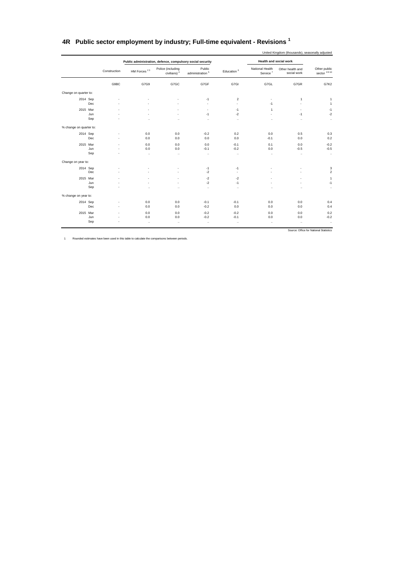|                               |                                 | Health and social work                  |                        |                              | Public administration, defence, compulsory social security |                      |              |                         |
|-------------------------------|---------------------------------|-----------------------------------------|------------------------|------------------------------|------------------------------------------------------------|----------------------|--------------|-------------------------|
| Other public<br>sector $8910$ | Other health and<br>social work | National Health<br>Service <sup>7</sup> | Education <sup>6</sup> | Public<br>administration $5$ | Police (including<br>civilians) <sup>4</sup>               | HM Forces $23$       | Construction |                         |
| G7K2                          | G7GR                            | G7GL                                    | G7GI                   | G7GF                         | G7GC                                                       | G7G9                 | G9BC         |                         |
|                               |                                 |                                         |                        |                              |                                                            |                      |              | Change on quarter to:   |
| $\mathbf{1}$                  | $\mathbf{1}$                    | $\sim$                                  | $\overline{2}$         | $-1$                         |                                                            |                      |              | 2014 Sep                |
| $\mathbf{1}$                  | ä,                              | $-1$                                    | $\sim$                 | $\tilde{\phantom{a}}$        |                                                            |                      |              | Dec                     |
| $-1$                          | ٠                               | $\mathbf{1}$                            | $-1$                   | ٠                            |                                                            |                      |              | 2015 Mar                |
| $-2$                          | $-1$                            | ×.                                      | $-2$                   | $-1$                         |                                                            |                      |              | Jun                     |
| $\ddotsc$                     | $\ddotsc$                       | $\ddot{\phantom{a}}$                    |                        | $\ddotsc$                    |                                                            | и.                   |              | Sep                     |
|                               |                                 |                                         |                        |                              |                                                            |                      |              | % change on quarter to: |
| 0.3                           | 0.5                             | 0.0                                     | 0.2                    | $-0.2$                       | 0.0                                                        | 0.0                  |              | 2014 Sep                |
| 0.2                           | 0.0                             | $-0.1$                                  | 0.0                    | 0.0                          | 0.0                                                        | 0.0                  | ä,           | Dec                     |
| $-0.2$                        | 0.0                             | 0.1                                     | $-0.1$                 | 0.0                          | 0.0                                                        | 0.0                  |              | 2015 Mar                |
| $-0.5$                        | $-0.5$                          | 0.0                                     | $-0.2$                 | $-0.1$                       | 0.0                                                        | 0.0                  |              | Jun                     |
| $\ldots$                      | $\ldots$                        | $\ddotsc$                               | $\ddotsc$              | $\ddot{\phantom{0}}$         | $\ddotsc$                                                  | $\ddotsc$            |              | Sep                     |
|                               |                                 |                                         |                        |                              |                                                            |                      |              | Change on year to:      |
| 3                             |                                 |                                         | $-1$                   | $-1$                         |                                                            |                      |              | 2014 Sep                |
| $\overline{c}$                |                                 |                                         | $\sim$                 | $-2$                         |                                                            |                      |              | Dec                     |
| $\mathbf{1}$                  |                                 |                                         | $-2$                   | $-2$                         |                                                            |                      |              | 2015 Mar                |
| $-1$                          |                                 |                                         | $-1$                   | $-2$                         |                                                            |                      |              | Jun                     |
|                               |                                 |                                         |                        | $\ddotsc$                    | $\ddot{\phantom{a}}$                                       | $\ddot{\phantom{0}}$ |              | Sep                     |
|                               |                                 |                                         |                        |                              |                                                            |                      |              | % change on year to:    |
| 0.4                           | 0.0                             | 0.0                                     | $-0.1$                 | $-0.1$                       | 0.0                                                        | 0.0                  | ×.           | 2014 Sep                |
| 0.4                           | 0.0                             | 0.0                                     | 0.0                    | $-0.2$                       | 0.0                                                        | 0.0                  | ÷.           | Dec                     |
| 0.2                           | 0.0                             | 0.0                                     | $-0.2$                 | $-0.2$                       | 0.0                                                        | 0.0                  |              | 2015 Mar                |
| $-0.2$                        | 0.0                             | 0.0                                     | $-0.1$                 | $-0.2$                       | 0.0                                                        | 0.0                  |              | Jun                     |
| $\ldots$                      | $\ldots$                        | $\ldots$                                |                        | $\ddotsc$                    | $\ddotsc$                                                  | $\ddotsc$            |              | Sep                     |

#### <span id="page-53-0"></span>**4R Public sector employment by industry; Full-time equivalent - Revisions <sup>1</sup>**

1 Rounded estimates have been used in this table to calculate the comparisons between periods.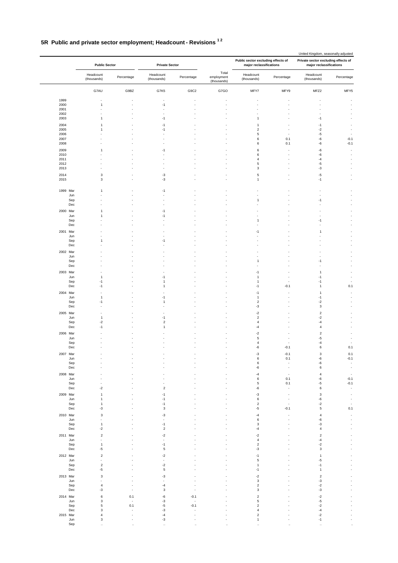## **5R Public and private sector employment; Headcount - Revisions 1 2**

|                      | <b>Public Sector</b>                       |                | <b>Private Sector</b>            |            |                                    | Public sector excluding effects of<br>major reclassifications |                                 | United Kingdom, seasonally adjusted<br>Private sector excluding effects of<br>major reclassifications |                                    |
|----------------------|--------------------------------------------|----------------|----------------------------------|------------|------------------------------------|---------------------------------------------------------------|---------------------------------|-------------------------------------------------------------------------------------------------------|------------------------------------|
|                      | Headcount<br>(thousands)                   | Percentage     | Headcount<br>(thousands)         | Percentage | Total<br>employment<br>(thousands) | Headcount<br>(thousands)                                      | Percentage                      | Headcount<br>(thousands)                                                                              | Percentage                         |
|                      | G7AU                                       | G9BZ           | G7K5                             | G9C2       | G7GO                               | MFY7                                                          | MFY9                            | MFZ2                                                                                                  | MFY5                               |
| 1999<br>2000<br>2001 | 1                                          | $\sim$         | Ĭ.<br>$-1$<br>Ĩ.                 |            |                                    | ÷                                                             |                                 |                                                                                                       | $\overline{\phantom{a}}$           |
| 2002                 |                                            |                |                                  |            |                                    |                                                               |                                 |                                                                                                       |                                    |
| 2003                 | 1                                          |                | $-1$                             |            |                                    | $\mathbf{1}$                                                  |                                 | $-1$                                                                                                  |                                    |
| 2004                 | 1                                          |                | $-1$                             |            |                                    | 1                                                             | ٠                               | $-1$                                                                                                  | $\overline{a}$                     |
| 2005<br>2006         | 1                                          |                | -1                               |            |                                    | $\sqrt{2}$<br>5                                               |                                 | $^{\text{{\small -2}}}$<br>-5                                                                         |                                    |
| 2007                 |                                            |                | ÷,                               |            |                                    | 6                                                             | 0.1                             | $\mbox{-}6$                                                                                           | $-0.1$                             |
| 2008                 |                                            |                |                                  |            |                                    | 6                                                             | 0.1                             | $\mbox{-}6$                                                                                           | $-0.1$                             |
| 2009<br>2010         | 1                                          |                | $-1$                             |            |                                    | 6<br>6                                                        |                                 | -6<br>$\mbox{-}6$                                                                                     | ÷,<br>÷                            |
| 2011                 |                                            |                |                                  |            |                                    | $\overline{4}$                                                |                                 | $-4$                                                                                                  | ÷                                  |
| 2012<br>2013         |                                            |                |                                  |            |                                    | 5<br>3                                                        |                                 | $-5$<br>$-3$                                                                                          | $\overline{\phantom{a}}$           |
| 2014                 | $\ensuremath{\mathsf{3}}$                  | ÷,             | $-3$                             |            |                                    | 5                                                             | ÷                               | $\text{-}5$                                                                                           | ÷                                  |
| 2015                 | $\mathbf{3}$                               |                | $-3$                             |            |                                    | $\mathbf{1}$                                                  |                                 | $-1$                                                                                                  | ÷,                                 |
| 1999 Mar<br>Jun      | 1                                          |                | $-1$                             |            |                                    | ٠                                                             |                                 |                                                                                                       | ä,                                 |
| Sep                  |                                            |                |                                  |            |                                    | $\mathbf{1}$                                                  |                                 | $-1$                                                                                                  |                                    |
| Dec                  |                                            |                |                                  |            |                                    |                                                               |                                 |                                                                                                       |                                    |
| 2000 Mar             | 1<br>1                                     |                | -1<br>$-1$                       |            |                                    |                                                               |                                 |                                                                                                       |                                    |
| Jun<br>Sep           |                                            |                |                                  |            |                                    | 1                                                             |                                 | $-1$                                                                                                  |                                    |
| Dec                  |                                            |                | ÷,                               |            |                                    | Ĭ.                                                            |                                 |                                                                                                       | $\overline{\phantom{a}}$           |
| 2001 Mar             |                                            |                |                                  |            |                                    | $-1$                                                          |                                 | $\mathbf{1}$                                                                                          |                                    |
| Jun<br>Sep           | 1                                          |                | $-1$                             |            |                                    |                                                               |                                 |                                                                                                       |                                    |
| Dec                  |                                            |                | Ĭ.                               |            |                                    |                                                               |                                 |                                                                                                       |                                    |
| 2002 Mar             |                                            |                |                                  |            |                                    |                                                               |                                 |                                                                                                       |                                    |
| Jun<br>Sep           |                                            | $\overline{a}$ |                                  |            |                                    | $\mathbf{1}$                                                  |                                 | $-1$                                                                                                  | $\overline{\phantom{a}}$           |
| Dec                  |                                            |                |                                  |            |                                    |                                                               |                                 |                                                                                                       |                                    |
| 2003 Mar             |                                            |                | Ĭ.                               |            |                                    | $-1$                                                          |                                 | $\mathbf{1}$                                                                                          |                                    |
| Jun                  | $\mathbf{1}$                               |                | $-1$                             |            |                                    | $\overline{1}$                                                |                                 | $-1$                                                                                                  | ä,                                 |
| Sep<br>Dec           | $-1$<br>$-1$                               |                | 1<br>1                           |            |                                    | $\mathbf{1}$<br>$-1$                                          | ÷<br>$-0.1$                     | $-1$<br>$\mathbf{1}$                                                                                  | 0.1                                |
| 2004 Mar             |                                            |                |                                  |            |                                    | $-1$                                                          |                                 | $\overline{1}$                                                                                        |                                    |
| Jun                  | $\mathbf{1}$                               | $\overline{a}$ | $-1$                             |            |                                    | $\mathbf{1}$                                                  | $\overline{a}$                  | $-1$                                                                                                  | $\overline{\phantom{a}}$           |
| Sep<br>Dec           | $-1$                                       |                | $\mathbf{1}$<br>Ĭ.               |            |                                    | $\boldsymbol{2}$<br>$-3$                                      |                                 | $^{\text{{\small -2}}}$<br>$\mathbf{3}$                                                               | $\overline{a}$                     |
| 2005 Mar             |                                            |                | ÷,                               |            |                                    | $^{\text{{\small -2}}}$                                       |                                 | $\sqrt{2}$                                                                                            | ÷,                                 |
| Jun                  | 1                                          |                | $-1$                             |            |                                    | $\sqrt{2}$                                                    |                                 | $-2$                                                                                                  |                                    |
| Sep                  | $-2$<br>$-1$                               |                | $\mathbf 2$<br>$\mathbf{1}$      |            |                                    | 4                                                             |                                 | $-4$                                                                                                  |                                    |
| Dec                  |                                            |                |                                  |            |                                    | $^{\rm -4}$                                                   |                                 | $\overline{4}$                                                                                        |                                    |
| 2006 Mar<br>Jun      |                                            |                |                                  |            |                                    | $-2$<br>$\mathbf 5$                                           |                                 | $\overline{2}$<br>$\text{-}5$                                                                         |                                    |
| Sep                  |                                            |                |                                  |            |                                    | 4                                                             |                                 | -4                                                                                                    |                                    |
| Dec                  | $\overline{\phantom{a}}$                   |                |                                  |            |                                    | $^{\mbox{{\small -6}}}$                                       | $-0.1$                          | $\boldsymbol{6}$                                                                                      | 0.1                                |
| 2007 Mar<br>Jun      |                                            |                |                                  |            |                                    | $-3$<br>6                                                     | $-0.1$<br>0.1                   | 3<br>-6                                                                                               | 0.1<br>$-0.1$                      |
| Sep                  |                                            |                |                                  |            |                                    | 6                                                             |                                 | -6                                                                                                    | $\overline{\phantom{a}}$           |
| Dec                  |                                            |                |                                  |            |                                    | -6                                                            | $\overline{\phantom{a}}$        | 6                                                                                                     | $\overline{\phantom{a}}$           |
| 2008 Mar<br>Jun      |                                            |                |                                  |            |                                    | $-4$<br>6                                                     | $\overline{\phantom{a}}$<br>0.1 | $\overline{4}$<br>-6                                                                                  | $\overline{\phantom{a}}$<br>$-0.1$ |
| Sep                  |                                            |                | ä,                               |            |                                    | 5                                                             | 0.1                             | -5                                                                                                    | $-0.1$                             |
| Dec                  | $-2$                                       |                | $\sqrt{2}$                       |            |                                    | -6                                                            |                                 | 6                                                                                                     | $\overline{a}$                     |
| 2009 Mar             | 1                                          |                | $-1$                             |            |                                    | $-3$                                                          |                                 | $\mathbf{3}$                                                                                          | ÷,                                 |
| Jun<br>Sep           | 1<br>$\overline{1}$                        |                | $-1$<br>$-1$                     |            |                                    | 6<br>$\overline{\mathbf{c}}$                                  | $\overline{\phantom{a}}$        | -6<br>$-2$                                                                                            | ÷<br>$\overline{a}$                |
| Dec                  | $\textnormal{-}3$                          |                | 3                                |            |                                    | $-5$                                                          | $-0.1$                          | $\,$ 5 $\,$                                                                                           | 0.1                                |
| 2010 Mar             | 3                                          |                | $-3$                             |            |                                    | $-4$                                                          |                                 | $\sqrt{4}$                                                                                            |                                    |
| Jun<br>Sep           | $\overline{\phantom{a}}$<br>$\overline{1}$ |                | $\overline{\phantom{a}}$<br>$-1$ |            |                                    | 6<br>3                                                        |                                 | -6<br>$-3$                                                                                            | $\blacksquare$<br>$\overline{a}$   |
| Dec                  | $-2$                                       |                | $\mathbf 2$                      |            |                                    | $-4$                                                          |                                 | $\sqrt{4}$                                                                                            | L,                                 |
| 2011 Mar             | $\overline{2}$                             |                | $-2$                             |            |                                    | $^{\text{{\small -2}}}$                                       |                                 | $\sqrt{2}$                                                                                            |                                    |
| Jun                  | $\overline{\phantom{a}}$                   |                | $\overline{\phantom{a}}$         |            |                                    | 4                                                             |                                 | $-4$                                                                                                  |                                    |
| Sep<br>Dec           | $\overline{1}$<br>$-5$                     |                | $-1$<br>5                        |            |                                    | $\mathbf 2$<br>$-3$                                           |                                 | $-2$<br>3                                                                                             |                                    |
| 2012 Mar             | $\boldsymbol{2}$                           |                | $-2$                             |            |                                    | $-1$                                                          |                                 | $\mathbf{1}$                                                                                          |                                    |
| Jun                  | $\overline{\phantom{a}}$                   |                | $\overline{\phantom{a}}$         |            |                                    | $\sqrt{5}$                                                    |                                 | $-5$                                                                                                  |                                    |
| Sep<br>Dec           | $\overline{c}$<br>$-5$                     |                | $-2$<br>5                        |            |                                    | $\mathbf{1}$<br>$-1$                                          |                                 | $-1$<br>$\overline{1}$                                                                                |                                    |
| 2013 Mar             | 3                                          |                | $-3$                             |            |                                    | $-2$                                                          |                                 | $\sqrt{2}$                                                                                            |                                    |
| Jun                  |                                            |                | $\overline{\phantom{a}}$         |            |                                    | 3                                                             |                                 | $-3$                                                                                                  |                                    |
| Sep                  | 4                                          | $\overline{a}$ | $-4$                             |            |                                    | $\overline{c}$                                                |                                 | $-2$                                                                                                  |                                    |
| Dec                  | $-3$                                       | 0.1            | 3                                |            |                                    | 3                                                             |                                 | $-3$                                                                                                  |                                    |
| 2014 Mar<br>Jun      | 6<br>3                                     | $\overline{a}$ | $\textbf{-6}$<br>$-3$            | $-0.1$     |                                    | $\boldsymbol{2}$<br>5                                         |                                 | $^{\circ2}$<br>-5                                                                                     |                                    |
| Sep                  | 5                                          | 0.1            | $-5$                             | $-0.1$     |                                    | $\boldsymbol{2}$                                              |                                 | $\textbf{-2}$                                                                                         |                                    |
| Dec<br>2015 Mar      | 3<br>4                                     | $\overline{a}$ | $-3$<br>-4                       |            |                                    | $\overline{4}$<br>$\sqrt{2}$                                  |                                 | $-4$<br>$\textbf{-2}$                                                                                 |                                    |
| Jun                  | 3                                          |                | $-3$                             |            |                                    | $\mathbf{1}$                                                  |                                 | $-1$                                                                                                  |                                    |
| Sep                  |                                            |                |                                  |            |                                    |                                                               |                                 |                                                                                                       |                                    |